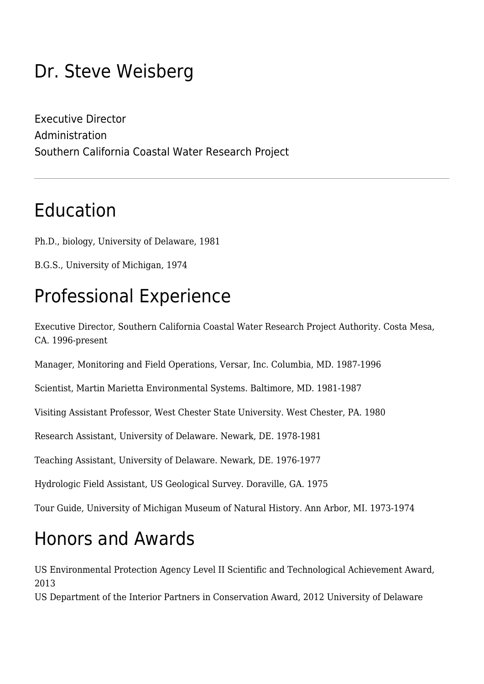## Dr. Steve Weisberg

Executive Director Administration Southern California Coastal Water Research Project

### Education

Ph.D., biology, University of Delaware, 1981

B.G.S., University of Michigan, 1974

## Professional Experience

Executive Director, Southern California Coastal Water Research Project Authority. Costa Mesa, CA. 1996-present

Manager, Monitoring and Field Operations, Versar, Inc. Columbia, MD. 1987-1996

Scientist, Martin Marietta Environmental Systems. Baltimore, MD. 1981-1987

Visiting Assistant Professor, West Chester State University. West Chester, PA. 1980

Research Assistant, University of Delaware. Newark, DE. 1978-1981

Teaching Assistant, University of Delaware. Newark, DE. 1976-1977

Hydrologic Field Assistant, US Geological Survey. Doraville, GA. 1975

Tour Guide, University of Michigan Museum of Natural History. Ann Arbor, MI. 1973-1974

## Honors and Awards

US Environmental Protection Agency Level II Scientific and Technological Achievement Award, 2013

US Department of the Interior Partners in Conservation Award, 2012 University of Delaware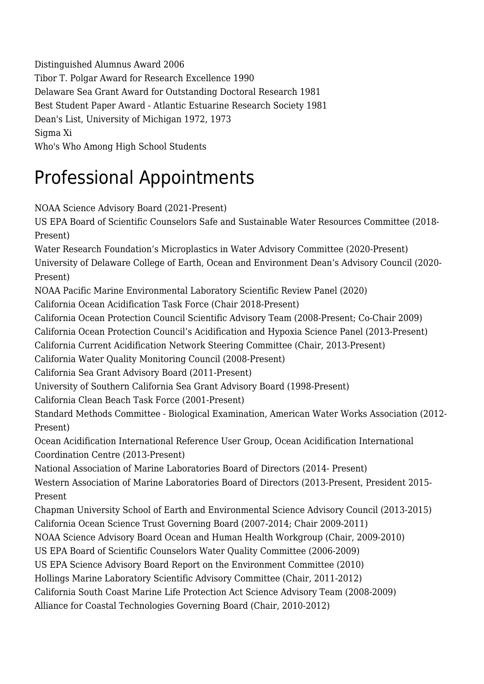Distinguished Alumnus Award 2006 Tibor T. Polgar Award for Research Excellence 1990 Delaware Sea Grant Award for Outstanding Doctoral Research 1981 Best Student Paper Award - Atlantic Estuarine Research Society 1981 Dean's List, University of Michigan 1972, 1973 Sigma Xi Who's Who Among High School Students

## Professional Appointments

NOAA Science Advisory Board (2021-Present)

US EPA Board of Scientific Counselors Safe and Sustainable Water Resources Committee (2018- Present)

Water Research Foundation's Microplastics in Water Advisory Committee (2020-Present) University of Delaware College of Earth, Ocean and Environment Dean's Advisory Council (2020- Present)

NOAA Pacific Marine Environmental Laboratory Scientific Review Panel (2020)

California Ocean Acidification Task Force (Chair 2018-Present)

California Ocean Protection Council Scientific Advisory Team (2008-Present; Co-Chair 2009)

California Ocean Protection Council's Acidification and Hypoxia Science Panel (2013-Present)

California Current Acidification Network Steering Committee (Chair, 2013-Present)

California Water Quality Monitoring Council (2008-Present)

California Sea Grant Advisory Board (2011-Present)

University of Southern California Sea Grant Advisory Board (1998-Present)

California Clean Beach Task Force (2001-Present)

Standard Methods Committee - Biological Examination, American Water Works Association (2012- Present)

Ocean Acidification International Reference User Group, Ocean Acidification International Coordination Centre (2013-Present)

National Association of Marine Laboratories Board of Directors (2014- Present)

Western Association of Marine Laboratories Board of Directors (2013-Present, President 2015- Present

Chapman University School of Earth and Environmental Science Advisory Council (2013-2015) California Ocean Science Trust Governing Board (2007-2014; Chair 2009-2011)

NOAA Science Advisory Board Ocean and Human Health Workgroup (Chair, 2009-2010)

US EPA Board of Scientific Counselors Water Quality Committee (2006-2009)

US EPA Science Advisory Board Report on the Environment Committee (2010)

Hollings Marine Laboratory Scientific Advisory Committee (Chair, 2011-2012)

California South Coast Marine Life Protection Act Science Advisory Team (2008-2009)

Alliance for Coastal Technologies Governing Board (Chair, 2010-2012)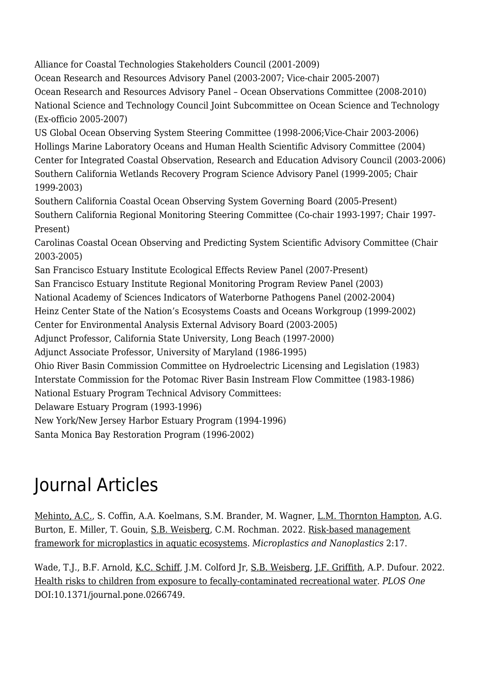Alliance for Coastal Technologies Stakeholders Council (2001-2009)

Ocean Research and Resources Advisory Panel (2003-2007; Vice-chair 2005-2007) Ocean Research and Resources Advisory Panel – Ocean Observations Committee (2008-2010) National Science and Technology Council Joint Subcommittee on Ocean Science and Technology (Ex-officio 2005-2007)

US Global Ocean Observing System Steering Committee (1998-2006;Vice-Chair 2003-2006) Hollings Marine Laboratory Oceans and Human Health Scientific Advisory Committee (2004) Center for Integrated Coastal Observation, Research and Education Advisory Council (2003-2006) Southern California Wetlands Recovery Program Science Advisory Panel (1999-2005; Chair 1999-2003)

Southern California Coastal Ocean Observing System Governing Board (2005-Present) Southern California Regional Monitoring Steering Committee (Co-chair 1993-1997; Chair 1997- Present)

Carolinas Coastal Ocean Observing and Predicting System Scientific Advisory Committee (Chair 2003-2005)

San Francisco Estuary Institute Ecological Effects Review Panel (2007-Present)

San Francisco Estuary Institute Regional Monitoring Program Review Panel (2003)

National Academy of Sciences Indicators of Waterborne Pathogens Panel (2002-2004)

Heinz Center State of the Nation's Ecosystems Coasts and Oceans Workgroup (1999-2002)

Center for Environmental Analysis External Advisory Board (2003-2005)

Adjunct Professor, California State University, Long Beach (1997-2000)

Adjunct Associate Professor, University of Maryland (1986-1995)

Ohio River Basin Commission Committee on Hydroelectric Licensing and Legislation (1983) Interstate Commission for the Potomac River Basin Instream Flow Committee (1983-1986) National Estuary Program Technical Advisory Committees:

Delaware Estuary Program (1993-1996)

New York/New Jersey Harbor Estuary Program (1994-1996)

Santa Monica Bay Restoration Program (1996-2002)

# Journal Articles

[Mehinto, A.C.](http://www.sccwrp.org/about/staff/alvina-mehinto/), S. Coffin, A.A. Koelmans, S.M. Brander, M. Wagner, [L.M. Thornton Hampton,](http://www.sccwrp.org/about/staff/leah-thornton-hampton/) A.G. Burton, E. Miller, T. Gouin, [S.B. Weisberg](http://www.sccwrp.org/about/staff/steve-weisberg/), C.M. Rochman. 2022. [Risk-based management](https://ftp.sccwrp.org/pub/download/DOCUMENTS/JournalArticles/1271_MicroplasticsRiskManagementFramework.pdf) [framework for microplastics in aquatic ecosystems](https://ftp.sccwrp.org/pub/download/DOCUMENTS/JournalArticles/1271_MicroplasticsRiskManagementFramework.pdf). *Microplastics and Nanoplastics* 2:17.

Wade, T.J., B.F. Arnold, [K.C. Schiff](http://www.sccwrp.org/about/staff/ken-schiff/), J.M. Colford Jr, [S.B. Weisberg](http://www.sccwrp.org/about/staff/steve-weisberg/), [J.F. Griffith,](http://www.sccwrp.org/about/staff/john-griffith/) A.P. Dufour. 2022. [Health risks to children from exposure to fecally-contaminated recreational water](https://ftp.sccwrp.org/pub/download/DOCUMENTS/JournalArticles/1262_HealthRisksChildren.pdf). *PLOS One* DOI:10.1371/journal.pone.0266749.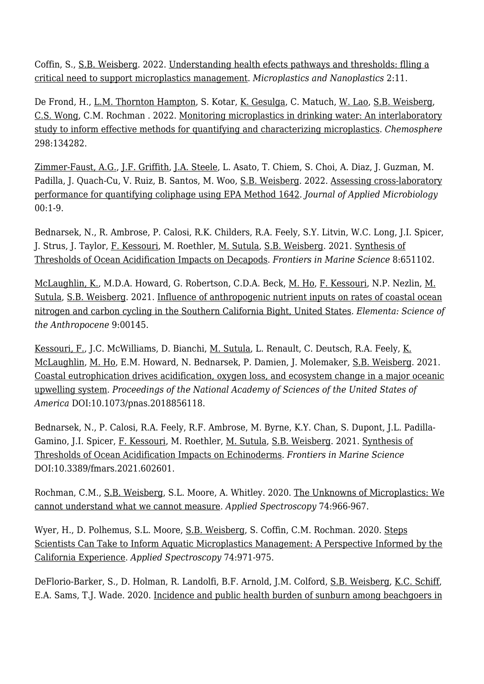Coffin, S., [S.B. Weisberg](http://www.sccwrp.org/about/staff/steve-weisberg/). 2022. [Understanding health efects pathways and thresholds: flling a](https://ftp.sccwrp.org/pub/download/DOCUMENTS/JournalArticles/1267_MicroplasticsEditorial.pdf) [critical need to support microplastics management.](https://ftp.sccwrp.org/pub/download/DOCUMENTS/JournalArticles/1267_MicroplasticsEditorial.pdf) *Microplastics and Nanoplastics* 2:11.

De Frond, H., <u>L.M. Thornton Hampton</u>, S. Kotar, <u>[K. Gesulga](http://www.sccwrp.org/about/staff/kristine-gesulga/)</u>, C. Matuch, [W. Lao,](http://www.sccwrp.org/about/staff/dr-wenjian-lao/) [S.B. Weisberg](http://www.sccwrp.org/about/staff/steve-weisberg/), [C.S. Wong](http://www.sccwrp.org/about/staff/charles-wong/), C.M. Rochman . 2022. [Monitoring microplastics in drinking water: An interlaboratory](https://ftp.sccwrp.org/pub/download/DOCUMENTS/JournalArticles/1256_Abstract.pdf) [study to inform effective methods for quantifying and characterizing microplastics.](https://ftp.sccwrp.org/pub/download/DOCUMENTS/JournalArticles/1256_Abstract.pdf) *Chemosphere* 298:134282.

[Zimmer-Faust, A.G.](http://www.sccwrp.org/about/staff/amy-zimmer-faust/), [J.F. Griffith,](http://www.sccwrp.org/about/staff/john-griffith/) [J.A. Steele,](http://www.sccwrp.org/about/staff/joshua-steele/) L. Asato, T. Chiem, S. Choi, A. Diaz, J. Guzman, M. Padilla, J. Quach-Cu, V. Ruiz, B. Santos, M. Woo, [S.B. Weisberg](http://www.sccwrp.org/about/staff/steve-weisberg/). 2022. [Assessing cross-laboratory](http://ftp.sccwrp.org/pub/download/DOCUMENTS/JournalArticles/1268_Abstract.pdf) [performance for quantifying coliphage using EPA Method 1642.](http://ftp.sccwrp.org/pub/download/DOCUMENTS/JournalArticles/1268_Abstract.pdf) *Journal of Applied Microbiology* 00:1-9.

Bednarsek, N., R. Ambrose, P. Calosi, R.K. Childers, R.A. Feely, S.Y. Litvin, W.C. Long, J.I. Spicer, J. Strus, J. Taylor, [F. Kessouri,](http://www.sccwrp.org/about/staff/faycal-kessouri/) M. Roethler, [M. Sutula,](http://www.sccwrp.org/about/staff/martha-sutula/) [S.B. Weisberg.](http://www.sccwrp.org/about/staff/steve-weisberg/) 2021. [Synthesis of](https://ftp.sccwrp.org/pub/download/DOCUMENTS/JournalArticles/1235_DecapodsThresholds.pdf) [Thresholds of Ocean Acidification Impacts on Decapods](https://ftp.sccwrp.org/pub/download/DOCUMENTS/JournalArticles/1235_DecapodsThresholds.pdf). *Frontiers in Marine Science* 8:651102.

[McLaughlin, K.](http://www.sccwrp.org/about/staff/karen-mclaughlin/), M.D.A. Howard, G. Robertson, C.D.A. Beck, [M. Ho,](http://www.sccwrp.org/about/staff/minna-ho/) [F. Kessouri](http://www.sccwrp.org/about/staff/faycal-kessouri/), N.P. Nezlin, [M.](http://www.sccwrp.org/about/staff/martha-sutula/) [Sutula,](http://www.sccwrp.org/about/staff/martha-sutula/) [S.B. Weisberg.](http://www.sccwrp.org/about/staff/steve-weisberg/) 2021. [Influence of anthropogenic nutrient inputs on rates of coastal ocean](https://ftp.sccwrp.org/pub/download/DOCUMENTS/JournalArticles/1233_AnthropogenicNutrientInputs.pdf) [nitrogen and carbon cycling in the Southern California Bight, United States](https://ftp.sccwrp.org/pub/download/DOCUMENTS/JournalArticles/1233_AnthropogenicNutrientInputs.pdf). *Elementa: Science of the Anthropocene* 9:00145.

[Kessouri, F.,](http://www.sccwrp.org/about/staff/faycal-kessouri/) J.C. McWilliams, D. Bianchi, [M. Sutula](http://www.sccwrp.org/about/staff/martha-sutula/), L. Renault, C. Deutsch, R.A. Feely, [K.](http://www.sccwrp.org/about/staff/karen-mclaughlin/) [McLaughlin,](http://www.sccwrp.org/about/staff/karen-mclaughlin/) [M. Ho](http://www.sccwrp.org/about/staff/minna-ho/), E.M. Howard, N. Bednarsek, P. Damien, J. Molemaker, [S.B. Weisberg.](http://www.sccwrp.org/about/staff/steve-weisberg/) 2021. [Coastal eutrophication drives acidification, oxygen loss, and ecosystem change in a major oceanic](http://ftp.sccwrp.org/pub/download/DOCUMENTS/JournalArticles/1204_Abstract.pdf) [upwelling system.](http://ftp.sccwrp.org/pub/download/DOCUMENTS/JournalArticles/1204_Abstract.pdf) *Proceedings of the National Academy of Sciences of the United States of America* DOI:10.1073/pnas.2018856118.

Bednarsek, N., P. Calosi, R.A. Feely, R.F. Ambrose, M. Byrne, K.Y. Chan, S. Dupont, J.L. Padilla-Gamino, J.I. Spicer, [F. Kessouri,](http://www.sccwrp.org/about/staff/faycal-kessouri/) M. Roethler, [M. Sutula](http://www.sccwrp.org/about/staff/martha-sutula/), [S.B. Weisberg](http://www.sccwrp.org/about/staff/steve-weisberg/). 2021. [Synthesis of](http://ftp.sccwrp.org/pub/download/DOCUMENTS/JournalArticles/1201_EchinodermsSynthesis.pdf) [Thresholds of Ocean Acidification Impacts on Echinoderms.](http://ftp.sccwrp.org/pub/download/DOCUMENTS/JournalArticles/1201_EchinodermsSynthesis.pdf) *Frontiers in Marine Science* DOI:10.3389/fmars.2021.602601.

Rochman, C.M., [S.B. Weisberg,](http://www.sccwrp.org/about/staff/steve-weisberg/) S.L. Moore, A. Whitley. 2020. [The Unknowns of Microplastics: We](https://ftp.sccwrp.org/pub/download/DOCUMENTS/JournalArticles/1166_Abstract.pdf) [cannot understand what we cannot measure](https://ftp.sccwrp.org/pub/download/DOCUMENTS/JournalArticles/1166_Abstract.pdf). *Applied Spectroscopy* 74:966-967.

Wyer, H., D. Polhemus, S.L. Moore, [S.B. Weisberg](http://www.sccwrp.org/about/staff/steve-weisberg/), S. Coffin, C.M. Rochman. 2020. [Steps](https://ftp.sccwrp.org/pub/download/DOCUMENTS/JournalArticles/1145_MicroplasticManagement.pdf) [Scientists Can Take to Inform Aquatic Microplastics Management: A Perspective Informed by the](https://ftp.sccwrp.org/pub/download/DOCUMENTS/JournalArticles/1145_MicroplasticManagement.pdf) [California Experience](https://ftp.sccwrp.org/pub/download/DOCUMENTS/JournalArticles/1145_MicroplasticManagement.pdf). *Applied Spectroscopy* 74:971-975.

DeFlorio-Barker, S., D. Holman, R. Landolfi, B.F. Arnold, J.M. Colford, [S.B. Weisberg](http://www.sccwrp.org/about/staff/steve-weisberg/), [K.C. Schiff](http://www.sccwrp.org/about/staff/ken-schiff/), E.A. Sams, T.J. Wade. 2020. [Incidence and public health burden of sunburn among beachgoers in](http://ftp.sccwrp.org/pub/download/DOCUMENTS/JournalArticles/1122_Abstract.pdf)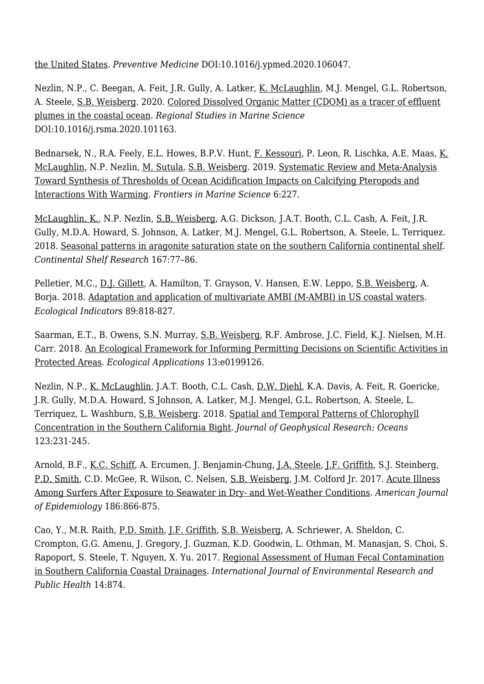[the United States.](http://ftp.sccwrp.org/pub/download/DOCUMENTS/JournalArticles/1122_Abstract.pdf) *Preventive Medicine* DOI:10.1016/j.ypmed.2020.106047.

Nezlin, N.P., C. Beegan, A. Feit, J.R. Gully, A. Latker, [K. McLaughlin](http://www.sccwrp.org/about/staff/karen-mclaughlin/), M.J. Mengel, G.L. Robertson, A. Steele, [S.B. Weisberg.](http://www.sccwrp.org/about/staff/steve-weisberg/) 2020. [Colored Dissolved Organic Matter \(CDOM\) as a tracer of effluent](http://ftp.sccwrp.org/pub/download/DOCUMENTS/JournalArticles/1111_Abstract.pdf) [plumes in the coastal ocean](http://ftp.sccwrp.org/pub/download/DOCUMENTS/JournalArticles/1111_Abstract.pdf). *Regional Studies in Marine Science* DOI:10.1016/j.rsma.2020.101163.

Bednarsek, N., R.A. Feely, E.L. Howes, B.P.V. Hunt, [F. Kessouri,](http://www.sccwrp.org/about/staff/faycal-kessouri/) P. Leon, R. Lischka, A.E. Maas, [K.](http://www.sccwrp.org/about/staff/karen-mclaughlin/) [McLaughlin,](http://www.sccwrp.org/about/staff/karen-mclaughlin/) N.P. Nezlin, [M. Sutula](http://www.sccwrp.org/about/staff/martha-sutula/), [S.B. Weisberg](http://www.sccwrp.org/about/staff/steve-weisberg/). 2019. [Systematic Review and Meta-Analysis](http://ftp.sccwrp.org/pub/download/DOCUMENTS/JournalArticles/1076_SynthesisThresholdsOA.pdf) [Toward Synthesis of Thresholds of Ocean Acidification Impacts on Calcifying Pteropods and](http://ftp.sccwrp.org/pub/download/DOCUMENTS/JournalArticles/1076_SynthesisThresholdsOA.pdf) [Interactions With Warming.](http://ftp.sccwrp.org/pub/download/DOCUMENTS/JournalArticles/1076_SynthesisThresholdsOA.pdf) *Frontiers in Marine Science* 6:227.

[McLaughlin, K.](http://www.sccwrp.org/about/staff/karen-mclaughlin/), N.P. Nezlin, [S.B. Weisberg](http://www.sccwrp.org/about/staff/steve-weisberg/), A.G. Dickson, J.A.T. Booth, C.L. Cash, A. Feit, J.R. Gully, M.D.A. Howard, S. Johnson, A. Latker, M.J. Mengel, G.L. Robertson, A. Steele, L. Terriquez. 2018. [Seasonal patterns in aragonite saturation state on the southern California continental shelf.](http://ftp.sccwrp.org/pub/download/DOCUMENTS/JournalArticles/1050_AragoniteSeasonalPatternsSouthernCalifornia_Abstract.pdf) *Continental Shelf Research* 167:77–86.

Pelletier, M.C., [D.J. Gillett](http://www.sccwrp.org/about/staff/david-gillett/), A. Hamilton, T. Grayson, V. Hansen, E.W. Leppo, [S.B. Weisberg,](http://www.sccwrp.org/about/staff/steve-weisberg/) A. Borja. 2018. [Adaptation and application of multivariate AMBI \(M-AMBI\) in US coastal waters.](http://ftp.sccwrp.org/pub/download/DOCUMENTS/JournalArticles/1028_Abstract.pdf) *Ecological Indicators* 89:818-827.

Saarman, E.T., B. Owens, S.N. Murray, [S.B. Weisberg,](http://www.sccwrp.org/about/staff/steve-weisberg/) R.F. Ambrose, J.C. Field, K.J. Nielsen, M.H. Carr. 2018. [An Ecological Framework for Informing Permitting Decisions on Scientific Activities in](http://ftp.sccwrp.org/pub/download/DOCUMENTS/JournalArticles/1042_EcologicalFrameworkInformingPermittingDecisionsProtectedAreas.pdf) [Protected Areas](http://ftp.sccwrp.org/pub/download/DOCUMENTS/JournalArticles/1042_EcologicalFrameworkInformingPermittingDecisionsProtectedAreas.pdf). *Ecological Applications* 13:e0199126.

Nezlin, N.P., [K. McLaughlin,](http://www.sccwrp.org/about/staff/karen-mclaughlin/) J.A.T. Booth, C.L. Cash, [D.W. Diehl](http://www.sccwrp.org/about/staff/dario-diehl/), K.A. Davis, A. Feit, R. Goericke, J.R. Gully, M.D.A. Howard, S Johnson, A. Latker, M.J. Mengel, G.L. Robertson, A. Steele, L. Terriquez, L. Washburn, [S.B. Weisberg.](http://www.sccwrp.org/about/staff/steve-weisberg/) 2018. [Spatial and Temporal Patterns of Chlorophyll](http://ftp.sccwrp.org/pub/download/DOCUMENTS/JournalArticles/1017_Abstract.pdf) [Concentration in the Southern California Bight](http://ftp.sccwrp.org/pub/download/DOCUMENTS/JournalArticles/1017_Abstract.pdf). *Journal of Geophysical Research: Oceans* 123:231-245.

Arnold, B.F., [K.C. Schiff,](http://www.sccwrp.org/about/staff/ken-schiff/) A. Ercumen, J. Benjamin-Chung, [J.A. Steele,](http://www.sccwrp.org/about/staff/joshua-steele/) [J.F. Griffith](http://www.sccwrp.org/about/staff/john-griffith/), S.J. Steinberg, [P.D. Smith](http://www.sccwrp.org/about/staff/paul-smith/), C.D. McGee, R. Wilson, C. Nelsen, [S.B. Weisberg](http://www.sccwrp.org/about/staff/steve-weisberg/), J.M. Colford Jr. 2017. [Acute Illness](http://ftp.sccwrp.org/pub/download/DOCUMENTS/JournalArticles/986_Acute_IllnessAmongSurfersSeawaterDry-Wet-Weather.pdf) [Among Surfers After Exposure to Seawater in Dry- and Wet-Weather Conditions](http://ftp.sccwrp.org/pub/download/DOCUMENTS/JournalArticles/986_Acute_IllnessAmongSurfersSeawaterDry-Wet-Weather.pdf). *American Journal of Epidemiology* 186:866-875.

Cao, Y., M.R. Raith, [P.D. Smith,](http://www.sccwrp.org/about/staff/paul-smith/) [J.F. Griffith](http://www.sccwrp.org/about/staff/john-griffith/), [S.B. Weisberg](http://www.sccwrp.org/about/staff/steve-weisberg/), A. Schriewer, A. Sheldon, C. Crompton, G.G. Amenu, J. Gregory, J. Guzman, K.D. Goodwin, L. Othman, M. Manasjan, S. Choi, S. Rapoport, S. Steele, T. Nguyen, X. Yu. 2017. [Regional Assessment of Human Fecal Contamination](http://ftp.sccwrp.org/pub/download/DOCUMENTS/JournalArticles/999_RegionalAssessmentOfFecalContamination.pdf) [in Southern California Coastal Drainages](http://ftp.sccwrp.org/pub/download/DOCUMENTS/JournalArticles/999_RegionalAssessmentOfFecalContamination.pdf). *International Journal of Environmental Research and Public Health* 14:874.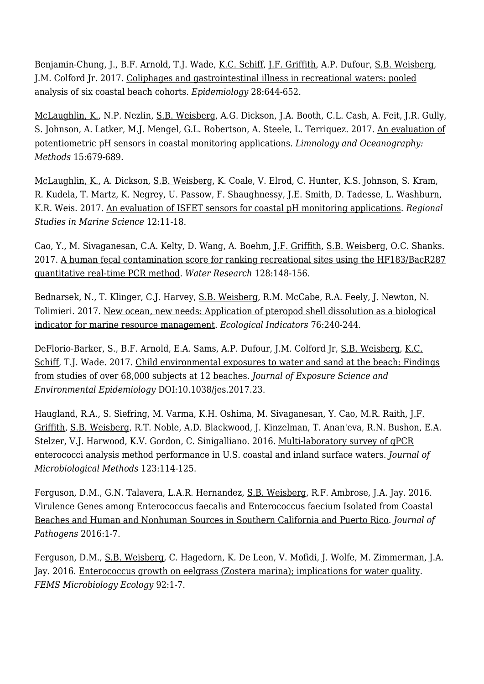Benjamin-Chung, J., B.F. Arnold, T.J. Wade, [K.C. Schiff,](http://www.sccwrp.org/about/staff/ken-schiff/) [J.F. Griffith,](http://www.sccwrp.org/about/staff/john-griffith/) A.P. Dufour, [S.B. Weisberg,](http://www.sccwrp.org/about/staff/steve-weisberg/) J.M. Colford Jr. 2017. [Coliphages and gastrointestinal illness in recreational waters: pooled](http://ftp.sccwrp.org/pub/download/DOCUMENTS/JournalArticles/987_ColiphagesAndGastroIntestinaIllnessInRecreationalWaters.pdf) [analysis of six coastal beach cohorts](http://ftp.sccwrp.org/pub/download/DOCUMENTS/JournalArticles/987_ColiphagesAndGastroIntestinaIllnessInRecreationalWaters.pdf). *Epidemiology* 28:644-652.

[McLaughlin, K.](http://www.sccwrp.org/about/staff/karen-mclaughlin/), N.P. Nezlin, [S.B. Weisberg](http://www.sccwrp.org/about/staff/steve-weisberg/), A.G. Dickson, J.A. Booth, C.L. Cash, A. Feit, J.R. Gully, S. Johnson, A. Latker, M.J. Mengel, G.L. Robertson, A. Steele, L. Terriquez. 2017. [An evaluation of](http://ftp.sccwrp.org/pub/download/DOCUMENTS/JournalArticles/1009_Abstract.pdf) [potentiometric pH sensors in coastal monitoring applications](http://ftp.sccwrp.org/pub/download/DOCUMENTS/JournalArticles/1009_Abstract.pdf). *Limnology and Oceanography: Methods* 15:679-689.

[McLaughlin, K.](http://www.sccwrp.org/about/staff/karen-mclaughlin/), A. Dickson, [S.B. Weisberg](http://www.sccwrp.org/about/staff/steve-weisberg/), K. Coale, V. Elrod, C. Hunter, K.S. Johnson, S. Kram, R. Kudela, T. Martz, K. Negrey, U. Passow, F. Shaughnessy, J.E. Smith, D. Tadesse, L. Washburn, K.R. Weis. 2017. [An evaluation of ISFET sensors for coastal pH monitoring applications](http://ftp.sccwrp.org/pub/download/DOCUMENTS/JournalArticles/975_EvaluationISFETSensorsCoastalpHApps_Abstract.pdf). *Regional Studies in Marine Science* 12:11-18.

Cao, Y., M. Sivaganesan, C.A. Kelty, D. Wang, A. Boehm, [J.F. Griffith](http://www.sccwrp.org/about/staff/john-griffith/), [S.B. Weisberg](http://www.sccwrp.org/about/staff/steve-weisberg/), O.C. Shanks. 2017. [A human fecal contamination score for ranking recreational sites using the HF183/BacR287](http://ftp.sccwrp.org/pub/download/DOCUMENTS/JournalArticles/1008_FecalContaminationScore.pdf) [quantitative real-time PCR method](http://ftp.sccwrp.org/pub/download/DOCUMENTS/JournalArticles/1008_FecalContaminationScore.pdf). *Water Research* 128:148-156.

Bednarsek, N., T. Klinger, C.J. Harvey, [S.B. Weisberg](http://www.sccwrp.org/about/staff/steve-weisberg/), R.M. McCabe, R.A. Feely, J. Newton, N. Tolimieri. 2017. [New ocean, new needs: Application of pteropod shell dissolution as a biological](http://ftp.sccwrp.org/pub/download/DOCUMENTS/JournalArticles/966_ApplicationPteropodShellDissolutionBioIndicator_Abstract.pdf) [indicator for marine resource management](http://ftp.sccwrp.org/pub/download/DOCUMENTS/JournalArticles/966_ApplicationPteropodShellDissolutionBioIndicator_Abstract.pdf). *Ecological Indicators* 76:240-244.

DeFlorio-Barker, S., B.F. Arnold, E.A. Sams, A.P. Dufour, J.M. Colford Jr, [S.B. Weisberg,](http://www.sccwrp.org/about/staff/steve-weisberg/) [K.C.](http://www.sccwrp.org/about/staff/ken-schiff/) [Schiff](http://www.sccwrp.org/about/staff/ken-schiff/), T.J. Wade. 2017. [Child environmental exposures to water and sand at the beach: Findings](http://ftp.sccwrp.org/pub/download/DOCUMENTS/JournalArticles/1007_Abstract.pdf) [from studies of over 68,000 subjects at 12 beaches](http://ftp.sccwrp.org/pub/download/DOCUMENTS/JournalArticles/1007_Abstract.pdf). *Journal of Exposure Science and Environmental Epidemiology* DOI:10.1038/jes.2017.23.

Haugland, R.A., S. Siefring, M. Varma, K.H. Oshima, M. Sivaganesan, Y. Cao, M.R. Raith, [J.F.](http://www.sccwrp.org/about/staff/john-griffith/) [Griffith](http://www.sccwrp.org/about/staff/john-griffith/), [S.B. Weisberg](http://www.sccwrp.org/about/staff/steve-weisberg/), R.T. Noble, A.D. Blackwood, J. Kinzelman, T. Anan'eva, R.N. Bushon, E.A. Stelzer, V.J. Harwood, K.V. Gordon, C. Sinigalliano. 2016. [Multi-laboratory survey of qPCR](http://ftp.sccwrp.org/pub/download/DOCUMENTS/JournalArticles/917_MultiLabSurveyqPCREnterococci_Abstract.pdf) [enterococci analysis method performance in U.S. coastal and inland surface waters](http://ftp.sccwrp.org/pub/download/DOCUMENTS/JournalArticles/917_MultiLabSurveyqPCREnterococci_Abstract.pdf). *Journal of Microbiological Methods* 123:114-125.

Ferguson, D.M., G.N. Talavera, L.A.R. Hernandez, [S.B. Weisberg,](http://www.sccwrp.org/about/staff/steve-weisberg/) R.F. Ambrose, J.A. Jay. 2016. [Virulence Genes among Enterococcus faecalis and Enterococcus faecium Isolated from Coastal](http://ftp.sccwrp.org/pub/download/DOCUMENTS/JournalArticles/919_EnterococcusVirulenceGenes.pdf) [Beaches and Human and Nonhuman Sources in Southern California and Puerto Rico](http://ftp.sccwrp.org/pub/download/DOCUMENTS/JournalArticles/919_EnterococcusVirulenceGenes.pdf). *Journal of Pathogens* 2016:1-7.

Ferguson, D.M., [S.B. Weisberg,](http://www.sccwrp.org/about/staff/steve-weisberg/) C. Hagedorn, K. De Leon, V. Mofidi, J. Wolfe, M. Zimmerman, J.A. Jay. 2016. [Enterococcus growth on eelgrass \(Zostera marina\); implications for water quality.](http://ftp.sccwrp.org/pub/download/DOCUMENTS/JournalArticles/929_EnterococcusGrowthEelgrass_Abstract.pdf) *FEMS Microbiology Ecology* 92:1-7.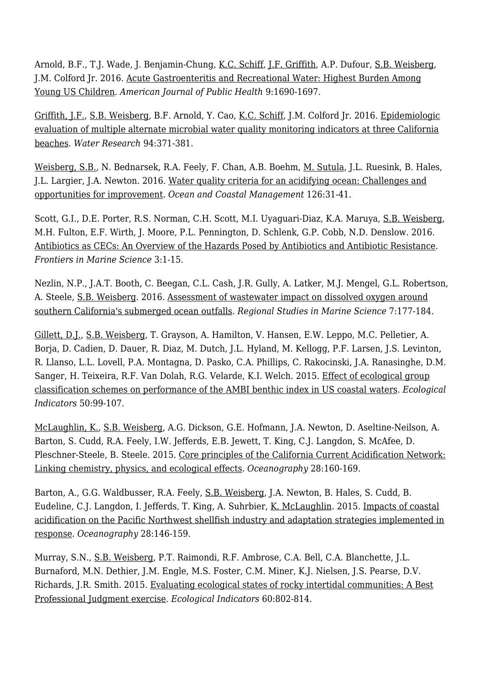Arnold, B.F., T.J. Wade, J. Benjamin-Chung, [K.C. Schiff,](http://www.sccwrp.org/about/staff/ken-schiff/) [J.F. Griffith,](http://www.sccwrp.org/about/staff/john-griffith/) A.P. Dufour, [S.B. Weisberg,](http://www.sccwrp.org/about/staff/steve-weisberg/) J.M. Colford Jr. 2016. [Acute Gastroenteritis and Recreational Water: Highest Burden Among](http://ftp.sccwrp.org/pub/download/DOCUMENTS/JournalArticles/937_AcuteGastroenteritisAmongYoungUSChildren.pdf) [Young US Children](http://ftp.sccwrp.org/pub/download/DOCUMENTS/JournalArticles/937_AcuteGastroenteritisAmongYoungUSChildren.pdf). *American Journal of Public Health* 9:1690-1697.

[Griffith, J.F.,](http://www.sccwrp.org/about/staff/john-griffith/) [S.B. Weisberg,](http://www.sccwrp.org/about/staff/steve-weisberg/) B.F. Arnold, Y. Cao, [K.C. Schiff,](http://www.sccwrp.org/about/staff/ken-schiff/) J.M. Colford Jr. 2016. [Epidemiologic](http://ftp.sccwrp.org/pub/download/DOCUMENTS/JournalArticles/918_EpidemiologicEvaluationMicrobialWaterQuality_Abstract.pdf) [evaluation of multiple alternate microbial water quality monitoring indicators at three California](http://ftp.sccwrp.org/pub/download/DOCUMENTS/JournalArticles/918_EpidemiologicEvaluationMicrobialWaterQuality_Abstract.pdf) [beaches](http://ftp.sccwrp.org/pub/download/DOCUMENTS/JournalArticles/918_EpidemiologicEvaluationMicrobialWaterQuality_Abstract.pdf). *Water Research* 94:371-381.

[Weisberg, S.B.](http://www.sccwrp.org/about/staff/steve-weisberg/), N. Bednarsek, R.A. Feely, F. Chan, A.B. Boehm, [M. Sutula](http://www.sccwrp.org/about/staff/martha-sutula/), J.L. Ruesink, B. Hales, J.L. Largier, J.A. Newton. 2016. [Water quality criteria for an acidifying ocean: Challenges and](http://ftp.sccwrp.org/pub/download/DOCUMENTS/JournalArticles/924_WaterQualityCriteriaForAcidifyingOcean_Abstract.pdf) [opportunities for improvement.](http://ftp.sccwrp.org/pub/download/DOCUMENTS/JournalArticles/924_WaterQualityCriteriaForAcidifyingOcean_Abstract.pdf) *Ocean and Coastal Management* 126:31-41.

Scott, G.I., D.E. Porter, R.S. Norman, C.H. Scott, M.I. Uyaguari-Diaz, K.A. Maruya, [S.B. Weisberg](http://www.sccwrp.org/about/staff/steve-weisberg/), M.H. Fulton, E.F. Wirth, J. Moore, P.L. Pennington, D. Schlenk, G.P. Cobb, N.D. Denslow. 2016. [Antibiotics as CECs: An Overview of the Hazards Posed by Antibiotics and Antibiotic Resistance.](http://ftp.sccwrp.org/pub/download/DOCUMENTS/JournalArticles/939_OverviewOfHazardsPosedByAntibiotics.pdf) *Frontiers in Marine Science* 3:1-15.

Nezlin, N.P., J.A.T. Booth, C. Beegan, C.L. Cash, J.R. Gully, A. Latker, M.J. Mengel, G.L. Robertson, A. Steele, [S.B. Weisberg.](http://www.sccwrp.org/about/staff/steve-weisberg/) 2016. [Assessment of wastewater impact on dissolved oxygen around](http://ftp.sccwrp.org/pub/download/DOCUMENTS/JournalArticles/945_AssessmentWastewaterImpactOnDissolvedOxygen_Abstract.pdf) [southern California's submerged ocean outfalls.](http://ftp.sccwrp.org/pub/download/DOCUMENTS/JournalArticles/945_AssessmentWastewaterImpactOnDissolvedOxygen_Abstract.pdf) *Regional Studies in Marine Science* 7:177-184.

[Gillett, D.J.](http://www.sccwrp.org/about/staff/david-gillett/), [S.B. Weisberg,](http://www.sccwrp.org/about/staff/steve-weisberg/) T. Grayson, A. Hamilton, V. Hansen, E.W. Leppo, M.C. Pelletier, A. Borja, D. Cadien, D. Dauer, R. Diaz, M. Dutch, J.L. Hyland, M. Kellogg, P.F. Larsen, J.S. Levinton, R. Llanso, L.L. Lovell, P.A. Montagna, D. Pasko, C.A. Phillips, C. Rakocinski, J.A. Ranasinghe, D.M. Sanger, H. Teixeira, R.F. Van Dolah, R.G. Velarde, K.I. Welch. 2015. [Effect of ecological group](http://ftp.sccwrp.org/pub/download/DOCUMENTS/JournalArticles/839_AMBI_EffectOnCoast_Abstract.pdf) [classification schemes on performance of the AMBI benthic index in US coastal waters](http://ftp.sccwrp.org/pub/download/DOCUMENTS/JournalArticles/839_AMBI_EffectOnCoast_Abstract.pdf). *Ecological Indicators* 50:99-107.

[McLaughlin, K.](http://www.sccwrp.org/about/staff/karen-mclaughlin/), [S.B. Weisberg](http://www.sccwrp.org/about/staff/steve-weisberg/), A.G. Dickson, G.E. Hofmann, J.A. Newton, D. Aseltine-Neilson, A. Barton, S. Cudd, R.A. Feely, I.W. Jefferds, E.B. Jewett, T. King, C.J. Langdon, S. McAfee, D. Pleschner-Steele, B. Steele. 2015. [Core principles of the California Current Acidification Network:](http://ftp.sccwrp.org/pub/download/DOCUMENTS/JournalArticles/866_CorePrinAcidNetwork_mclaughlin.pdf) [Linking chemistry, physics, and ecological effects.](http://ftp.sccwrp.org/pub/download/DOCUMENTS/JournalArticles/866_CorePrinAcidNetwork_mclaughlin.pdf) *Oceanography* 28:160-169.

Barton, A., G.G. Waldbusser, R.A. Feely, [S.B. Weisberg](http://www.sccwrp.org/about/staff/steve-weisberg/), J.A. Newton, B. Hales, S. Cudd, B. Eudeline, C.J. Langdon, I. Jefferds, T. King, A. Suhrbier, [K. McLaughlin](http://www.sccwrp.org/about/staff/karen-mclaughlin/). 2015. [Impacts of coastal](http://ftp.sccwrp.org/pub/download/DOCUMENTS/JournalArticles/865_CoastalAcidImpactsShellfish.pdf) [acidification on the Pacific Northwest shellfish industry and adaptation strategies implemented in](http://ftp.sccwrp.org/pub/download/DOCUMENTS/JournalArticles/865_CoastalAcidImpactsShellfish.pdf) [response.](http://ftp.sccwrp.org/pub/download/DOCUMENTS/JournalArticles/865_CoastalAcidImpactsShellfish.pdf) *Oceanography* 28:146-159.

Murray, S.N., [S.B. Weisberg,](http://www.sccwrp.org/about/staff/steve-weisberg/) P.T. Raimondi, R.F. Ambrose, C.A. Bell, C.A. Blanchette, J.L. Burnaford, M.N. Dethier, J.M. Engle, M.S. Foster, C.M. Miner, K.J. Nielsen, J.S. Pearse, D.V. Richards, J.R. Smith. 2015. [Evaluating ecological states of rocky intertidal communities: A Best](http://ftp.sccwrp.org/pub/download/DOCUMENTS/JournalArticles/881_RockyIntertidalBPJ_Abstract.pdf) [Professional Judgment exercise](http://ftp.sccwrp.org/pub/download/DOCUMENTS/JournalArticles/881_RockyIntertidalBPJ_Abstract.pdf). *Ecological Indicators* 60:802-814.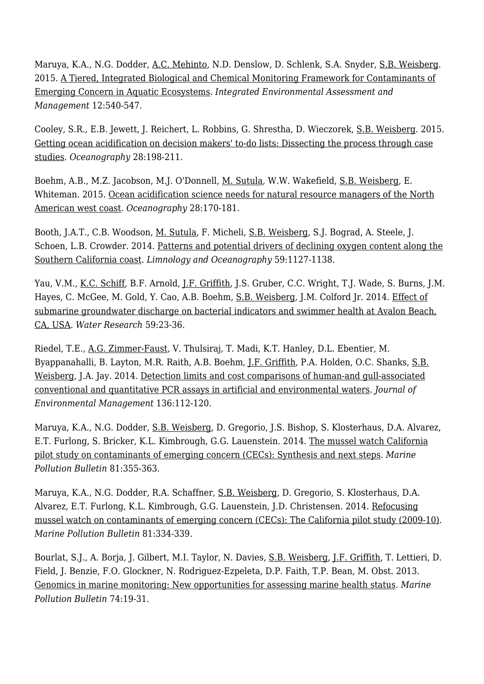Maruya, K.A., N.G. Dodder, [A.C. Mehinto,](http://www.sccwrp.org/about/staff/alvina-mehinto/) N.D. Denslow, D. Schlenk, S.A. Snyder, [S.B. Weisberg](http://www.sccwrp.org/about/staff/steve-weisberg/). 2015. [A Tiered, Integrated Biological and Chemical Monitoring Framework for Contaminants of](http://ftp.sccwrp.org/pub/download/DOCUMENTS/JournalArticles/896_IntegBioChemFrameworkForCECsInAquaticEcosystems_Abstract.pdf) [Emerging Concern in Aquatic Ecosystems](http://ftp.sccwrp.org/pub/download/DOCUMENTS/JournalArticles/896_IntegBioChemFrameworkForCECsInAquaticEcosystems_Abstract.pdf). *Integrated Environmental Assessment and Management* 12:540-547.

Cooley, S.R., E.B. Jewett, J. Reichert, L. Robbins, G. Shrestha, D. Wieczorek, [S.B. Weisberg](http://www.sccwrp.org/about/staff/steve-weisberg/). 2015. [Getting ocean acidification on decision makers' to-do lists: Dissecting the process through case](http://ftp.sccwrp.org/pub/download/DOCUMENTS/JournalArticles/868_GettingAcidfOnList.pdf) [studies](http://ftp.sccwrp.org/pub/download/DOCUMENTS/JournalArticles/868_GettingAcidfOnList.pdf). *Oceanography* 28:198-211.

Boehm, A.B., M.Z. Jacobson, M.J. O'Donnell, [M. Sutula](http://www.sccwrp.org/about/staff/martha-sutula/), W.W. Wakefield, [S.B. Weisberg](http://www.sccwrp.org/about/staff/steve-weisberg/), E. Whiteman. 2015. [Ocean acidification science needs for natural resource managers of the North](http://ftp.sccwrp.org/pub/download/DOCUMENTS/JournalArticles/867_OceanAcidifNeeds.pdf) [American west coast](http://ftp.sccwrp.org/pub/download/DOCUMENTS/JournalArticles/867_OceanAcidifNeeds.pdf). *Oceanography* 28:170-181.

Booth, J.A.T., C.B. Woodson, [M. Sutula,](http://www.sccwrp.org/about/staff/martha-sutula/) F. Micheli, [S.B. Weisberg,](http://www.sccwrp.org/about/staff/steve-weisberg/) S.J. Bograd, A. Steele, J. Schoen, L.B. Crowder. 2014. [Patterns and potential drivers of declining oxygen content along the](http://ftp.sccwrp.org/pub/download/DOCUMENTS/JournalArticles/827_SoCalDissolvedOxygen_Abstract.pdf) [Southern California coast](http://ftp.sccwrp.org/pub/download/DOCUMENTS/JournalArticles/827_SoCalDissolvedOxygen_Abstract.pdf). *Limnology and Oceanography* 59:1127-1138.

Yau, V.M., [K.C. Schiff,](http://www.sccwrp.org/about/staff/ken-schiff/) B.F. Arnold, [J.F. Griffith](http://www.sccwrp.org/about/staff/john-griffith/), J.S. Gruber, C.C. Wright, T.J. Wade, S. Burns, J.M. Hayes, C. McGee, M. Gold, Y. Cao, A.B. Boehm, [S.B. Weisberg](http://www.sccwrp.org/about/staff/steve-weisberg/), J.M. Colford Jr. 2014. [Effect of](http://ftp.sccwrp.org/pub/download/DOCUMENTS/JournalArticles/825_GroundwaterAvalon_Abstract.pdf) [submarine groundwater discharge on bacterial indicators and swimmer health at Avalon Beach,](http://ftp.sccwrp.org/pub/download/DOCUMENTS/JournalArticles/825_GroundwaterAvalon_Abstract.pdf) [CA, USA.](http://ftp.sccwrp.org/pub/download/DOCUMENTS/JournalArticles/825_GroundwaterAvalon_Abstract.pdf) *Water Research* 59:23-36.

Riedel, T.E., [A.G. Zimmer-Faust](http://www.sccwrp.org/about/staff/amy-zimmer-faust/), V. Thulsiraj, T. Madi, K.T. Hanley, D.L. Ebentier, M. Byappanahalli, B. Layton, M.R. Raith, A.B. Boehm, [J.F. Griffith,](http://www.sccwrp.org/about/staff/john-griffith/) P.A. Holden, O.C. Shanks, [S.B.](http://www.sccwrp.org/about/staff/steve-weisberg/) [Weisberg](http://www.sccwrp.org/about/staff/steve-weisberg/), J.A. Jay. 2014. [Detection limits and cost comparisons of human-and gull-associated](http://ftp.sccwrp.org/pub/download/DOCUMENTS/JournalArticles/814DetectionLimitsAndCostComparisonsOfHumanAndGull_Abstract.pdf) [conventional and quantitative PCR assays in artificial and environmental waters.](http://ftp.sccwrp.org/pub/download/DOCUMENTS/JournalArticles/814DetectionLimitsAndCostComparisonsOfHumanAndGull_Abstract.pdf) *Journal of Environmental Management* 136:112-120.

Maruya, K.A., N.G. Dodder, [S.B. Weisberg,](http://www.sccwrp.org/about/staff/steve-weisberg/) D. Gregorio, J.S. Bishop, S. Klosterhaus, D.A. Alvarez, E.T. Furlong, S. Bricker, K.L. Kimbrough, G.G. Lauenstein. 2014. [The mussel watch California](http://ftp.sccwrp.org:8060/pub/download/DOCUMENTS/JournalArticles/769_MusselWatchSynthesis_Abstract.pdf) [pilot study on contaminants of emerging concern \(CECs\): Synthesis and next steps](http://ftp.sccwrp.org:8060/pub/download/DOCUMENTS/JournalArticles/769_MusselWatchSynthesis_Abstract.pdf). *Marine Pollution Bulletin* 81:355-363.

Maruya, K.A., N.G. Dodder, R.A. Schaffner, [S.B. Weisberg,](http://www.sccwrp.org/about/staff/steve-weisberg/) D. Gregorio, S. Klosterhaus, D.A. Alvarez, E.T. Furlong, K.L. Kimbrough, G.G. Lauenstein, J.D. Christensen. 2014. [Refocusing](http://ftp.sccwrp.org/pub/download/DOCUMENTS/JournalArticles/767_MusselWatchDesign_Abstract.pdf) [mussel watch on contaminants of emerging concern \(CECs\): The California pilot study \(2009-10\).](http://ftp.sccwrp.org/pub/download/DOCUMENTS/JournalArticles/767_MusselWatchDesign_Abstract.pdf) *Marine Pollution Bulletin* 81:334-339.

Bourlat, S.J., A. Borja, J. Gilbert, M.I. Taylor, N. Davies, [S.B. Weisberg](http://www.sccwrp.org/about/staff/steve-weisberg/), [J.F. Griffith,](http://www.sccwrp.org/about/staff/john-griffith/) T. Lettieri, D. Field, J. Benzie, F.O. Glockner, N. Rodriguez-Ezpeleta, D.P. Faith, T.P. Bean, M. Obst. 2013. [Genomics in marine monitoring: New opportunities for assessing marine health status.](http://ftp.sccwrp.org:8060/pub/download/DOCUMENTS/JournalArticles/762_GenomicsMarineMonitoring_Abstract.pdf) *Marine Pollution Bulletin* 74:19-31.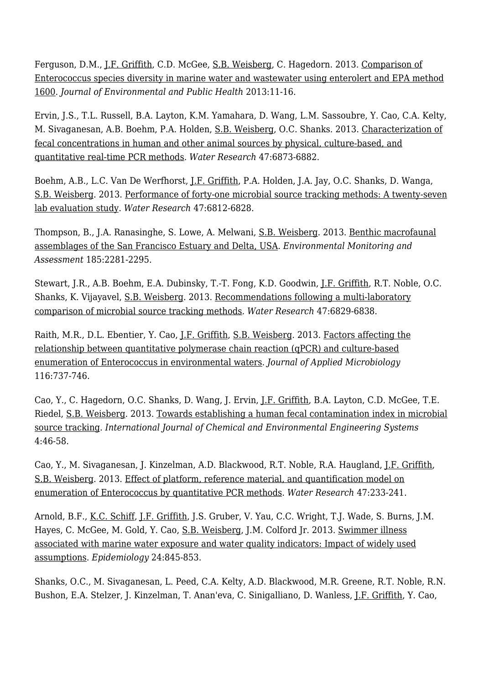Ferguson, D.M., [J.F. Griffith](http://www.sccwrp.org/about/staff/john-griffith/), C.D. McGee, [S.B. Weisberg](http://www.sccwrp.org/about/staff/steve-weisberg/), C. Hagedorn. 2013. [Comparison of](http://ftp.sccwrp.org/pub/download/DOCUMENTS/JournalArticles/761_CompEnteroSpDivMar.pdf) [Enterococcus species diversity in marine water and wastewater using enterolert and EPA method](http://ftp.sccwrp.org/pub/download/DOCUMENTS/JournalArticles/761_CompEnteroSpDivMar.pdf) [1600](http://ftp.sccwrp.org/pub/download/DOCUMENTS/JournalArticles/761_CompEnteroSpDivMar.pdf). *Journal of Environmental and Public Health* 2013:11-16.

Ervin, J.S., T.L. Russell, B.A. Layton, K.M. Yamahara, D. Wang, L.M. Sassoubre, Y. Cao, C.A. Kelty, M. Sivaganesan, A.B. Boehm, P.A. Holden, [S.B. Weisberg,](http://www.sccwrp.org/about/staff/steve-weisberg/) O.C. Shanks. 2013. [Characterization of](http://ftp.sccwrp.org/pub/download/DOCUMENTS/JournalArticles/793_CharacterizationOfFecal_Abstract.pdf) [fecal concentrations in human and other animal sources by physical, culture-based, and](http://ftp.sccwrp.org/pub/download/DOCUMENTS/JournalArticles/793_CharacterizationOfFecal_Abstract.pdf) [quantitative real-time PCR methods.](http://ftp.sccwrp.org/pub/download/DOCUMENTS/JournalArticles/793_CharacterizationOfFecal_Abstract.pdf) *Water Research* 47:6873-6882.

Boehm, A.B., L.C. Van De Werfhorst, [J.F. Griffith](http://www.sccwrp.org/about/staff/john-griffith/), P.A. Holden, J.A. Jay, O.C. Shanks, D. Wanga, [S.B. Weisberg](http://www.sccwrp.org/about/staff/steve-weisberg/). 2013. [Performance of forty-one microbial source tracking methods: A twenty-seven](http://ftp.sccwrp.org/pub/download/DOCUMENTS/JournalArticles/775_Performance Forty-one Microbial_Abstract.pdf) [lab evaluation study](http://ftp.sccwrp.org/pub/download/DOCUMENTS/JournalArticles/775_Performance Forty-one Microbial_Abstract.pdf). *Water Research* 47:6812-6828.

Thompson, B., J.A. Ranasinghe, S. Lowe, A. Melwani, [S.B. Weisberg](http://www.sccwrp.org/about/staff/steve-weisberg/). 2013. [Benthic macrofaunal](http://ftp.sccwrp.org/pub/download/DOCUMENTS/JournalArticles/751_BenthicMacrofaunalSFEDelta_Abstract.pdf) [assemblages of the San Francisco Estuary and Delta, USA](http://ftp.sccwrp.org/pub/download/DOCUMENTS/JournalArticles/751_BenthicMacrofaunalSFEDelta_Abstract.pdf). *Environmental Monitoring and Assessment* 185:2281-2295.

Stewart, J.R., A.B. Boehm, E.A. Dubinsky, T.-T. Fong, K.D. Goodwin, [J.F. Griffith,](http://www.sccwrp.org/about/staff/john-griffith/) R.T. Noble, O.C. Shanks, K. Vijayavel, [S.B. Weisberg.](http://www.sccwrp.org/about/staff/steve-weisberg/) 2013. [Recommendations following a multi-laboratory](http://ftp.sccwrp.org/pub/download/DOCUMENTS/JournalArticles/774_Recommendation Multi-Laboratory_Abstract.pdf) [comparison of microbial source tracking methods.](http://ftp.sccwrp.org/pub/download/DOCUMENTS/JournalArticles/774_Recommendation Multi-Laboratory_Abstract.pdf) *Water Research* 47:6829-6838.

Raith, M.R., D.L. Ebentier, Y. Cao, [J.F. Griffith](http://www.sccwrp.org/about/staff/john-griffith/), [S.B. Weisberg](http://www.sccwrp.org/about/staff/steve-weisberg/). 2013. [Factors affecting the](http://ftp.sccwrp.org/pub/download/DOCUMENTS/JournalArticles/801_FactorsAffectingTheRelationship_Abstract.pdf) [relationship between quantitative polymerase chain reaction \(qPCR\) and culture-based](http://ftp.sccwrp.org/pub/download/DOCUMENTS/JournalArticles/801_FactorsAffectingTheRelationship_Abstract.pdf) [enumeration of Enterococcus in environmental waters](http://ftp.sccwrp.org/pub/download/DOCUMENTS/JournalArticles/801_FactorsAffectingTheRelationship_Abstract.pdf). *Journal of Applied Microbiology* 116:737-746.

Cao, Y., C. Hagedorn, O.C. Shanks, D. Wang, J. Ervin, [J.F. Griffith,](http://www.sccwrp.org/about/staff/john-griffith/) B.A. Layton, C.D. McGee, T.E. Riedel, [S.B. Weisberg](http://www.sccwrp.org/about/staff/steve-weisberg/). 2013. [Towards establishing a human fecal contamination index in microbial](http://ftp.sccwrp.org/pub/download/DOCUMENTS/JournalArticles/812_HumanFecalContIndex_Abstract.pdf) [source tracking](http://ftp.sccwrp.org/pub/download/DOCUMENTS/JournalArticles/812_HumanFecalContIndex_Abstract.pdf). *International Journal of Chemical and Environmental Engineering Systems* 4:46-58.

Cao, Y., M. Sivaganesan, J. Kinzelman, A.D. Blackwood, R.T. Noble, R.A. Haugland, [J.F. Griffith,](http://www.sccwrp.org/about/staff/john-griffith/) [S.B. Weisberg](http://www.sccwrp.org/about/staff/steve-weisberg/). 2013. [Effect of platform, reference material, and quantification model on](http://ftp.sccwrp.org/pub/download/DOCUMENTS/JournalArticles/742_EffectOfPlatformENT_qPCR_Abstract.pdf) [enumeration of Enterococcus by quantitative PCR methods](http://ftp.sccwrp.org/pub/download/DOCUMENTS/JournalArticles/742_EffectOfPlatformENT_qPCR_Abstract.pdf). *Water Research* 47:233-241.

Arnold, B.F., [K.C. Schiff,](http://www.sccwrp.org/about/staff/ken-schiff/) [J.F. Griffith](http://www.sccwrp.org/about/staff/john-griffith/), J.S. Gruber, V. Yau, C.C. Wright, T.J. Wade, S. Burns, J.M. Hayes, C. McGee, M. Gold, Y. Cao, [S.B. Weisberg,](http://www.sccwrp.org/about/staff/steve-weisberg/) J.M. Colford Jr. 2013. [Swimmer illness](http://ftp.sccwrp.org/pub/download/DOCUMENTS/JournalArticles/780_MalibuBeachStudy_Abstract.pdf) [associated with marine water exposure and water quality indicators: Impact of widely used](http://ftp.sccwrp.org/pub/download/DOCUMENTS/JournalArticles/780_MalibuBeachStudy_Abstract.pdf) [assumptions.](http://ftp.sccwrp.org/pub/download/DOCUMENTS/JournalArticles/780_MalibuBeachStudy_Abstract.pdf) *Epidemiology* 24:845-853.

Shanks, O.C., M. Sivaganesan, L. Peed, C.A. Kelty, A.D. Blackwood, M.R. Greene, R.T. Noble, R.N. Bushon, E.A. Stelzer, J. Kinzelman, T. Anan'eva, C. Sinigalliano, D. Wanless, <u>[J.F. Griffith](http://www.sccwrp.org/about/staff/john-griffith/)</u>, Y. Cao,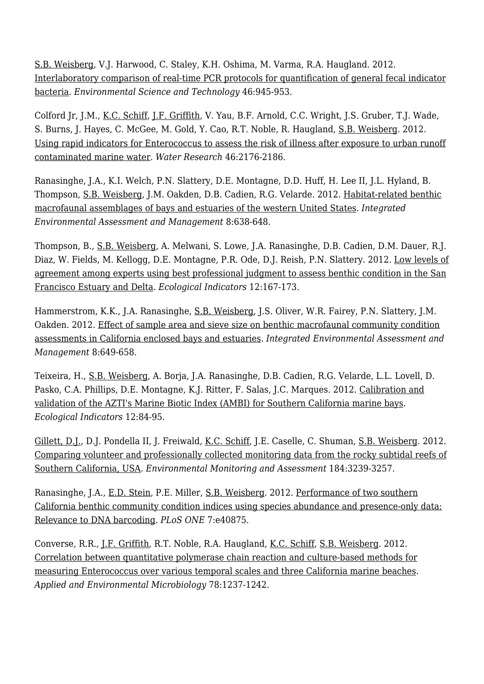[S.B. Weisberg](http://www.sccwrp.org/about/staff/steve-weisberg/), V.J. Harwood, C. Staley, K.H. Oshima, M. Varma, R.A. Haugland. 2012. [Interlaboratory comparison of real-time PCR protocols for quantification of general fecal indicator](http://ftp.sccwrp.org/pub/download/DOCUMENTS/JournalArticles/689_RealTimeQPCR_Protocol_FIB_Abstract.pdf) [bacteria.](http://ftp.sccwrp.org/pub/download/DOCUMENTS/JournalArticles/689_RealTimeQPCR_Protocol_FIB_Abstract.pdf) *Environmental Science and Technology* 46:945-953.

Colford Jr, J.M., [K.C. Schiff](http://www.sccwrp.org/about/staff/ken-schiff/), [J.F. Griffith](http://www.sccwrp.org/about/staff/john-griffith/), V. Yau, B.F. Arnold, C.C. Wright, J.S. Gruber, T.J. Wade, S. Burns, J. Hayes, C. McGee, M. Gold, Y. Cao, R.T. Noble, R. Haugland, [S.B. Weisberg](http://www.sccwrp.org/about/staff/steve-weisberg/). 2012. [Using rapid indicators for Enterococcus to assess the risk of illness after exposure to urban runoff](http://ftp.sccwrp.org/pub/download/DOCUMENTS/JournalArticles/699_RapidIndicatorsENT_UrbanRunoffMarine_Abstract.pdf) [contaminated marine water](http://ftp.sccwrp.org/pub/download/DOCUMENTS/JournalArticles/699_RapidIndicatorsENT_UrbanRunoffMarine_Abstract.pdf). *Water Research* 46:2176-2186.

Ranasinghe, J.A., K.I. Welch, P.N. Slattery, D.E. Montagne, D.D. Huff, H. Lee II, J.L. Hyland, B. Thompson, [S.B. Weisberg,](http://www.sccwrp.org/about/staff/steve-weisberg/) J.M. Oakden, D.B. Cadien, R.G. Velarde. 2012. [Habitat-related benthic](http://ftp.sccwrp.org/pub/download/DOCUMENTS/JournalArticles/724_BenthicHabitatAssemblagesWesternUS_Abstract.pdf) [macrofaunal assemblages of bays and estuaries of the western United States](http://ftp.sccwrp.org/pub/download/DOCUMENTS/JournalArticles/724_BenthicHabitatAssemblagesWesternUS_Abstract.pdf). *Integrated Environmental Assessment and Management* 8:638-648.

Thompson, B., [S.B. Weisberg,](http://www.sccwrp.org/about/staff/steve-weisberg/) A. Melwani, S. Lowe, J.A. Ranasinghe, D.B. Cadien, D.M. Dauer, R.J. Diaz, W. Fields, M. Kellogg, D.E. Montagne, P.R. Ode, D.J. Reish, P.N. Slattery. 2012. [Low levels of](http://ftp.sccwrp.org/pub/download/DOCUMENTS/JournalArticles/663_BPJ_SF_BenthicEstuaryDelta_Abstract.pdf) [agreement among experts using best professional judgment to assess benthic condition in the San](http://ftp.sccwrp.org/pub/download/DOCUMENTS/JournalArticles/663_BPJ_SF_BenthicEstuaryDelta_Abstract.pdf) [Francisco Estuary and Delta.](http://ftp.sccwrp.org/pub/download/DOCUMENTS/JournalArticles/663_BPJ_SF_BenthicEstuaryDelta_Abstract.pdf) *Ecological Indicators* 12:167-173.

Hammerstrom, K.K., J.A. Ranasinghe, [S.B. Weisberg,](http://www.sccwrp.org/about/staff/steve-weisberg/) J.S. Oliver, W.R. Fairey, P.N. Slattery, J.M. Oakden. 2012. [Effect of sample area and sieve size on benthic macrofaunal community condition](http://ftp.sccwrp.org/pub/download/DOCUMENTS/JournalArticles/725_SampleAreaSieveSizeBenthicConditionAssess_Abstract.pdf) [assessments in California enclosed bays and estuaries](http://ftp.sccwrp.org/pub/download/DOCUMENTS/JournalArticles/725_SampleAreaSieveSizeBenthicConditionAssess_Abstract.pdf). *Integrated Environmental Assessment and Management* 8:649-658.

Teixeira, H., [S.B. Weisberg,](http://www.sccwrp.org/about/staff/steve-weisberg/) A. Borja, J.A. Ranasinghe, D.B. Cadien, R.G. Velarde, L.L. Lovell, D. Pasko, C.A. Phillips, D.E. Montagne, K.J. Ritter, F. Salas, J.C. Marques. 2012. [Calibration and](http://ftp.sccwrp.org/pub/download/DOCUMENTS/JournalArticles/653_AZTI_AMBI_Abstract.pdf) [validation of the AZTI's Marine Biotic Index \(AMBI\) for Southern California marine bays](http://ftp.sccwrp.org/pub/download/DOCUMENTS/JournalArticles/653_AZTI_AMBI_Abstract.pdf). *Ecological Indicators* 12:84-95.

[Gillett, D.J.](http://www.sccwrp.org/about/staff/david-gillett/), D.J. Pondella II, J. Freiwald, [K.C. Schiff,](http://www.sccwrp.org/about/staff/ken-schiff/) J.E. Caselle, C. Shuman, [S.B. Weisberg.](http://www.sccwrp.org/about/staff/steve-weisberg/) 2012. [Comparing volunteer and professionally collected monitoring data from the rocky subtidal reefs of](http://ftp.sccwrp.org/pub/download/DOCUMENTS/JournalArticles/702_Volunteer_ProfessionalMonitoringDataRockyReefs_Abstract.pdf) [Southern California, USA](http://ftp.sccwrp.org/pub/download/DOCUMENTS/JournalArticles/702_Volunteer_ProfessionalMonitoringDataRockyReefs_Abstract.pdf). *Environmental Monitoring and Assessment* 184:3239-3257.

Ranasinghe, J.A., [E.D. Stein](http://www.sccwrp.org/about/staff/eric-stein/), P.E. Miller, [S.B. Weisberg](http://www.sccwrp.org/about/staff/steve-weisberg/). 2012. [Performance of two southern](http://ftp.sccwrp.org/pub/download/DOCUMENTS/JournalArticles/713_PresenceBRI_BarCoding.pdf) [California benthic community condition indices using species abundance and presence-only data:](http://ftp.sccwrp.org/pub/download/DOCUMENTS/JournalArticles/713_PresenceBRI_BarCoding.pdf) [Relevance to DNA barcoding](http://ftp.sccwrp.org/pub/download/DOCUMENTS/JournalArticles/713_PresenceBRI_BarCoding.pdf). *PLoS ONE* 7:e40875.

Converse, R.R., [J.F. Griffith](http://www.sccwrp.org/about/staff/john-griffith/), R.T. Noble, R.A. Haugland, [K.C. Schiff,](http://www.sccwrp.org/about/staff/ken-schiff/) [S.B. Weisberg.](http://www.sccwrp.org/about/staff/steve-weisberg/) 2012. [Correlation between quantitative polymerase chain reaction and culture-based methods for](http://ftp.sccwrp.org/pub/download/DOCUMENTS/JournalArticles/731_qPCR_CB_ENT_3MarineBeaches_Abstract.pdf) [measuring Enterococcus over various temporal scales and three California marine beaches.](http://ftp.sccwrp.org/pub/download/DOCUMENTS/JournalArticles/731_qPCR_CB_ENT_3MarineBeaches_Abstract.pdf) *Applied and Environmental Microbiology* 78:1237-1242.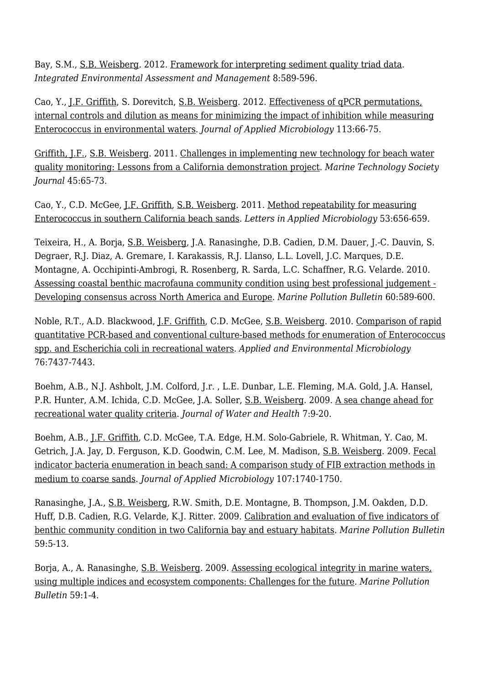Bay, S.M., [S.B. Weisberg.](http://www.sccwrp.org/about/staff/steve-weisberg/) 2012. [Framework for interpreting sediment quality triad data.](http://ftp.sccwrp.org/pub/download/DOCUMENTS/JournalArticles/720_FrameworkTriad_Abstract.pdf) *Integrated Environmental Assessment and Management* 8:589-596.

Cao, Y., [J.F. Griffith](http://www.sccwrp.org/about/staff/john-griffith/), S. Dorevitch, [S.B. Weisberg](http://www.sccwrp.org/about/staff/steve-weisberg/). 2012. [Effectiveness of qPCR permutations,](http://ftp.sccwrp.org/pub/download/DOCUMENTS/JournalArticles/712_ENTqPCR_Inhibition_Abstract.pdf) [internal controls and dilution as means for minimizing the impact of inhibition while measuring](http://ftp.sccwrp.org/pub/download/DOCUMENTS/JournalArticles/712_ENTqPCR_Inhibition_Abstract.pdf) [Enterococcus in environmental waters.](http://ftp.sccwrp.org/pub/download/DOCUMENTS/JournalArticles/712_ENTqPCR_Inhibition_Abstract.pdf) *Journal of Applied Microbiology* 113:66-75.

[Griffith, J.F.,](http://www.sccwrp.org/about/staff/john-griffith/) [S.B. Weisberg.](http://www.sccwrp.org/about/staff/steve-weisberg/) 2011. [Challenges in implementing new technology for beach water](http://ftp.sccwrp.org/pub/download/DOCUMENTS/JournalArticles/647_BWQmonitoring_LessonsFromCAdemo_Abstract.pdf) [quality monitoring: Lessons from a California demonstration project](http://ftp.sccwrp.org/pub/download/DOCUMENTS/JournalArticles/647_BWQmonitoring_LessonsFromCAdemo_Abstract.pdf). *Marine Technology Society Journal* 45:65-73.

Cao, Y., C.D. McGee, [J.F. Griffith](http://www.sccwrp.org/about/staff/john-griffith/), [S.B. Weisberg](http://www.sccwrp.org/about/staff/steve-weisberg/). 2011. [Method repeatability for measuring](http://ftp.sccwrp.org/pub/download/DOCUMENTS/JournalArticles/729_ENT_BeachSandMethodRepeatability_Abstract.pdf) [Enterococcus in southern California beach sands.](http://ftp.sccwrp.org/pub/download/DOCUMENTS/JournalArticles/729_ENT_BeachSandMethodRepeatability_Abstract.pdf) *Letters in Applied Microbiology* 53:656-659.

Teixeira, H., A. Borja, [S.B. Weisberg,](http://www.sccwrp.org/about/staff/steve-weisberg/) J.A. Ranasinghe, D.B. Cadien, D.M. Dauer, J.-C. Dauvin, S. Degraer, R.J. Diaz, A. Gremare, I. Karakassis, R.J. Llanso, L.L. Lovell, J.C. Marques, D.E. Montagne, A. Occhipinti-Ambrogi, R. Rosenberg, R. Sarda, L.C. Schaffner, R.G. Velarde. 2010. [Assessing coastal benthic macrofauna community condition using best professional judgement -](http://ftp.sccwrp.org/pub/download/DOCUMENTS/JournalArticles/612_BPJ_NorthAmEurope_Abstract.pdf) [Developing consensus across North America and Europe.](http://ftp.sccwrp.org/pub/download/DOCUMENTS/JournalArticles/612_BPJ_NorthAmEurope_Abstract.pdf) *Marine Pollution Bulletin* 60:589-600.

Noble, R.T., A.D. Blackwood, [J.F. Griffith](http://www.sccwrp.org/about/staff/john-griffith/), C.D. McGee, [S.B. Weisberg](http://www.sccwrp.org/about/staff/steve-weisberg/). 2010. [Comparison of rapid](http://ftp.sccwrp.org/pub/download/DOCUMENTS/JournalArticles/627_QPCRvCultureMethodENTandEcoli_Abstract.pdf) [quantitative PCR-based and conventional culture-based methods for enumeration of Enterococcus](http://ftp.sccwrp.org/pub/download/DOCUMENTS/JournalArticles/627_QPCRvCultureMethodENTandEcoli_Abstract.pdf) [spp. and Escherichia coli in recreational waters.](http://ftp.sccwrp.org/pub/download/DOCUMENTS/JournalArticles/627_QPCRvCultureMethodENTandEcoli_Abstract.pdf) *Applied and Environmental Microbiology* 76:7437-7443.

Boehm, A.B., N.J. Ashbolt, J.M. Colford, J.r. , L.E. Dunbar, L.E. Fleming, M.A. Gold, J.A. Hansel, P.R. Hunter, A.M. Ichida, C.D. McGee, J.A. Soller, [S.B. Weisberg.](http://www.sccwrp.org/about/staff/steve-weisberg/) 2009. [A sea change ahead for](http://ftp.sccwrp.org/pub/download/DOCUMENTS/JournalArticles/621_SeaChange_Abstract.pdf) [recreational water quality criteria](http://ftp.sccwrp.org/pub/download/DOCUMENTS/JournalArticles/621_SeaChange_Abstract.pdf). *Journal of Water and Health* 7:9-20.

Boehm, A.B., [J.F. Griffith](http://www.sccwrp.org/about/staff/john-griffith/), C.D. McGee, T.A. Edge, H.M. Solo-Gabriele, R. Whitman, Y. Cao, M. Getrich, J.A. Jay, D. Ferguson, K.D. Goodwin, C.M. Lee, M. Madison, [S.B. Weisberg.](http://www.sccwrp.org/about/staff/steve-weisberg/) 2009. [Fecal](http://ftp.sccwrp.org/pub/download/DOCUMENTS/JournalArticles/628_SandMethodEvaluation_Abstract.pdf) [indicator bacteria enumeration in beach sand: A comparison study of FIB extraction methods in](http://ftp.sccwrp.org/pub/download/DOCUMENTS/JournalArticles/628_SandMethodEvaluation_Abstract.pdf) [medium to coarse sands.](http://ftp.sccwrp.org/pub/download/DOCUMENTS/JournalArticles/628_SandMethodEvaluation_Abstract.pdf) *Journal of Applied Microbiology* 107:1740-1750.

Ranasinghe, J.A., [S.B. Weisberg,](http://www.sccwrp.org/about/staff/steve-weisberg/) R.W. Smith, D.E. Montagne, B. Thompson, J.M. Oakden, D.D. Huff, D.B. Cadien, R.G. Velarde, K.J. Ritter. 2009. [Calibration and evaluation of five indicators of](http://ftp.sccwrp.org/pub/download/DOCUMENTS/JournalArticles/577_CalibEval5Indicators_Abstract.pdf) [benthic community condition in two California bay and estuary habitats](http://ftp.sccwrp.org/pub/download/DOCUMENTS/JournalArticles/577_CalibEval5Indicators_Abstract.pdf). *Marine Pollution Bulletin* 59:5-13.

Borja, A., A. Ranasinghe, [S.B. Weisberg](http://www.sccwrp.org/about/staff/steve-weisberg/). 2009. [Assessing ecological integrity in marine waters,](http://ftp.sccwrp.org/pub/download/DOCUMENTS/JournalArticles/578_EcoIntegrityMultipleIndices_Abstract.pdf) [using multiple indices and ecosystem components: Challenges for the future](http://ftp.sccwrp.org/pub/download/DOCUMENTS/JournalArticles/578_EcoIntegrityMultipleIndices_Abstract.pdf). *Marine Pollution Bulletin* 59:1-4.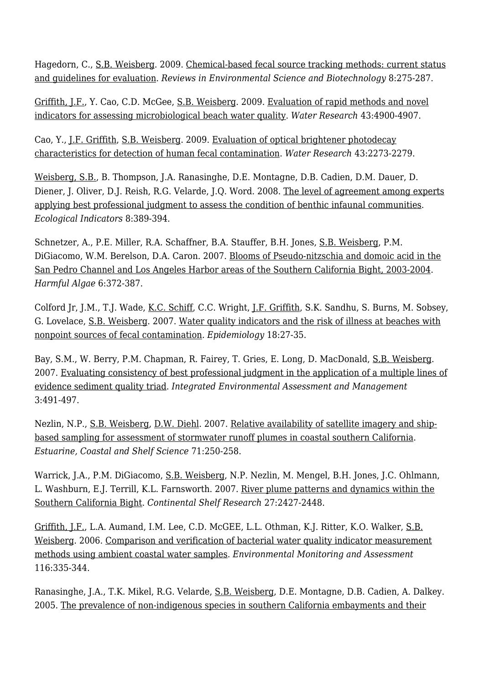Hagedorn, C., [S.B. Weisberg](http://www.sccwrp.org/about/staff/steve-weisberg/). 2009. [Chemical-based fecal source tracking methods: current status](http://ftp.sccwrp.org/pub/download/DOCUMENTS/JournalArticles/601_ChemicalBasedMST_Abstract.pdf) [and guidelines for evaluation](http://ftp.sccwrp.org/pub/download/DOCUMENTS/JournalArticles/601_ChemicalBasedMST_Abstract.pdf). *Reviews in Environmental Science and Biotechnology* 8:275-287.

[Griffith, J.F.,](http://www.sccwrp.org/about/staff/john-griffith/) Y. Cao, C.D. McGee, [S.B. Weisberg](http://www.sccwrp.org/about/staff/steve-weisberg/). 2009. [Evaluation of rapid methods and novel](http://ftp.sccwrp.org/pub/download/DOCUMENTS/JournalArticles/603_RapidNovelIndicatorsBeachWQ_Abstract.pdf) [indicators for assessing microbiological beach water quality.](http://ftp.sccwrp.org/pub/download/DOCUMENTS/JournalArticles/603_RapidNovelIndicatorsBeachWQ_Abstract.pdf) *Water Research* 43:4900-4907.

Cao, Y., [J.F. Griffith](http://www.sccwrp.org/about/staff/john-griffith/), [S.B. Weisberg](http://www.sccwrp.org/about/staff/steve-weisberg/). 2009. [Evaluation of optical brightener photodecay](http://ftp.sccwrp.org/pub/download/DOCUMENTS/JournalArticles/584_OBPhotodecay_FecalContam_Abstract.pdf) [characteristics for detection of human fecal contamination](http://ftp.sccwrp.org/pub/download/DOCUMENTS/JournalArticles/584_OBPhotodecay_FecalContam_Abstract.pdf). *Water Research* 43:2273-2279.

[Weisberg, S.B.](http://www.sccwrp.org/about/staff/steve-weisberg/), B. Thompson, J.A. Ranasinghe, D.E. Montagne, D.B. Cadien, D.M. Dauer, D. Diener, J. Oliver, D.J. Reish, R.G. Velarde, J.Q. Word. 2008. [The level of agreement among experts](http://ftp.sccwrp.org/pub/download/DOCUMENTS/JournalArticles/557_BPJGoldStandard_Abstract.pdf) [applying best professional judgment to assess the condition of benthic infaunal communities.](http://ftp.sccwrp.org/pub/download/DOCUMENTS/JournalArticles/557_BPJGoldStandard_Abstract.pdf) *Ecological Indicators* 8:389-394.

Schnetzer, A., P.E. Miller, R.A. Schaffner, B.A. Stauffer, B.H. Jones, [S.B. Weisberg](http://www.sccwrp.org/about/staff/steve-weisberg/), P.M. DiGiacomo, W.M. Berelson, D.A. Caron. 2007. [Blooms of Pseudo-nitzschia and domoic acid in the](http://ftp.sccwrp.org/pub/download/DOCUMENTS/JournalArticles/514_pnitzschia_domoicacid_HABs_Abstract.pdf) [San Pedro Channel and Los Angeles Harbor areas of the Southern California Bight, 2003-2004](http://ftp.sccwrp.org/pub/download/DOCUMENTS/JournalArticles/514_pnitzschia_domoicacid_HABs_Abstract.pdf). *Harmful Algae* 6:372-387.

Colford Jr, J.M., T.J. Wade, [K.C. Schiff](http://www.sccwrp.org/about/staff/ken-schiff/), C.C. Wright, [J.F. Griffith,](http://www.sccwrp.org/about/staff/john-griffith/) S.K. Sandhu, S. Burns, M. Sobsey, G. Lovelace, [S.B. Weisberg.](http://www.sccwrp.org/about/staff/steve-weisberg/) 2007. [Water quality indicators and the risk of illness at beaches with](http://ftp.sccwrp.org/pub/download/DOCUMENTS/JournalArticles/498_wq_indicators_nonpoint_fecal_contam_Abstract.pdf) [nonpoint sources of fecal contamination.](http://ftp.sccwrp.org/pub/download/DOCUMENTS/JournalArticles/498_wq_indicators_nonpoint_fecal_contam_Abstract.pdf) *Epidemiology* 18:27-35.

Bay, S.M., W. Berry, P.M. Chapman, R. Fairey, T. Gries, E. Long, D. MacDonald, [S.B. Weisberg](http://www.sccwrp.org/about/staff/steve-weisberg/). 2007. [Evaluating consistency of best professional judgment in the application of a multiple lines of](http://ftp.sccwrp.org/pub/download/DOCUMENTS/JournalArticles/525_BPJ_MLOE_SedQualTriad_Abstract.pdf) [evidence sediment quality triad.](http://ftp.sccwrp.org/pub/download/DOCUMENTS/JournalArticles/525_BPJ_MLOE_SedQualTriad_Abstract.pdf) *Integrated Environmental Assessment and Management* 3:491-497.

Nezlin, N.P., [S.B. Weisberg](http://www.sccwrp.org/about/staff/steve-weisberg/), [D.W. Diehl.](http://www.sccwrp.org/about/staff/dario-diehl/) 2007. [Relative availability of satellite imagery and ship](http://ftp.sccwrp.org/pub/download/DOCUMENTS/JournalArticles/497_sat_v_ship_imagery.pdf)[based sampling for assessment of stormwater runoff plumes in coastal southern California.](http://ftp.sccwrp.org/pub/download/DOCUMENTS/JournalArticles/497_sat_v_ship_imagery.pdf) *Estuarine, Coastal and Shelf Science* 71:250-258.

Warrick, J.A., P.M. DiGiacomo, [S.B. Weisberg](http://www.sccwrp.org/about/staff/steve-weisberg/), N.P. Nezlin, M. Mengel, B.H. Jones, J.C. Ohlmann, L. Washburn, E.J. Terrill, K.L. Farnsworth. 2007. [River plume patterns and dynamics within the](http://ftp.sccwrp.org/pub/download/DOCUMENTS/JournalArticles/531_river_plumes_JA_Abstract.pdf) [Southern California Bight.](http://ftp.sccwrp.org/pub/download/DOCUMENTS/JournalArticles/531_river_plumes_JA_Abstract.pdf) *Continental Shelf Research* 27:2427-2448.

[Griffith, J.F.,](http://www.sccwrp.org/about/staff/john-griffith/) L.A. Aumand, I.M. Lee, C.D. McGEE, L.L. Othman, K.J. Ritter, K.O. Walker, [S.B.](http://www.sccwrp.org/about/staff/steve-weisberg/) [Weisberg](http://www.sccwrp.org/about/staff/steve-weisberg/). 2006. [Comparison and verification of bacterial water quality indicator measurement](http://ftp.sccwrp.org/pub/download/DOCUMENTS/JournalArticles/491_method_comparison.pdf) [methods using ambient coastal water samples](http://ftp.sccwrp.org/pub/download/DOCUMENTS/JournalArticles/491_method_comparison.pdf). *Environmental Monitoring and Assessment* 116:335-344.

Ranasinghe, J.A., T.K. Mikel, R.G. Velarde, [S.B. Weisberg,](http://www.sccwrp.org/about/staff/steve-weisberg/) D.E. Montagne, D.B. Cadien, A. Dalkey. 2005. [The prevalence of non-indigenous species in southern California embayments and their](http://ftp.sccwrp.org/pub/download/DOCUMENTS/PublicationNotAvailable.pdf)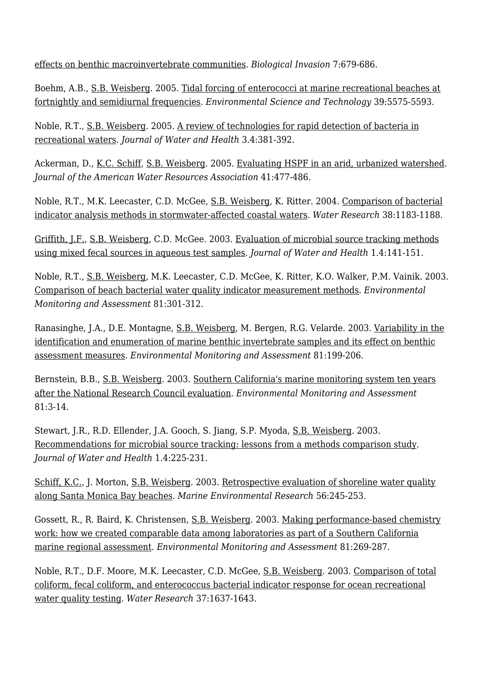[effects on benthic macroinvertebrate communities.](http://ftp.sccwrp.org/pub/download/DOCUMENTS/PublicationNotAvailable.pdf) *Biological Invasion* 7:679-686.

Boehm, A.B., [S.B. Weisberg.](http://www.sccwrp.org/about/staff/steve-weisberg/) 2005. [Tidal forcing of enterococci at marine recreational beaches at](http://ftp.sccwrp.org/pub/download/DOCUMENTS/PublicationNotAvailable.pdf) [fortnightly and semidiurnal frequencies.](http://ftp.sccwrp.org/pub/download/DOCUMENTS/PublicationNotAvailable.pdf) *Environmental Science and Technology* 39:5575-5593.

Noble, R.T., [S.B. Weisberg](http://www.sccwrp.org/about/staff/steve-weisberg/). 2005. [A review of technologies for rapid detection of bacteria in](http://ftp.sccwrp.org/pub/download/DOCUMENTS/JournalArticles/479_rapid_detection_recreational_waters.pdf) [recreational waters](http://ftp.sccwrp.org/pub/download/DOCUMENTS/JournalArticles/479_rapid_detection_recreational_waters.pdf). *Journal of Water and Health* 3.4:381-392.

Ackerman, D., [K.C. Schiff,](http://www.sccwrp.org/about/staff/ken-schiff/) [S.B. Weisberg.](http://www.sccwrp.org/about/staff/steve-weisberg/) 2005. [Evaluating HSPF in an arid, urbanized watershed.](http://ftp.sccwrp.org/pub/download/DOCUMENTS/JournalArticles/452_hspf.pdf) *Journal of the American Water Resources Association* 41:477-486.

Noble, R.T., M.K. Leecaster, C.D. McGee, [S.B. Weisberg,](http://www.sccwrp.org/about/staff/steve-weisberg/) K. Ritter. 2004. [Comparison of bacterial](http://ftp.sccwrp.org/pub/download/DOCUMENTS/PublicationNotAvailable.pdf) [indicator analysis methods in stormwater-affected coastal waters](http://ftp.sccwrp.org/pub/download/DOCUMENTS/PublicationNotAvailable.pdf). *Water Research* 38:1183-1188.

[Griffith, J.F.,](http://www.sccwrp.org/about/staff/john-griffith/) [S.B. Weisberg,](http://www.sccwrp.org/about/staff/steve-weisberg/) C.D. McGee. 2003. [Evaluation of microbial source tracking methods](http://ftp.sccwrp.org/pub/download/DOCUMENTS/JournalArticles/422_evaluation_of_micro.pdf) [using mixed fecal sources in aqueous test samples.](http://ftp.sccwrp.org/pub/download/DOCUMENTS/JournalArticles/422_evaluation_of_micro.pdf) *Journal of Water and Health* 1.4:141-151.

Noble, R.T., [S.B. Weisberg](http://www.sccwrp.org/about/staff/steve-weisberg/), M.K. Leecaster, C.D. McGee, K. Ritter, K.O. Walker, P.M. Vainik. 2003. [Comparison of beach bacterial water quality indicator measurement methods](http://ftp.sccwrp.org/pub/download/DOCUMENTS/PublicationNotAvailable.pdf). *Environmental Monitoring and Assessment* 81:301-312.

Ranasinghe, J.A., D.E. Montagne, [S.B. Weisberg,](http://www.sccwrp.org/about/staff/steve-weisberg/) M. Bergen, R.G. Velarde. 2003. [Variability in the](http://ftp.sccwrp.org/pub/download/DOCUMENTS/JournalArticles/379_variability.pdf) [identification and enumeration of marine benthic invertebrate samples and its effect on benthic](http://ftp.sccwrp.org/pub/download/DOCUMENTS/JournalArticles/379_variability.pdf) [assessment measures.](http://ftp.sccwrp.org/pub/download/DOCUMENTS/JournalArticles/379_variability.pdf) *Environmental Monitoring and Assessment* 81:199-206.

Bernstein, B.B., [S.B. Weisberg](http://www.sccwrp.org/about/staff/steve-weisberg/). 2003. [Southern California's marine monitoring system ten years](http://ftp.sccwrp.org/pub/download/DOCUMENTS/PublicationNotAvailable.pdf) [after the National Research Council evaluation](http://ftp.sccwrp.org/pub/download/DOCUMENTS/PublicationNotAvailable.pdf). *Environmental Monitoring and Assessment* 81:3-14.

Stewart, J.R., R.D. Ellender, J.A. Gooch, S. Jiang, S.P. Myoda, [S.B. Weisberg.](http://www.sccwrp.org/about/staff/steve-weisberg/) 2003. [Recommendations for microbial source tracking: lessons from a methods comparison study.](http://ftp.sccwrp.org/pub/download/DOCUMENTS/JournalArticles/425_recommendations_for_micro.pdf) *Journal of Water and Health* 1.4:225-231.

[Schiff, K.C.,](http://www.sccwrp.org/about/staff/ken-schiff/) J. Morton, [S.B. Weisberg.](http://www.sccwrp.org/about/staff/steve-weisberg/) 2003. [Retrospective evaluation of shoreline water quality](http://ftp.sccwrp.org/pub/download/DOCUMENTS/JournalArticles/398_SMBShorelineWaterRetrospectiveEval_Abstract.pdf) [along Santa Monica Bay beaches](http://ftp.sccwrp.org/pub/download/DOCUMENTS/JournalArticles/398_SMBShorelineWaterRetrospectiveEval_Abstract.pdf). *Marine Environmental Research* 56:245-253.

Gossett, R., R. Baird, K. Christensen, [S.B. Weisberg](http://www.sccwrp.org/about/staff/steve-weisberg/). 2003. [Making performance-based chemistry](http://ftp.sccwrp.org/pub/download/DOCUMENTS/JournalArticles/387_MakingPerformBasedChemWork_Abstract.pdf) [work: how we created comparable data among laboratories as part of a Southern California](http://ftp.sccwrp.org/pub/download/DOCUMENTS/JournalArticles/387_MakingPerformBasedChemWork_Abstract.pdf) [marine regional assessment.](http://ftp.sccwrp.org/pub/download/DOCUMENTS/JournalArticles/387_MakingPerformBasedChemWork_Abstract.pdf) *Environmental Monitoring and Assessment* 81:269-287.

Noble, R.T., D.F. Moore, M.K. Leecaster, C.D. McGee, [S.B. Weisberg.](http://www.sccwrp.org/about/staff/steve-weisberg/) 2003. [Comparison of total](http://ftp.sccwrp.org/pub/download/DOCUMENTS/JournalArticles/383_micro_indicator.pdf) [coliform, fecal coliform, and enterococcus bacterial indicator response for ocean recreational](http://ftp.sccwrp.org/pub/download/DOCUMENTS/JournalArticles/383_micro_indicator.pdf) [water quality testing](http://ftp.sccwrp.org/pub/download/DOCUMENTS/JournalArticles/383_micro_indicator.pdf). *Water Research* 37:1637-1643.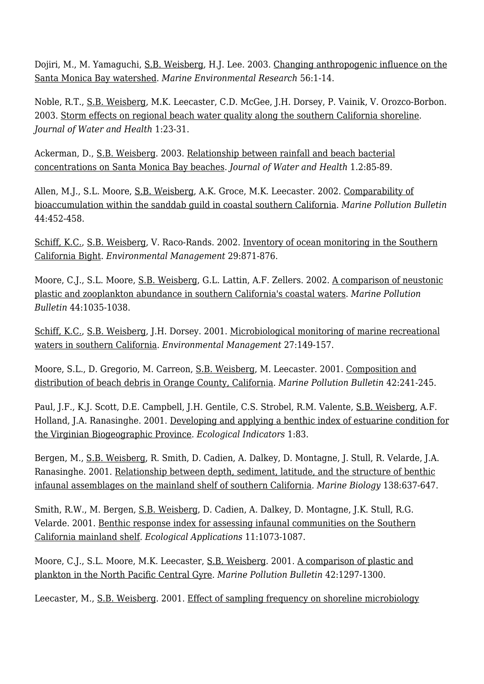Dojiri, M., M. Yamaguchi, [S.B. Weisberg](http://www.sccwrp.org/about/staff/steve-weisberg/), H.J. Lee. 2003. [Changing anthropogenic influence on the](http://ftp.sccwrp.org/pub/download/DOCUMENTS/PublicationNotAvailable.pdf) [Santa Monica Bay watershed.](http://ftp.sccwrp.org/pub/download/DOCUMENTS/PublicationNotAvailable.pdf) *Marine Environmental Research* 56:1-14.

Noble, R.T., [S.B. Weisberg](http://www.sccwrp.org/about/staff/steve-weisberg/), M.K. Leecaster, C.D. McGee, J.H. Dorsey, P. Vainik, V. Orozco-Borbon. 2003. [Storm effects on regional beach water quality along the southern California shoreline.](http://ftp.sccwrp.org/pub/download/DOCUMENTS/JournalArticles/0384_Abstract.pdf) *Journal of Water and Health* 1:23-31.

Ackerman, D., [S.B. Weisberg](http://www.sccwrp.org/about/staff/steve-weisberg/). 2003. [Relationship between rainfall and beach bacterial](http://ftp.sccwrp.org/pub/download/DOCUMENTS/JournalArticles/404_rain_study.pdf) [concentrations on Santa Monica Bay beaches](http://ftp.sccwrp.org/pub/download/DOCUMENTS/JournalArticles/404_rain_study.pdf). *Journal of Water and Health* 1.2:85-89.

Allen, M.J., S.L. Moore, [S.B. Weisberg](http://www.sccwrp.org/about/staff/steve-weisberg/), A.K. Groce, M.K. Leecaster. 2002. [Comparability of](http://ftp.sccwrp.org/pub/download/DOCUMENTS/PublicationNotAvailable.pdf) [bioaccumulation within the sanddab guild in coastal southern California.](http://ftp.sccwrp.org/pub/download/DOCUMENTS/PublicationNotAvailable.pdf) *Marine Pollution Bulletin* 44:452-458.

[Schiff, K.C.,](http://www.sccwrp.org/about/staff/ken-schiff/) [S.B. Weisberg,](http://www.sccwrp.org/about/staff/steve-weisberg/) V. Raco-Rands. 2002. [Inventory of ocean monitoring in the Southern](http://ftp.sccwrp.org/pub/download/DOCUMENTS/PublicationNotAvailable.pdf) [California Bight](http://ftp.sccwrp.org/pub/download/DOCUMENTS/PublicationNotAvailable.pdf). *Environmental Management* 29:871-876.

Moore, C.J., S.L. Moore, [S.B. Weisberg,](http://www.sccwrp.org/about/staff/steve-weisberg/) G.L. Lattin, A.F. Zellers. 2002. [A comparison of neustonic](http://ftp.sccwrp.org/pub/download/DOCUMENTS/PublicationNotAvailable.pdf) [plastic and zooplankton abundance in southern California's coastal waters](http://ftp.sccwrp.org/pub/download/DOCUMENTS/PublicationNotAvailable.pdf). *Marine Pollution Bulletin* 44:1035-1038.

[Schiff, K.C.,](http://www.sccwrp.org/about/staff/ken-schiff/) [S.B. Weisberg,](http://www.sccwrp.org/about/staff/steve-weisberg/) J.H. Dorsey. 2001. [Microbiological monitoring of marine recreational](http://ftp.sccwrp.org/pub/download/DOCUMENTS/PublicationNotAvailable.pdf) [waters in southern California](http://ftp.sccwrp.org/pub/download/DOCUMENTS/PublicationNotAvailable.pdf). *Environmental Management* 27:149-157.

Moore, S.L., D. Gregorio, M. Carreon, [S.B. Weisberg](http://www.sccwrp.org/about/staff/steve-weisberg/), M. Leecaster. 2001. [Composition and](http://ftp.sccwrp.org/pub/download/DOCUMENTS/PublicationNotAvailable.pdf) [distribution of beach debris in Orange County, California](http://ftp.sccwrp.org/pub/download/DOCUMENTS/PublicationNotAvailable.pdf). *Marine Pollution Bulletin* 42:241-245.

Paul, J.F., K.J. Scott, D.E. Campbell, J.H. Gentile, C.S. Strobel, R.M. Valente, [S.B. Weisberg,](http://www.sccwrp.org/about/staff/steve-weisberg/) A.F. Holland, J.A. Ranasinghe. 2001. [Developing and applying a benthic index of estuarine condition for](http://ftp.sccwrp.org/pub/download/DOCUMENTS/PublicationNotAvailable.pdf) [the Virginian Biogeographic Province.](http://ftp.sccwrp.org/pub/download/DOCUMENTS/PublicationNotAvailable.pdf) *Ecological Indicators* 1:83.

Bergen, M., [S.B. Weisberg,](http://www.sccwrp.org/about/staff/steve-weisberg/) R. Smith, D. Cadien, A. Dalkey, D. Montagne, J. Stull, R. Velarde, J.A. Ranasinghe. 2001. [Relationship between depth, sediment, latitude, and the structure of benthic](http://ftp.sccwrp.org/pub/download/DOCUMENTS/PublicationNotAvailable.pdf) [infaunal assemblages on the mainland shelf of southern California](http://ftp.sccwrp.org/pub/download/DOCUMENTS/PublicationNotAvailable.pdf). *Marine Biology* 138:637-647.

Smith, R.W., M. Bergen, [S.B. Weisberg](http://www.sccwrp.org/about/staff/steve-weisberg/), D. Cadien, A. Dalkey, D. Montagne, J.K. Stull, R.G. Velarde. 2001. [Benthic response index for assessing infaunal communities on the Southern](http://ftp.sccwrp.org/pub/download/DOCUMENTS/JournalArticles/345_BenthicResponseIndexForInfaunalCommunitiesSoCal_Abstract.pdf) [California mainland shelf](http://ftp.sccwrp.org/pub/download/DOCUMENTS/JournalArticles/345_BenthicResponseIndexForInfaunalCommunitiesSoCal_Abstract.pdf). *Ecological Applications* 11:1073-1087.

Moore, C.J., S.L. Moore, M.K. Leecaster, [S.B. Weisberg](http://www.sccwrp.org/about/staff/steve-weisberg/). 2001. [A comparison of plastic and](http://ftp.sccwrp.org/pub/download/DOCUMENTS/JournalArticles/354_PlasticAndPlanktonInNPCGyre_Abstract.pdf) [plankton in the North Pacific Central Gyre](http://ftp.sccwrp.org/pub/download/DOCUMENTS/JournalArticles/354_PlasticAndPlanktonInNPCGyre_Abstract.pdf). *Marine Pollution Bulletin* 42:1297-1300.

Leecaster, M., [S.B. Weisberg](http://www.sccwrp.org/about/staff/steve-weisberg/). 2001. [Effect of sampling frequency on shoreline microbiology](http://ftp.sccwrp.org/pub/download/DOCUMENTS/JournalArticles/349_MicrobiologySamplingFrequency_Abstract.pdf)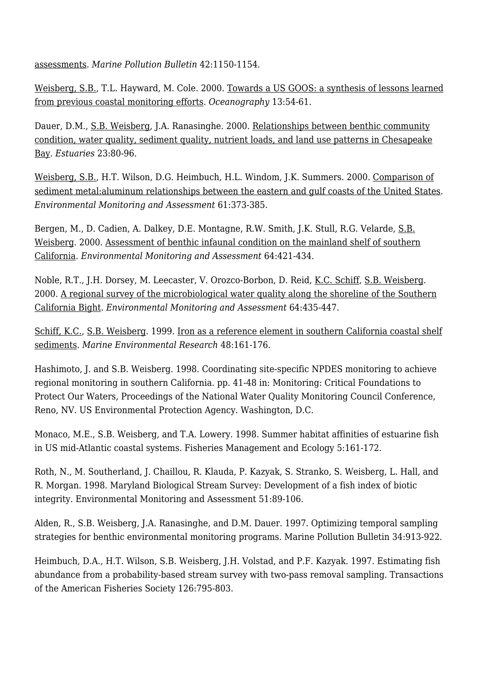[assessments.](http://ftp.sccwrp.org/pub/download/DOCUMENTS/JournalArticles/349_MicrobiologySamplingFrequency_Abstract.pdf) *Marine Pollution Bulletin* 42:1150-1154.

[Weisberg, S.B.](http://www.sccwrp.org/about/staff/steve-weisberg/), T.L. Hayward, M. Cole. 2000. [Towards a US GOOS: a synthesis of lessons learned](http://ftp.sccwrp.org/pub/download/DOCUMENTS/PublicationNotAvailable.pdf) [from previous coastal monitoring efforts](http://ftp.sccwrp.org/pub/download/DOCUMENTS/PublicationNotAvailable.pdf). *Oceanography* 13:54-61.

Dauer, D.M., [S.B. Weisberg](http://www.sccwrp.org/about/staff/steve-weisberg/), J.A. Ranasinghe. 2000. [Relationships between benthic community](http://ftp.sccwrp.org/pub/download/DOCUMENTS/PublicationNotAvailable.pdf) [condition, water quality, sediment quality, nutrient loads, and land use patterns in Chesapeake](http://ftp.sccwrp.org/pub/download/DOCUMENTS/PublicationNotAvailable.pdf) [Bay.](http://ftp.sccwrp.org/pub/download/DOCUMENTS/PublicationNotAvailable.pdf) *Estuaries* 23:80-96.

[Weisberg, S.B.](http://www.sccwrp.org/about/staff/steve-weisberg/), H.T. Wilson, D.G. Heimbuch, H.L. Windom, J.K. Summers. 2000. [Comparison of](http://ftp.sccwrp.org/pub/download/DOCUMENTS/PublicationNotAvailable.pdf) [sediment metal:aluminum relationships between the eastern and gulf coasts of the United States](http://ftp.sccwrp.org/pub/download/DOCUMENTS/PublicationNotAvailable.pdf). *Environmental Monitoring and Assessment* 61:373-385.

Bergen, M., D. Cadien, A. Dalkey, D.E. Montagne, R.W. Smith, J.K. Stull, R.G. Velarde, [S.B.](http://www.sccwrp.org/about/staff/steve-weisberg/) [Weisberg](http://www.sccwrp.org/about/staff/steve-weisberg/). 2000. [Assessment of benthic infaunal condition on the mainland shelf of southern](http://ftp.sccwrp.org/pub/download/DOCUMENTS/PublicationNotAvailable.pdf) [California](http://ftp.sccwrp.org/pub/download/DOCUMENTS/PublicationNotAvailable.pdf). *Environmental Monitoring and Assessment* 64:421-434.

Noble, R.T., J.H. Dorsey, M. Leecaster, V. Orozco-Borbon, D. Reid, [K.C. Schiff,](http://www.sccwrp.org/about/staff/ken-schiff/) [S.B. Weisberg](http://www.sccwrp.org/about/staff/steve-weisberg/). 2000. [A regional survey of the microbiological water quality along the shoreline of the Southern](http://ftp.sccwrp.org/pub/download/DOCUMENTS/JournalArticles/0328_Abstract.pdf) [California Bight](http://ftp.sccwrp.org/pub/download/DOCUMENTS/JournalArticles/0328_Abstract.pdf). *Environmental Monitoring and Assessment* 64:435-447.

[Schiff, K.C.,](http://www.sccwrp.org/about/staff/ken-schiff/) [S.B. Weisberg.](http://www.sccwrp.org/about/staff/steve-weisberg/) 1999. [Iron as a reference element in southern California coastal shelf](http://ftp.sccwrp.org/pub/download/DOCUMENTS/PublicationNotAvailable.pdf) [sediments.](http://ftp.sccwrp.org/pub/download/DOCUMENTS/PublicationNotAvailable.pdf) *Marine Environmental Research* 48:161-176.

Hashimoto, J. and S.B. Weisberg. 1998. Coordinating site-specific NPDES monitoring to achieve regional monitoring in southern California. pp. 41-48 in: Monitoring: Critical Foundations to Protect Our Waters, Proceedings of the National Water Quality Monitoring Council Conference, Reno, NV. US Environmental Protection Agency. Washington, D.C.

Monaco, M.E., S.B. Weisberg, and T.A. Lowery. 1998. Summer habitat affinities of estuarine fish in US mid-Atlantic coastal systems. Fisheries Management and Ecology 5:161-172.

Roth, N., M. Southerland, J. Chaillou, R. Klauda, P. Kazyak, S. Stranko, S. Weisberg, L. Hall, and R. Morgan. 1998. Maryland Biological Stream Survey: Development of a fish index of biotic integrity. Environmental Monitoring and Assessment 51:89-106.

Alden, R., S.B. Weisberg, J.A. Ranasinghe, and D.M. Dauer. 1997. Optimizing temporal sampling strategies for benthic environmental monitoring programs. Marine Pollution Bulletin 34:913-922.

Heimbuch, D.A., H.T. Wilson, S.B. Weisberg, J.H. Volstad, and P.F. Kazyak. 1997. Estimating fish abundance from a probability-based stream survey with two-pass removal sampling. Transactions of the American Fisheries Society 126:795-803.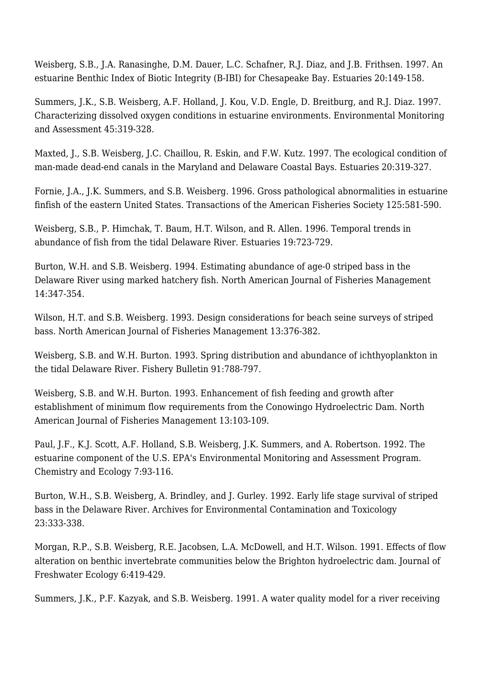Weisberg, S.B., J.A. Ranasinghe, D.M. Dauer, L.C. Schafner, R.J. Diaz, and J.B. Frithsen. 1997. An estuarine Benthic Index of Biotic Integrity (B-IBI) for Chesapeake Bay. Estuaries 20:149-158.

Summers, J.K., S.B. Weisberg, A.F. Holland, J. Kou, V.D. Engle, D. Breitburg, and R.J. Diaz. 1997. Characterizing dissolved oxygen conditions in estuarine environments. Environmental Monitoring and Assessment 45:319-328.

Maxted, J., S.B. Weisberg, J.C. Chaillou, R. Eskin, and F.W. Kutz. 1997. The ecological condition of man-made dead-end canals in the Maryland and Delaware Coastal Bays. Estuaries 20:319-327.

Fornie, J.A., J.K. Summers, and S.B. Weisberg. 1996. Gross pathological abnormalities in estuarine finfish of the eastern United States. Transactions of the American Fisheries Society 125:581-590.

Weisberg, S.B., P. Himchak, T. Baum, H.T. Wilson, and R. Allen. 1996. Temporal trends in abundance of fish from the tidal Delaware River. Estuaries 19:723-729.

Burton, W.H. and S.B. Weisberg. 1994. Estimating abundance of age-0 striped bass in the Delaware River using marked hatchery fish. North American Journal of Fisheries Management 14:347-354.

Wilson, H.T. and S.B. Weisberg. 1993. Design considerations for beach seine surveys of striped bass. North American Journal of Fisheries Management 13:376-382.

Weisberg, S.B. and W.H. Burton. 1993. Spring distribution and abundance of ichthyoplankton in the tidal Delaware River. Fishery Bulletin 91:788-797.

Weisberg, S.B. and W.H. Burton. 1993. Enhancement of fish feeding and growth after establishment of minimum flow requirements from the Conowingo Hydroelectric Dam. North American Journal of Fisheries Management 13:103-109.

Paul, J.F., K.J. Scott, A.F. Holland, S.B. Weisberg, J.K. Summers, and A. Robertson. 1992. The estuarine component of the U.S. EPA's Environmental Monitoring and Assessment Program. Chemistry and Ecology 7:93-116.

Burton, W.H., S.B. Weisberg, A. Brindley, and J. Gurley. 1992. Early life stage survival of striped bass in the Delaware River. Archives for Environmental Contamination and Toxicology 23:333-338.

Morgan, R.P., S.B. Weisberg, R.E. Jacobsen, L.A. McDowell, and H.T. Wilson. 1991. Effects of flow alteration on benthic invertebrate communities below the Brighton hydroelectric dam. Journal of Freshwater Ecology 6:419-429.

Summers, J.K., P.F. Kazyak, and S.B. Weisberg. 1991. A water quality model for a river receiving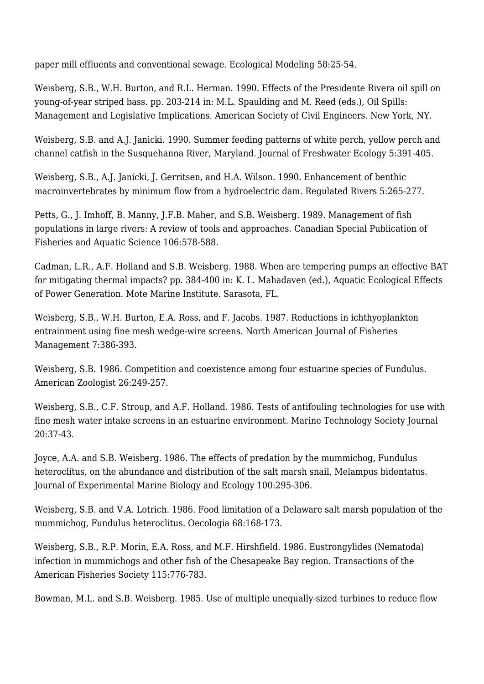paper mill effluents and conventional sewage. Ecological Modeling 58:25-54.

Weisberg, S.B., W.H. Burton, and R.L. Herman. 1990. Effects of the Presidente Rivera oil spill on young-of-year striped bass. pp. 203-214 in: M.L. Spaulding and M. Reed (eds.), Oil Spills: Management and Legislative Implications. American Society of Civil Engineers. New York, NY.

Weisberg, S.B. and A.J. Janicki. 1990. Summer feeding patterns of white perch, yellow perch and channel catfish in the Susquehanna River, Maryland. Journal of Freshwater Ecology 5:391-405.

Weisberg, S.B., A.J. Janicki, J. Gerritsen, and H.A. Wilson. 1990. Enhancement of benthic macroinvertebrates by minimum flow from a hydroelectric dam. Regulated Rivers 5:265-277.

Petts, G., J. Imhoff, B. Manny, J.F.B. Maher, and S.B. Weisberg. 1989. Management of fish populations in large rivers: A review of tools and approaches. Canadian Special Publication of Fisheries and Aquatic Science 106:578-588.

Cadman, L.R., A.F. Holland and S.B. Weisberg. 1988. When are tempering pumps an effective BAT for mitigating thermal impacts? pp. 384-400 in: K. L. Mahadaven (ed.), Aquatic Ecological Effects of Power Generation. Mote Marine Institute. Sarasota, FL.

Weisberg, S.B., W.H. Burton, E.A. Ross, and F. Jacobs. 1987. Reductions in ichthyoplankton entrainment using fine mesh wedge-wire screens. North American Journal of Fisheries Management 7:386-393.

Weisberg, S.B. 1986. Competition and coexistence among four estuarine species of Fundulus. American Zoologist 26:249-257.

Weisberg, S.B., C.F. Stroup, and A.F. Holland. 1986. Tests of antifouling technologies for use with fine mesh water intake screens in an estuarine environment. Marine Technology Society Journal 20:37-43.

Joyce, A.A. and S.B. Weisberg. 1986. The effects of predation by the mummichog, Fundulus heteroclitus, on the abundance and distribution of the salt marsh snail, Melampus bidentatus. Journal of Experimental Marine Biology and Ecology 100:295-306.

Weisberg, S.B. and V.A. Lotrich. 1986. Food limitation of a Delaware salt marsh population of the mummichog, Fundulus heteroclitus. Oecologia 68:168-173.

Weisberg, S.B., R.P. Morin, E.A. Ross, and M.F. Hirshfield. 1986. Eustrongylides (Nematoda) infection in mummichogs and other fish of the Chesapeake Bay region. Transactions of the American Fisheries Society 115:776-783.

Bowman, M.L. and S.B. Weisberg. 1985. Use of multiple unequally-sized turbines to reduce flow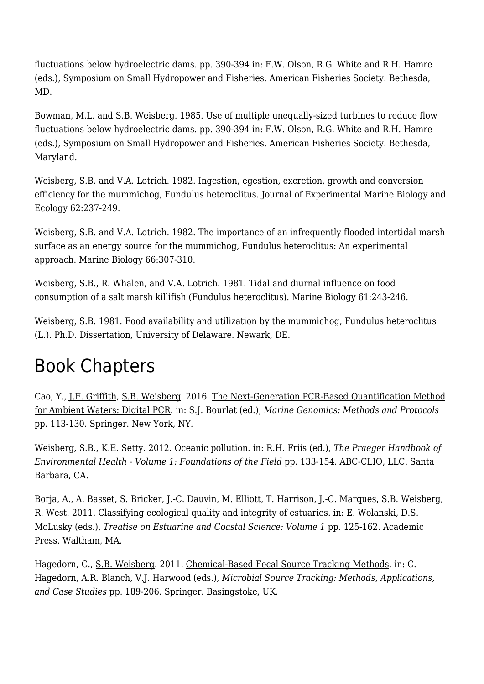fluctuations below hydroelectric dams. pp. 390-394 in: F.W. Olson, R.G. White and R.H. Hamre (eds.), Symposium on Small Hydropower and Fisheries. American Fisheries Society. Bethesda, MD.

Bowman, M.L. and S.B. Weisberg. 1985. Use of multiple unequally-sized turbines to reduce flow fluctuations below hydroelectric dams. pp. 390-394 in: F.W. Olson, R.G. White and R.H. Hamre (eds.), Symposium on Small Hydropower and Fisheries. American Fisheries Society. Bethesda, Maryland.

Weisberg, S.B. and V.A. Lotrich. 1982. Ingestion, egestion, excretion, growth and conversion efficiency for the mummichog, Fundulus heteroclitus. Journal of Experimental Marine Biology and Ecology 62:237-249.

Weisberg, S.B. and V.A. Lotrich. 1982. The importance of an infrequently flooded intertidal marsh surface as an energy source for the mummichog, Fundulus heteroclitus: An experimental approach. Marine Biology 66:307-310.

Weisberg, S.B., R. Whalen, and V.A. Lotrich. 1981. Tidal and diurnal influence on food consumption of a salt marsh killifish (Fundulus heteroclitus). Marine Biology 61:243-246.

Weisberg, S.B. 1981. Food availability and utilization by the mummichog, Fundulus heteroclitus (L.). Ph.D. Dissertation, University of Delaware. Newark, DE.

### Book Chapters

Cao, Y., [J.F. Griffith](http://www.sccwrp.org/about/staff/john-griffith/), [S.B. Weisberg](http://www.sccwrp.org/about/staff/steve-weisberg/). 2016. [The Next-Generation PCR-Based Quantification Method](http://ftp.sccwrp.org/pub/download/DOCUMENTS/JournalArticles/951_NextGenPCRBasedQuantMethodForAmbWaters_Abstract.pdf) [for Ambient Waters: Digital PCR.](http://ftp.sccwrp.org/pub/download/DOCUMENTS/JournalArticles/951_NextGenPCRBasedQuantMethodForAmbWaters_Abstract.pdf) in: S.J. Bourlat (ed.), *Marine Genomics: Methods and Protocols* pp. 113-130. Springer. New York, NY.

[Weisberg, S.B.](http://www.sccwrp.org/about/staff/steve-weisberg/), K.E. Setty. 2012. [Oceanic pollution.](http://ftp.sccwrp.org/pub/download/DOCUMENTS/JournalArticles/738_OceanicPollution_Abstract.pdf) in: R.H. Friis (ed.), *The Praeger Handbook of Environmental Health - Volume 1: Foundations of the Field* pp. 133-154. ABC-CLIO, LLC. Santa Barbara, CA.

Borja, A., A. Basset, S. Bricker, J.-C. Dauvin, M. Elliott, T. Harrison, J.-C. Marques, [S.B. Weisberg,](http://www.sccwrp.org/about/staff/steve-weisberg/) R. West. 2011. [Classifying ecological quality and integrity of estuaries.](http://ftp.sccwrp.org/pub/download/DOCUMENTS/JournalArticles/700_ClassifEcolQualityIntegrityEsutar_Abstract.pdf) in: E. Wolanski, D.S. McLusky (eds.), *Treatise on Estuarine and Coastal Science: Volume 1* pp. 125-162. Academic Press. Waltham, MA.

Hagedorn, C., [S.B. Weisberg](http://www.sccwrp.org/about/staff/steve-weisberg/). 2011. [Chemical-Based Fecal Source Tracking Methods.](http://ftp.sccwrp.org/pub/download/DOCUMENTS/JournalArticles/0652_Abstract.pdf) in: C. Hagedorn, A.R. Blanch, V.J. Harwood (eds.), *Microbial Source Tracking: Methods, Applications, and Case Studies* pp. 189-206. Springer. Basingstoke, UK.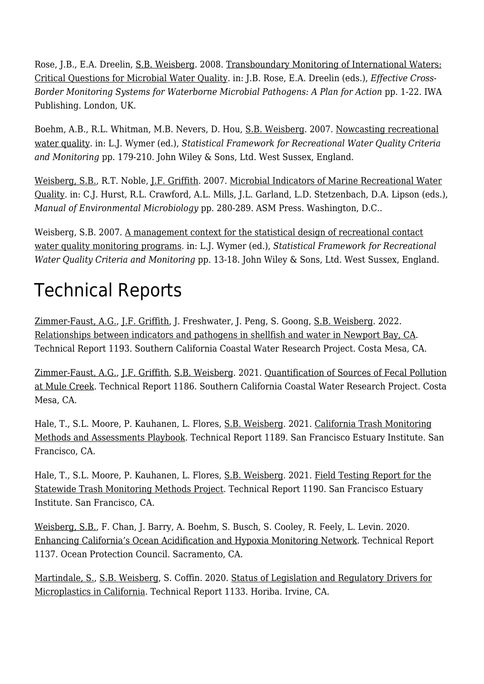Rose, J.B., E.A. Dreelin, [S.B. Weisberg.](http://www.sccwrp.org/about/staff/steve-weisberg/) 2008. [Transboundary Monitoring of International Waters:](http://ftp.sccwrp.org/pub/download/DOCUMENTS/JournalArticles/0554_Abstract.pdf) [Critical Questions for Microbial Water Quality](http://ftp.sccwrp.org/pub/download/DOCUMENTS/JournalArticles/0554_Abstract.pdf). in: J.B. Rose, E.A. Dreelin (eds.), *Effective Cross-Border Monitoring Systems for Waterborne Microbial Pathogens: A Plan for Action* pp. 1-22. IWA Publishing. London, UK.

Boehm, A.B., R.L. Whitman, M.B. Nevers, D. Hou, [S.B. Weisberg.](http://www.sccwrp.org/about/staff/steve-weisberg/) 2007. [Nowcasting recreational](http://ftp.sccwrp.org/pub/download/DOCUMENTS/JournalArticles/0553.B_Abstract.pdf) [water quality.](http://ftp.sccwrp.org/pub/download/DOCUMENTS/JournalArticles/0553.B_Abstract.pdf) in: L.J. Wymer (ed.), *Statistical Framework for Recreational Water Quality Criteria and Monitoring* pp. 179-210. John Wiley & Sons, Ltd. West Sussex, England.

[Weisberg, S.B.](http://www.sccwrp.org/about/staff/steve-weisberg/), R.T. Noble, [J.F. Griffith](http://www.sccwrp.org/about/staff/john-griffith/). 2007. [Microbial Indicators of Marine Recreational Water](http://ftp.sccwrp.org/pub/download/DOCUMENTS/JournalArticles/0552_Abstract.pdf) [Quality.](http://ftp.sccwrp.org/pub/download/DOCUMENTS/JournalArticles/0552_Abstract.pdf) in: C.J. Hurst, R.L. Crawford, A.L. Mills, J.L. Garland, L.D. Stetzenbach, D.A. Lipson (eds.), *Manual of Environmental Microbiology* pp. 280-289. ASM Press. Washington, D.C..

Weisberg, S.B. 2007. [A management context for the statistical design of recreational contact](http://ftp.sccwrp.org/pub/download/DOCUMENTS/JournalArticles/0553.A_Abstract.pdf) [water quality monitoring programs](http://ftp.sccwrp.org/pub/download/DOCUMENTS/JournalArticles/0553.A_Abstract.pdf). in: L.J. Wymer (ed.), *Statistical Framework for Recreational Water Quality Criteria and Monitoring* pp. 13-18. John Wiley & Sons, Ltd. West Sussex, England.

# Technical Reports

[Zimmer-Faust, A.G.](http://www.sccwrp.org/about/staff/amy-zimmer-faust/), [J.F. Griffith,](http://www.sccwrp.org/about/staff/john-griffith/) J. Freshwater, J. Peng, S. Goong, [S.B. Weisberg.](http://www.sccwrp.org/about/staff/steve-weisberg/) 2022. [Relationships between indicators and pathogens in shellfish and water in Newport Bay, CA](https://ftp.sccwrp.org/pub/download/DOCUMENTS/TechnicalReports/1193_ShellfishPathogenReport.pdf). Technical Report 1193. Southern California Coastal Water Research Project. Costa Mesa, CA.

[Zimmer-Faust, A.G.](http://www.sccwrp.org/about/staff/amy-zimmer-faust/), [J.F. Griffith,](http://www.sccwrp.org/about/staff/john-griffith/) [S.B. Weisberg](http://www.sccwrp.org/about/staff/steve-weisberg/). 2021. [Quantification of Sources of Fecal Pollution](https://ftp.sccwrp.org/pub/download/DOCUMENTS/TechnicalReports/1186_MuleCreekFecalPollution.pdf) [at Mule Creek.](https://ftp.sccwrp.org/pub/download/DOCUMENTS/TechnicalReports/1186_MuleCreekFecalPollution.pdf) Technical Report 1186. Southern California Coastal Water Research Project. Costa Mesa, CA.

Hale, T., S.L. Moore, P. Kauhanen, L. Flores, [S.B. Weisberg.](http://www.sccwrp.org/about/staff/steve-weisberg/) 2021. [California Trash Monitoring](https://ftp.sccwrp.org/pub/download/DOCUMENTS/TechnicalReports/1189_TrashMonitoringPlaybook.pdf) [Methods and Assessments Playbook.](https://ftp.sccwrp.org/pub/download/DOCUMENTS/TechnicalReports/1189_TrashMonitoringPlaybook.pdf) Technical Report 1189. San Francisco Estuary Institute. San Francisco, CA.

Hale, T., S.L. Moore, P. Kauhanen, L. Flores, [S.B. Weisberg.](http://www.sccwrp.org/about/staff/steve-weisberg/) 2021. [Field Testing Report for the](https://ftp.sccwrp.org/pub/download/DOCUMENTS/TechnicalReports/1190_TrashMonitoringFieldTest.pdf) [Statewide Trash Monitoring Methods Project.](https://ftp.sccwrp.org/pub/download/DOCUMENTS/TechnicalReports/1190_TrashMonitoringFieldTest.pdf) Technical Report 1190. San Francisco Estuary Institute. San Francisco, CA.

[Weisberg, S.B.](http://www.sccwrp.org/about/staff/steve-weisberg/), F. Chan, J. Barry, A. Boehm, S. Busch, S. Cooley, R. Feely, L. Levin. 2020. [Enhancing California's Ocean Acidification and Hypoxia Monitoring Network](http://ftp.sccwrp.org/pub/download/DOCUMENTS/TechnicalReports/1137_OAHExpansion.pdf). Technical Report 1137. Ocean Protection Council. Sacramento, CA.

[Martindale, S.,](http://www.sccwrp.org/about/staff/scott-martindale/) [S.B. Weisberg,](http://www.sccwrp.org/about/staff/steve-weisberg/) S. Coffin. 2020. [Status of Legislation and Regulatory Drivers for](http://ftp.sccwrp.org/pub/download/DOCUMENTS/TechnicalReports/1133_MicroplasticDrivers.pdf) [Microplastics in California.](http://ftp.sccwrp.org/pub/download/DOCUMENTS/TechnicalReports/1133_MicroplasticDrivers.pdf) Technical Report 1133. Horiba. Irvine, CA.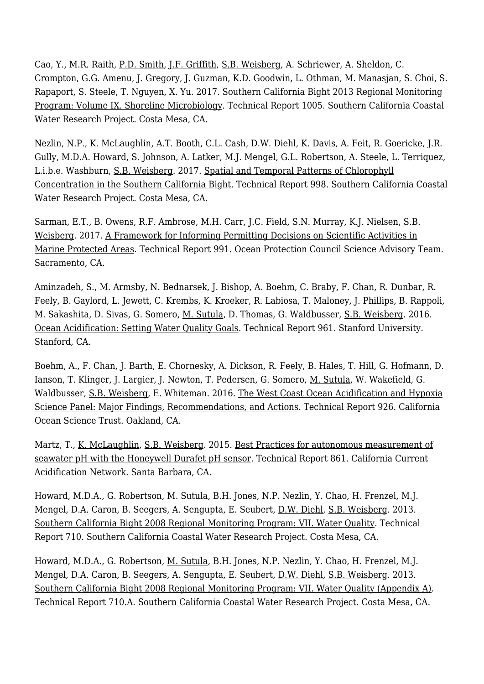Cao, Y., M.R. Raith, [P.D. Smith,](http://www.sccwrp.org/about/staff/paul-smith/) [J.F. Griffith](http://www.sccwrp.org/about/staff/john-griffith/), [S.B. Weisberg](http://www.sccwrp.org/about/staff/steve-weisberg/), A. Schriewer, A. Sheldon, C. Crompton, G.G. Amenu, J. Gregory, J. Guzman, K.D. Goodwin, L. Othman, M. Manasjan, S. Choi, S. Rapaport, S. Steele, T. Nguyen, X. Yu. 2017. [Southern California Bight 2013 Regional Monitoring](http://ftp.sccwrp.org/pub/download/DOCUMENTS/TechnicalReports/1005_B13_BightShorelineMicrobiology.pdf) [Program: Volume IX. Shoreline Microbiology.](http://ftp.sccwrp.org/pub/download/DOCUMENTS/TechnicalReports/1005_B13_BightShorelineMicrobiology.pdf) Technical Report 1005. Southern California Coastal Water Research Project. Costa Mesa, CA.

Nezlin, N.P., [K. McLaughlin,](http://www.sccwrp.org/about/staff/karen-mclaughlin/) A.T. Booth, C.L. Cash, [D.W. Diehl](http://www.sccwrp.org/about/staff/dario-diehl/), K. Davis, A. Feit, R. Goericke, J.R. Gully, M.D.A. Howard, S. Johnson, A. Latker, M.J. Mengel, G.L. Robertson, A. Steele, L. Terriquez, L.i.b.e. Washburn, [S.B. Weisberg.](http://www.sccwrp.org/about/staff/steve-weisberg/) 2017. [Spatial and Temporal Patterns of Chlorophyll](http://ftp.sccwrp.org/pub/download/DOCUMENTS/TechnicalReports/998_BightChlorophyllPatterns.pdf) [Concentration in the Southern California Bight](http://ftp.sccwrp.org/pub/download/DOCUMENTS/TechnicalReports/998_BightChlorophyllPatterns.pdf). Technical Report 998. Southern California Coastal Water Research Project. Costa Mesa, CA.

Sarman, E.T., B. Owens, R.F. Ambrose, M.H. Carr, J.C. Field, S.N. Murray, K.J. Nielsen, [S.B.](http://www.sccwrp.org/about/staff/steve-weisberg/) [Weisberg](http://www.sccwrp.org/about/staff/steve-weisberg/). 2017. [A Framework for Informing Permitting Decisions on Scientific Activities in](http://ftp.sccwrp.org/pub/download/DOCUMENTS/TechnicalReports/991_CollectingPermitsInMPAsFramework.pdf) [Marine Protected Areas](http://ftp.sccwrp.org/pub/download/DOCUMENTS/TechnicalReports/991_CollectingPermitsInMPAsFramework.pdf). Technical Report 991. Ocean Protection Council Science Advisory Team. Sacramento, CA.

Aminzadeh, S., M. Armsby, N. Bednarsek, J. Bishop, A. Boehm, C. Braby, F. Chan, R. Dunbar, R. Feely, B. Gaylord, L. Jewett, C. Krembs, K. Kroeker, R. Labiosa, T. Maloney, J. Phillips, B. Rappoli, M. Sakashita, D. Sivas, G. Somero, [M. Sutula,](http://www.sccwrp.org/about/staff/martha-sutula/) D. Thomas, G. Waldbusser, [S.B. Weisberg](http://www.sccwrp.org/about/staff/steve-weisberg/). 2016. [Ocean Acidification: Setting Water Quality Goals](http://ftp.sccwrp.org/pub/download/DOCUMENTS/TechnicalReports/961_OceanAcidificationSettingWaterQualityGoals.pdf). Technical Report 961. Stanford University. Stanford, CA.

Boehm, A., F. Chan, J. Barth, E. Chornesky, A. Dickson, R. Feely, B. Hales, T. Hill, G. Hofmann, D. Ianson, T. Klinger, J. Largier, J. Newton, T. Pedersen, G. Somero, [M. Sutula,](http://www.sccwrp.org/about/staff/martha-sutula/) W. Wakefield, G. Waldbusser, [S.B. Weisberg,](http://www.sccwrp.org/about/staff/steve-weisberg/) E. Whiteman. 2016. [The West Coast Ocean Acidification and Hypoxia](http://ftp.sccwrp.org/pub/download/DOCUMENTS/TechnicalReports/926_WestCoastOAHSciencePanel.pdf) [Science Panel: Major Findings, Recommendations, and Actions](http://ftp.sccwrp.org/pub/download/DOCUMENTS/TechnicalReports/926_WestCoastOAHSciencePanel.pdf). Technical Report 926. California Ocean Science Trust. Oakland, CA.

Martz, T., [K. McLaughlin](http://www.sccwrp.org/about/staff/karen-mclaughlin/), [S.B. Weisberg](http://www.sccwrp.org/about/staff/steve-weisberg/). 2015. [Best Practices for autonomous measurement of](http://ftp.sccwrp.org/pub/download/DOCUMENTS/TechnicalReports/861_CCAN_Durafet_Best_Practices_Manual.pdf) [seawater pH with the Honeywell Durafet pH sensor.](http://ftp.sccwrp.org/pub/download/DOCUMENTS/TechnicalReports/861_CCAN_Durafet_Best_Practices_Manual.pdf) Technical Report 861. California Current Acidification Network. Santa Barbara, CA.

Howard, M.D.A., G. Robertson, [M. Sutula,](http://www.sccwrp.org/about/staff/martha-sutula/) B.H. Jones, N.P. Nezlin, Y. Chao, H. Frenzel, M.J. Mengel, D.A. Caron, B. Seegers, A. Sengupta, E. Seubert, [D.W. Diehl,](http://www.sccwrp.org/about/staff/dario-diehl/) [S.B. Weisberg.](http://www.sccwrp.org/about/staff/steve-weisberg/) 2013. [Southern California Bight 2008 Regional Monitoring Program: VII. Water Quality.](http://ftp.sccwrp.org/pub/download/DOCUMENTS/TechnicalReports/710_B08WQ.pdf) Technical Report 710. Southern California Coastal Water Research Project. Costa Mesa, CA.

Howard, M.D.A., G. Robertson, [M. Sutula,](http://www.sccwrp.org/about/staff/martha-sutula/) B.H. Jones, N.P. Nezlin, Y. Chao, H. Frenzel, M.J. Mengel, D.A. Caron, B. Seegers, A. Sengupta, E. Seubert, [D.W. Diehl,](http://www.sccwrp.org/about/staff/dario-diehl/) [S.B. Weisberg.](http://www.sccwrp.org/about/staff/steve-weisberg/) 2013. [Southern California Bight 2008 Regional Monitoring Program: VII. Water Quality \(Appendix A\).](http://ftp.sccwrp.org/pub/download/DOCUMENTS/TechnicalReports/710_B08WQ_Appendix_A.pdf) Technical Report 710.A. Southern California Coastal Water Research Project. Costa Mesa, CA.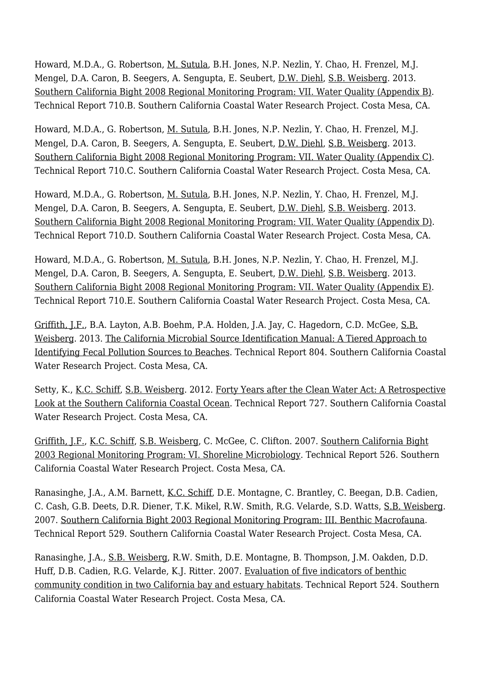Howard, M.D.A., G. Robertson, [M. Sutula,](http://www.sccwrp.org/about/staff/martha-sutula/) B.H. Jones, N.P. Nezlin, Y. Chao, H. Frenzel, M.J. Mengel, D.A. Caron, B. Seegers, A. Sengupta, E. Seubert, [D.W. Diehl,](http://www.sccwrp.org/about/staff/dario-diehl/) [S.B. Weisberg.](http://www.sccwrp.org/about/staff/steve-weisberg/) 2013. [Southern California Bight 2008 Regional Monitoring Program: VII. Water Quality \(Appendix B\).](http://ftp.sccwrp.org/pub/download/DOCUMENTS/TechnicalReports/710_B08WQ_Appendix_B.pdf) Technical Report 710.B. Southern California Coastal Water Research Project. Costa Mesa, CA.

Howard, M.D.A., G. Robertson, [M. Sutula,](http://www.sccwrp.org/about/staff/martha-sutula/) B.H. Jones, N.P. Nezlin, Y. Chao, H. Frenzel, M.J. Mengel, D.A. Caron, B. Seegers, A. Sengupta, E. Seubert, [D.W. Diehl,](http://www.sccwrp.org/about/staff/dario-diehl/) [S.B. Weisberg.](http://www.sccwrp.org/about/staff/steve-weisberg/) 2013. [Southern California Bight 2008 Regional Monitoring Program: VII. Water Quality \(Appendix C\)](http://ftp.sccwrp.org/pub/download/DOCUMENTS/TechnicalReports/710_B08WQ_Appendix_C.pdf). Technical Report 710.C. Southern California Coastal Water Research Project. Costa Mesa, CA.

Howard, M.D.A., G. Robertson, [M. Sutula,](http://www.sccwrp.org/about/staff/martha-sutula/) B.H. Jones, N.P. Nezlin, Y. Chao, H. Frenzel, M.J. Mengel, D.A. Caron, B. Seegers, A. Sengupta, E. Seubert, [D.W. Diehl,](http://www.sccwrp.org/about/staff/dario-diehl/) [S.B. Weisberg.](http://www.sccwrp.org/about/staff/steve-weisberg/) 2013. [Southern California Bight 2008 Regional Monitoring Program: VII. Water Quality \(Appendix D\).](http://ftp.sccwrp.org/pub/download/DOCUMENTS/TechnicalReports/710_B08WQ_Appendix_D.pdf) Technical Report 710.D. Southern California Coastal Water Research Project. Costa Mesa, CA.

Howard, M.D.A., G. Robertson, [M. Sutula,](http://www.sccwrp.org/about/staff/martha-sutula/) B.H. Jones, N.P. Nezlin, Y. Chao, H. Frenzel, M.J. Mengel, D.A. Caron, B. Seegers, A. Sengupta, E. Seubert, [D.W. Diehl,](http://www.sccwrp.org/about/staff/dario-diehl/) [S.B. Weisberg.](http://www.sccwrp.org/about/staff/steve-weisberg/) 2013. [Southern California Bight 2008 Regional Monitoring Program: VII. Water Quality \(Appendix E\).](http://ftp.sccwrp.org/pub/download/DOCUMENTS/TechnicalReports/710_B08WQ_Appendix_E.pdf) Technical Report 710.E. Southern California Coastal Water Research Project. Costa Mesa, CA.

[Griffith, J.F.,](http://www.sccwrp.org/about/staff/john-griffith/) B.A. Layton, A.B. Boehm, P.A. Holden, J.A. Jay, C. Hagedorn, C.D. McGee, [S.B.](http://www.sccwrp.org/about/staff/steve-weisberg/) [Weisberg](http://www.sccwrp.org/about/staff/steve-weisberg/). 2013. [The California Microbial Source Identification Manual: A Tiered Approach to](http://ftp.sccwrp.org/pub/download/DOCUMENTS/TechnicalReports/804_SIPP_MST_ManualPag.pdf) [Identifying Fecal Pollution Sources to Beaches.](http://ftp.sccwrp.org/pub/download/DOCUMENTS/TechnicalReports/804_SIPP_MST_ManualPag.pdf) Technical Report 804. Southern California Coastal Water Research Project. Costa Mesa, CA.

Setty, K., <u>K.C. Schiff</u>, [S.B. Weisberg.](http://www.sccwrp.org/about/staff/steve-weisberg/) 2012. [Forty Years after the Clean Water Act: A Retrospective](http://ftp.sccwrp.org/pub/download/DOCUMENTS/TechnicalReports/727_CWA.pdf) [Look at the Southern California Coastal Ocean.](http://ftp.sccwrp.org/pub/download/DOCUMENTS/TechnicalReports/727_CWA.pdf) Technical Report 727. Southern California Coastal Water Research Project. Costa Mesa, CA.

[Griffith, J.F.,](http://www.sccwrp.org/about/staff/john-griffith/) [K.C. Schiff](http://www.sccwrp.org/about/staff/ken-schiff/), [S.B. Weisberg](http://www.sccwrp.org/about/staff/steve-weisberg/), C. McGee, C. Clifton. 2007. [Southern California Bight](http://ftp.sccwrp.org/pub/download/DOCUMENTS/TechnicalReports/526_B03_micro.pdf) [2003 Regional Monitoring Program: VI. Shoreline Microbiology.](http://ftp.sccwrp.org/pub/download/DOCUMENTS/TechnicalReports/526_B03_micro.pdf) Technical Report 526. Southern California Coastal Water Research Project. Costa Mesa, CA.

Ranasinghe, J.A., A.M. Barnett, [K.C. Schiff,](http://www.sccwrp.org/about/staff/ken-schiff/) D.E. Montagne, C. Brantley, C. Beegan, D.B. Cadien, C. Cash, G.B. Deets, D.R. Diener, T.K. Mikel, R.W. Smith, R.G. Velarde, S.D. Watts, [S.B. Weisberg](http://www.sccwrp.org/about/staff/steve-weisberg/). 2007. [Southern California Bight 2003 Regional Monitoring Program: III. Benthic Macrofauna.](http://ftp.sccwrp.org/pub/download/DOCUMENTS/TechnicalReports/529_B03_Benthic.pdf) Technical Report 529. Southern California Coastal Water Research Project. Costa Mesa, CA.

Ranasinghe, J.A., [S.B. Weisberg,](http://www.sccwrp.org/about/staff/steve-weisberg/) R.W. Smith, D.E. Montagne, B. Thompson, J.M. Oakden, D.D. Huff, D.B. Cadien, R.G. Velarde, K.J. Ritter. 2007. [Evaluation of five indicators of benthic](http://ftp.sccwrp.org/pub/download/DOCUMENTS/TechnicalReports/524_eval_benthic_community_indicators.pdf) [community condition in two California bay and estuary habitats.](http://ftp.sccwrp.org/pub/download/DOCUMENTS/TechnicalReports/524_eval_benthic_community_indicators.pdf) Technical Report 524. Southern California Coastal Water Research Project. Costa Mesa, CA.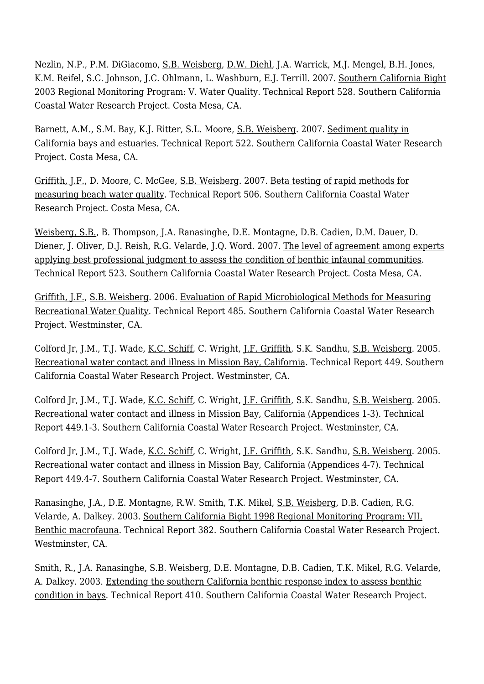Nezlin, N.P., P.M. DiGiacomo, [S.B. Weisberg,](http://www.sccwrp.org/about/staff/steve-weisberg/) [D.W. Diehl](http://www.sccwrp.org/about/staff/dario-diehl/), J.A. Warrick, M.J. Mengel, B.H. Jones, K.M. Reifel, S.C. Johnson, J.C. Ohlmann, L. Washburn, E.J. Terrill. 2007. [Southern California Bight](http://ftp.sccwrp.org/pub/download/DOCUMENTS/TechnicalReports/528_B03_WQ.pdf) [2003 Regional Monitoring Program: V. Water Quality](http://ftp.sccwrp.org/pub/download/DOCUMENTS/TechnicalReports/528_B03_WQ.pdf). Technical Report 528. Southern California Coastal Water Research Project. Costa Mesa, CA.

Barnett, A.M., S.M. Bay, K.J. Ritter, S.L. Moore, [S.B. Weisberg](http://www.sccwrp.org/about/staff/steve-weisberg/). 2007. [Sediment quality in](http://ftp.sccwrp.org/pub/download/DOCUMENTS/TechnicalReports/522_sedQual_CA_baysEstuaries.pdf) [California bays and estuaries](http://ftp.sccwrp.org/pub/download/DOCUMENTS/TechnicalReports/522_sedQual_CA_baysEstuaries.pdf). Technical Report 522. Southern California Coastal Water Research Project. Costa Mesa, CA.

[Griffith, J.F.,](http://www.sccwrp.org/about/staff/john-griffith/) D. Moore, C. McGee, [S.B. Weisberg](http://www.sccwrp.org/about/staff/steve-weisberg/). 2007. [Beta testing of rapid methods for](http://ftp.sccwrp.org/pub/download/DOCUMENTS/TechnicalReports/506_beta_testing.pdf) [measuring beach water quality](http://ftp.sccwrp.org/pub/download/DOCUMENTS/TechnicalReports/506_beta_testing.pdf). Technical Report 506. Southern California Coastal Water Research Project. Costa Mesa, CA.

[Weisberg, S.B.](http://www.sccwrp.org/about/staff/steve-weisberg/), B. Thompson, J.A. Ranasinghe, D.E. Montagne, D.B. Cadien, D.M. Dauer, D. Diener, J. Oliver, D.J. Reish, R.G. Velarde, J.Q. Word. 2007. [The level of agreement among experts](http://ftp.sccwrp.org/pub/download/DOCUMENTS/TechnicalReports/523_Gold_Standard_TR.pdf) [applying best professional judgment to assess the condition of benthic infaunal communities.](http://ftp.sccwrp.org/pub/download/DOCUMENTS/TechnicalReports/523_Gold_Standard_TR.pdf) Technical Report 523. Southern California Coastal Water Research Project. Costa Mesa, CA.

[Griffith, J.F.,](http://www.sccwrp.org/about/staff/john-griffith/) [S.B. Weisberg.](http://www.sccwrp.org/about/staff/steve-weisberg/) 2006. [Evaluation of Rapid Microbiological Methods for Measuring](http://ftp.sccwrp.org/pub/download/DOCUMENTS/TechnicalReports/485_rapid_methods_II.pdf) [Recreational Water Quality.](http://ftp.sccwrp.org/pub/download/DOCUMENTS/TechnicalReports/485_rapid_methods_II.pdf) Technical Report 485. Southern California Coastal Water Research Project. Westminster, CA.

Colford Jr, J.M., T.J. Wade, [K.C. Schiff](http://www.sccwrp.org/about/staff/ken-schiff/), C. Wright, [J.F. Griffith,](http://www.sccwrp.org/about/staff/john-griffith/) S.K. Sandhu, [S.B. Weisberg.](http://www.sccwrp.org/about/staff/steve-weisberg/) 2005. [Recreational water contact and illness in Mission Bay, California.](http://ftp.sccwrp.org/pub/download/DOCUMENTS/TechnicalReports/449_mb_epi.pdf) Technical Report 449. Southern California Coastal Water Research Project. Westminster, CA.

Colford Jr, J.M., T.J. Wade, [K.C. Schiff](http://www.sccwrp.org/about/staff/ken-schiff/), C. Wright, [J.F. Griffith,](http://www.sccwrp.org/about/staff/john-griffith/) S.K. Sandhu, [S.B. Weisberg.](http://www.sccwrp.org/about/staff/steve-weisberg/) 2005. [Recreational water contact and illness in Mission Bay, California \(Appendices 1-3\).](http://ftp.sccwrp.org/pub/download/DOCUMENTS/TechnicalReports/449_appendices_1-3.pdf) Technical Report 449.1-3. Southern California Coastal Water Research Project. Westminster, CA.

Colford Jr, J.M., T.J. Wade, [K.C. Schiff](http://www.sccwrp.org/about/staff/ken-schiff/), C. Wright, [J.F. Griffith,](http://www.sccwrp.org/about/staff/john-griffith/) S.K. Sandhu, [S.B. Weisberg.](http://www.sccwrp.org/about/staff/steve-weisberg/) 2005. [Recreational water contact and illness in Mission Bay, California \(Appendices 4-7\).](http://ftp.sccwrp.org/pub/download/DOCUMENTS/TechnicalReports/449_appendices_4-7.pdf) Technical Report 449.4-7. Southern California Coastal Water Research Project. Westminster, CA.

Ranasinghe, J.A., D.E. Montagne, R.W. Smith, T.K. Mikel, [S.B. Weisberg](http://www.sccwrp.org/about/staff/steve-weisberg/), D.B. Cadien, R.G. Velarde, A. Dalkey. 2003. [Southern California Bight 1998 Regional Monitoring Program: VII.](http://ftp.sccwrp.org/pub/download/DOCUMENTS/TechnicalReports/382_bight98benthic.pdf) [Benthic macrofauna](http://ftp.sccwrp.org/pub/download/DOCUMENTS/TechnicalReports/382_bight98benthic.pdf). Technical Report 382. Southern California Coastal Water Research Project. Westminster, CA.

Smith, R., J.A. Ranasinghe, [S.B. Weisberg,](http://www.sccwrp.org/about/staff/steve-weisberg/) D.E. Montagne, D.B. Cadien, T.K. Mikel, R.G. Velarde, A. Dalkey. 2003. [Extending the southern California benthic response index to assess benthic](http://ftp.sccwrp.org/pub/download/DOCUMENTS/TechnicalReports/410_bri.pdf) [condition in bays](http://ftp.sccwrp.org/pub/download/DOCUMENTS/TechnicalReports/410_bri.pdf). Technical Report 410. Southern California Coastal Water Research Project.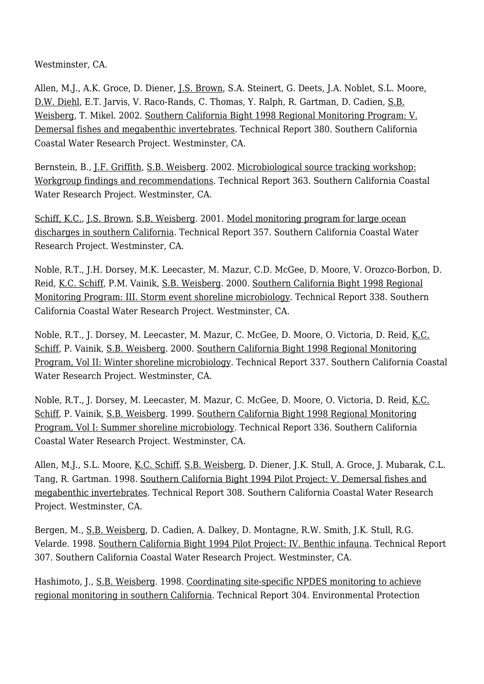Westminster, CA.

Allen, M.J., A.K. Groce, D. Diener, [J.S. Brown](http://www.sccwrp.org/about/staff/jeff-brown/), S.A. Steinert, G. Deets, J.A. Noblet, S.L. Moore, [D.W. Diehl,](http://www.sccwrp.org/about/staff/dario-diehl/) E.T. Jarvis, V. Raco-Rands, C. Thomas, Y. Ralph, R. Gartman, D. Cadien, [S.B.](http://www.sccwrp.org/about/staff/steve-weisberg/) [Weisberg](http://www.sccwrp.org/about/staff/steve-weisberg/), T. Mikel. 2002. [Southern California Bight 1998 Regional Monitoring Program: V.](http://ftp.sccwrp.org/pub/download/DOCUMENTS/TechnicalReports/380_bight98fish.pdf) [Demersal fishes and megabenthic invertebrates.](http://ftp.sccwrp.org/pub/download/DOCUMENTS/TechnicalReports/380_bight98fish.pdf) Technical Report 380. Southern California Coastal Water Research Project. Westminster, CA.

Bernstein, B., [J.F. Griffith](http://www.sccwrp.org/about/staff/john-griffith/), [S.B. Weisberg](http://www.sccwrp.org/about/staff/steve-weisberg/). 2002. [Microbiological source tracking workshop:](http://ftp.sccwrp.org/pub/download/DOCUMENTS/TechnicalReports/363_mst_workshop_document.pdf) [Workgroup findings and recommendations](http://ftp.sccwrp.org/pub/download/DOCUMENTS/TechnicalReports/363_mst_workshop_document.pdf). Technical Report 363. Southern California Coastal Water Research Project. Westminster, CA.

[Schiff, K.C.,](http://www.sccwrp.org/about/staff/ken-schiff/) [J.S. Brown](http://www.sccwrp.org/about/staff/jeff-brown/), [S.B. Weisberg](http://www.sccwrp.org/about/staff/steve-weisberg/). 2001. [Model monitoring program for large ocean](http://ftp.sccwrp.org/pub/download/DOCUMENTS/TechnicalReports/357_model_monitoring_program.pdf) [discharges in southern California](http://ftp.sccwrp.org/pub/download/DOCUMENTS/TechnicalReports/357_model_monitoring_program.pdf). Technical Report 357. Southern California Coastal Water Research Project. Westminster, CA.

Noble, R.T., J.H. Dorsey, M.K. Leecaster, M. Mazur, C.D. McGee, D. Moore, V. Orozco-Borbon, D. Reid, [K.C. Schiff](http://www.sccwrp.org/about/staff/ken-schiff/), P.M. Vainik, [S.B. Weisberg.](http://www.sccwrp.org/about/staff/steve-weisberg/) 2000. [Southern California Bight 1998 Regional](http://ftp.sccwrp.org/pub/download/DOCUMENTS/TechnicalReports/338_TR_stormevent2000.pdf) [Monitoring Program: III. Storm event shoreline microbiology.](http://ftp.sccwrp.org/pub/download/DOCUMENTS/TechnicalReports/338_TR_stormevent2000.pdf) Technical Report 338. Southern California Coastal Water Research Project. Westminster, CA.

Noble, R.T., J. Dorsey, M. Leecaster, M. Mazur, C. McGee, D. Moore, O. Victoria, D. Reid, [K.C.](http://www.sccwrp.org/about/staff/ken-schiff/) [Schiff](http://www.sccwrp.org/about/staff/ken-schiff/), P. Vainik, [S.B. Weisberg.](http://www.sccwrp.org/about/staff/steve-weisberg/) 2000. [Southern California Bight 1998 Regional Monitoring](http://ftp.sccwrp.org/pub/download/DOCUMENTS/TechnicalReports/337_TR_winter_micro_report.pdf) [Program, Vol II: Winter shoreline microbiology](http://ftp.sccwrp.org/pub/download/DOCUMENTS/TechnicalReports/337_TR_winter_micro_report.pdf). Technical Report 337. Southern California Coastal Water Research Project. Westminster, CA.

Noble, R.T., J. Dorsey, M. Leecaster, M. Mazur, C. McGee, D. Moore, O. Victoria, D. Reid, [K.C.](http://www.sccwrp.org/about/staff/ken-schiff/) [Schiff](http://www.sccwrp.org/about/staff/ken-schiff/), P. Vainik, [S.B. Weisberg.](http://www.sccwrp.org/about/staff/steve-weisberg/) 1999. [Southern California Bight 1998 Regional Monitoring](http://ftp.sccwrp.org/pub/download/DOCUMENTS/TechnicalReports/336_TR_summicrob.pdf) [Program, Vol I: Summer shoreline microbiology](http://ftp.sccwrp.org/pub/download/DOCUMENTS/TechnicalReports/336_TR_summicrob.pdf). Technical Report 336. Southern California Coastal Water Research Project. Westminster, CA.

Allen, M.J., S.L. Moore, [K.C. Schiff](http://www.sccwrp.org/about/staff/ken-schiff/), [S.B. Weisberg,](http://www.sccwrp.org/about/staff/steve-weisberg/) D. Diener, J.K. Stull, A. Groce, J. Mubarak, C.L. Tang, R. Gartman. 1998. [Southern California Bight 1994 Pilot Project: V. Demersal fishes and](http://ftp.sccwrp.org/pub/download/DOCUMENTS/TechnicalReports/308_94scbppfish.pdf) [megabenthic invertebrates](http://ftp.sccwrp.org/pub/download/DOCUMENTS/TechnicalReports/308_94scbppfish.pdf). Technical Report 308. Southern California Coastal Water Research Project. Westminster, CA.

Bergen, M., [S.B. Weisberg,](http://www.sccwrp.org/about/staff/steve-weisberg/) D. Cadien, A. Dalkey, D. Montagne, R.W. Smith, J.K. Stull, R.G. Velarde. 1998. [Southern California Bight 1994 Pilot Project: IV. Benthic infauna](http://ftp.sccwrp.org/pub/download/DOCUMENTS/TechnicalReports/307_94scbpp_benthic.pdf). Technical Report 307. Southern California Coastal Water Research Project. Westminster, CA.

Hashimoto, J., [S.B. Weisberg.](http://www.sccwrp.org/about/staff/steve-weisberg/) 1998. [Coordinating site-specific NPDES monitoring to achieve](http://ftp.sccwrp.org/pub/download/DOCUMENTS/PublicationNotAvailable.pdf) [regional monitoring in southern California.](http://ftp.sccwrp.org/pub/download/DOCUMENTS/PublicationNotAvailable.pdf) Technical Report 304. Environmental Protection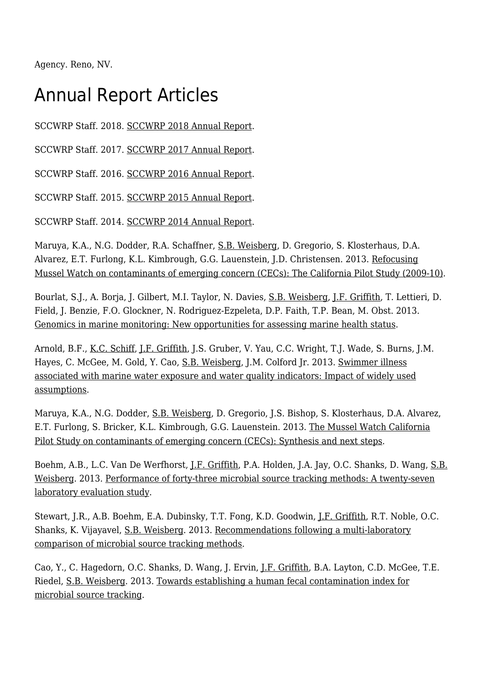Agency. Reno, NV.

### Annual Report Articles

SCCWRP Staff. 2018. [SCCWRP 2018 Annual Report.](http://ftp.sccwrp.org/pub/download/DOCUMENTS/AnnualReports/2018AnnualReport/2018AnnualReport.pdf)

SCCWRP Staff. 2017. [SCCWRP 2017 Annual Report.](http://ftp.sccwrp.org/pub/download/DOCUMENTS/AnnualReports/2017AnnualReport/2017AnnualReport.pdf)

SCCWRP Staff. 2016. [SCCWRP 2016 Annual Report.](http://ftp.sccwrp.org/pub/download/DOCUMENTS/AnnualReports/2016AnnualReport/2016AnnualReport.pdf)

SCCWRP Staff. 2015. [SCCWRP 2015 Annual Report.](http://ftp.sccwrp.org/pub/download/DOCUMENTS/AnnualReports/2015AnnualReport/2015AnnualReport.pdf)

SCCWRP Staff. 2014. [SCCWRP 2014 Annual Report.](http://ftp.sccwrp.org/pub/download/DOCUMENTS/AnnualReports/2014AnnualReport/2014AnnualReport.pdf)

Maruya, K.A., N.G. Dodder, R.A. Schaffner, [S.B. Weisberg,](http://www.sccwrp.org/about/staff/steve-weisberg/) D. Gregorio, S. Klosterhaus, D.A. Alvarez, E.T. Furlong, K.L. Kimbrough, G.G. Lauenstein, J.D. Christensen. 2013. [Refocusing](http://ftp.sccwrp.org/pub/download/DOCUMENTS/AnnualReports/2013AnnualReport/ar13_027_035.pdf) [Mussel Watch on contaminants of emerging concern \(CECs\): The California Pilot Study \(2009-10\)](http://ftp.sccwrp.org/pub/download/DOCUMENTS/AnnualReports/2013AnnualReport/ar13_027_035.pdf).

Bourlat, S.J., A. Borja, J. Gilbert, M.I. Taylor, N. Davies, [S.B. Weisberg](http://www.sccwrp.org/about/staff/steve-weisberg/), [J.F. Griffith,](http://www.sccwrp.org/about/staff/john-griffith/) T. Lettieri, D. Field, J. Benzie, F.O. Glockner, N. Rodriguez-Ezpeleta, D.P. Faith, T.P. Bean, M. Obst. 2013. [Genomics in marine monitoring: New opportunities for assessing marine health status.](http://ftp.sccwrp.org/pub/download/DOCUMENTS/AnnualReports/2013AnnualReport/ar13_115_135.pdf)

Arnold, B.F., [K.C. Schiff,](http://www.sccwrp.org/about/staff/ken-schiff/) [J.F. Griffith](http://www.sccwrp.org/about/staff/john-griffith/), J.S. Gruber, V. Yau, C.C. Wright, T.J. Wade, S. Burns, J.M. Hayes, C. McGee, M. Gold, Y. Cao, [S.B. Weisberg,](http://www.sccwrp.org/about/staff/steve-weisberg/) J.M. Colford Jr. 2013. [Swimmer illness](http://ftp.sccwrp.org/pub/download/DOCUMENTS/AnnualReports/2013AnnualReport/ar13_611_624.pdf) [associated with marine water exposure and water quality indicators: Impact of widely used](http://ftp.sccwrp.org/pub/download/DOCUMENTS/AnnualReports/2013AnnualReport/ar13_611_624.pdf) [assumptions.](http://ftp.sccwrp.org/pub/download/DOCUMENTS/AnnualReports/2013AnnualReport/ar13_611_624.pdf)

Maruya, K.A., N.G. Dodder, [S.B. Weisberg,](http://www.sccwrp.org/about/staff/steve-weisberg/) D. Gregorio, J.S. Bishop, S. Klosterhaus, D.A. Alvarez, E.T. Furlong, S. Bricker, K.L. Kimbrough, G.G. Lauenstein. 2013. [The Mussel Watch California](http://ftp.sccwrp.org/pub/download/DOCUMENTS/AnnualReports/2013AnnualReport/ar13_061_073.pdf) [Pilot Study on contaminants of emerging concern \(CECs\): Synthesis and next steps](http://ftp.sccwrp.org/pub/download/DOCUMENTS/AnnualReports/2013AnnualReport/ar13_061_073.pdf).

Boehm, A.B., L.C. Van De Werfhorst, <u>[J.F. Griffith](http://www.sccwrp.org/about/staff/john-griffith/)</u>, P.A. Holden, J.A. Jay, O.C. Shanks, D. Wang, [S.B.](http://www.sccwrp.org/about/staff/steve-weisberg/) [Weisberg](http://www.sccwrp.org/about/staff/steve-weisberg/). 2013. [Performance of forty-three microbial source tracking methods: A twenty-seven](http://ftp.sccwrp.org/pub/download/DOCUMENTS/AnnualReports/2013AnnualReport/ar13_409_431.pdf) [laboratory evaluation study.](http://ftp.sccwrp.org/pub/download/DOCUMENTS/AnnualReports/2013AnnualReport/ar13_409_431.pdf)

Stewart, J.R., A.B. Boehm, E.A. Dubinsky, T.T. Fong, K.D. Goodwin, [J.F. Griffith](http://www.sccwrp.org/about/staff/john-griffith/), R.T. Noble, O.C. Shanks, K. Vijayavel, [S.B. Weisberg.](http://www.sccwrp.org/about/staff/steve-weisberg/) 2013. [Recommendations following a multi-laboratory](http://ftp.sccwrp.org/pub/download/DOCUMENTS/AnnualReports/2013AnnualReport/ar13_581_593.pdf) [comparison of microbial source tracking methods.](http://ftp.sccwrp.org/pub/download/DOCUMENTS/AnnualReports/2013AnnualReport/ar13_581_593.pdf)

Cao, Y., C. Hagedorn, O.C. Shanks, D. Wang, J. Ervin, [J.F. Griffith,](http://www.sccwrp.org/about/staff/john-griffith/) B.A. Layton, C.D. McGee, T.E. Riedel, [S.B. Weisberg](http://www.sccwrp.org/about/staff/steve-weisberg/). 2013. [Towards establishing a human fecal contamination index for](http://ftp.sccwrp.org/pub/download/DOCUMENTS/AnnualReports/2013AnnualReport/ar13_567_579.pdf) [microbial source tracking.](http://ftp.sccwrp.org/pub/download/DOCUMENTS/AnnualReports/2013AnnualReport/ar13_567_579.pdf)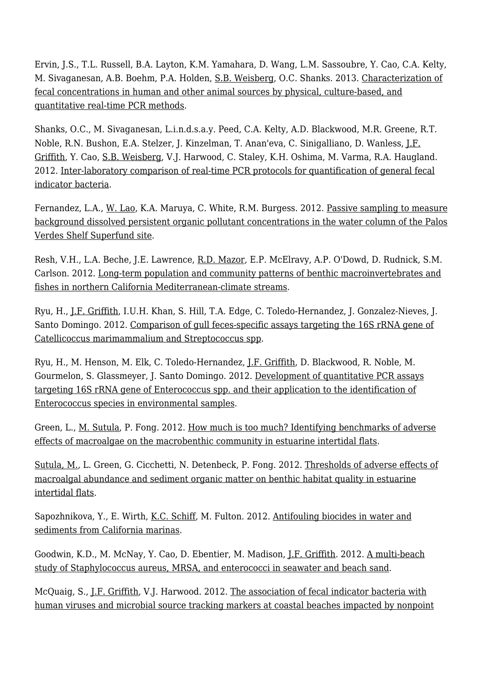Ervin, J.S., T.L. Russell, B.A. Layton, K.M. Yamahara, D. Wang, L.M. Sassoubre, Y. Cao, C.A. Kelty, M. Sivaganesan, A.B. Boehm, P.A. Holden, [S.B. Weisberg,](http://www.sccwrp.org/about/staff/steve-weisberg/) O.C. Shanks. 2013. [Characterization of](http://ftp.sccwrp.org/pub/download/DOCUMENTS/AnnualReports/2013AnnualReport/ar13_555_566.pdf) [fecal concentrations in human and other animal sources by physical, culture-based, and](http://ftp.sccwrp.org/pub/download/DOCUMENTS/AnnualReports/2013AnnualReport/ar13_555_566.pdf) [quantitative real-time PCR methods.](http://ftp.sccwrp.org/pub/download/DOCUMENTS/AnnualReports/2013AnnualReport/ar13_555_566.pdf)

Shanks, O.C., M. Sivaganesan, L.i.n.d.s.a.y. Peed, C.A. Kelty, A.D. Blackwood, M.R. Greene, R.T. Noble, R.N. Bushon, E.A. Stelzer, J. Kinzelman, T. Anan'eva, C. Sinigalliano, D. Wanless, [J.F.](http://www.sccwrp.org/about/staff/john-griffith/) [Griffith](http://www.sccwrp.org/about/staff/john-griffith/), Y. Cao, [S.B. Weisberg](http://www.sccwrp.org/about/staff/steve-weisberg/), V.J. Harwood, C. Staley, K.H. Oshima, M. Varma, R.A. Haugland. 2012. [Inter-laboratory comparison of real-time PCR protocols for quantification of general fecal](http://ftp.sccwrp.org/pub/download/DOCUMENTS/AnnualReports/2012AnnualReport/ar12_273_286.pdf) [indicator bacteria](http://ftp.sccwrp.org/pub/download/DOCUMENTS/AnnualReports/2012AnnualReport/ar12_273_286.pdf).

Fernandez, L.A., [W. Lao](http://www.sccwrp.org/about/staff/dr-wenjian-lao/), K.A. Maruya, C. White, R.M. Burgess. 2012. [Passive sampling to measure](http://ftp.sccwrp.org/pub/download/DOCUMENTS/AnnualReports/2012AnnualReport/ar12_049_060.pdf) [background dissolved persistent organic pollutant concentrations in the water column of the Palos](http://ftp.sccwrp.org/pub/download/DOCUMENTS/AnnualReports/2012AnnualReport/ar12_049_060.pdf) [Verdes Shelf Superfund site.](http://ftp.sccwrp.org/pub/download/DOCUMENTS/AnnualReports/2012AnnualReport/ar12_049_060.pdf)

Resh, V.H., L.A. Beche, J.E. Lawrence, [R.D. Mazor](http://www.sccwrp.org/about/staff/raphael-mazor/), E.P. McElravy, A.P. O'Dowd, D. Rudnick, S.M. Carlson. 2012. [Long-term population and community patterns of benthic macroinvertebrates and](http://ftp.sccwrp.org/pub/download/DOCUMENTS/AnnualReports/2012AnnualReport/ar12_145_170.pdf) [fishes in northern California Mediterranean-climate streams](http://ftp.sccwrp.org/pub/download/DOCUMENTS/AnnualReports/2012AnnualReport/ar12_145_170.pdf).

Ryu, H., [J.F. Griffith,](http://www.sccwrp.org/about/staff/john-griffith/) I.U.H. Khan, S. Hill, T.A. Edge, C. Toledo-Hernandez, J. Gonzalez-Nieves, J. Santo Domingo. 2012. [Comparison of gull feces-specific assays targeting the 16S rRNA gene of](http://ftp.sccwrp.org/pub/download/DOCUMENTS/AnnualReports/2012AnnualReport/ar12_309_322.pdf) [Catellicoccus marimammalium and Streptococcus spp](http://ftp.sccwrp.org/pub/download/DOCUMENTS/AnnualReports/2012AnnualReport/ar12_309_322.pdf).

Ryu, H., M. Henson, M. Elk, C. Toledo-Hernandez, [J.F. Griffith](http://www.sccwrp.org/about/staff/john-griffith/), D. Blackwood, R. Noble, M. Gourmelon, S. Glassmeyer, J. Santo Domingo. 2012. [Development of quantitative PCR assays](http://ftp.sccwrp.org/pub/download/DOCUMENTS/AnnualReports/2012AnnualReport/ar12_341_356.pdf) [targeting 16S rRNA gene of Enterococcus spp. and their application to the identification of](http://ftp.sccwrp.org/pub/download/DOCUMENTS/AnnualReports/2012AnnualReport/ar12_341_356.pdf) [Enterococcus species in environmental samples.](http://ftp.sccwrp.org/pub/download/DOCUMENTS/AnnualReports/2012AnnualReport/ar12_341_356.pdf)

Green, L., [M. Sutula,](http://www.sccwrp.org/about/staff/martha-sutula/) P. Fong. 2012. [How much is too much? Identifying benchmarks of adverse](http://ftp.sccwrp.org/pub/download/DOCUMENTS/AnnualReports/2012AnnualReport/ar12_171_188.pdf) [effects of macroalgae on the macrobenthic community in estuarine intertidal flats.](http://ftp.sccwrp.org/pub/download/DOCUMENTS/AnnualReports/2012AnnualReport/ar12_171_188.pdf)

[Sutula, M.,](http://www.sccwrp.org/about/staff/martha-sutula/) L. Green, G. Cicchetti, N. Detenbeck, P. Fong. 2012. [Thresholds of adverse effects of](http://ftp.sccwrp.org/pub/download/DOCUMENTS/AnnualReports/2012AnnualReport/ar12_189_210.pdf) [macroalgal abundance and sediment organic matter on benthic habitat quality in estuarine](http://ftp.sccwrp.org/pub/download/DOCUMENTS/AnnualReports/2012AnnualReport/ar12_189_210.pdf) [intertidal flats.](http://ftp.sccwrp.org/pub/download/DOCUMENTS/AnnualReports/2012AnnualReport/ar12_189_210.pdf)

Sapozhnikova, Y., E. Wirth, <u>K.C. Schiff</u>, M. Fulton. 2012. [Antifouling biocides in water and](http://ftp.sccwrp.org/pub/download/DOCUMENTS/AnnualReports/2012AnnualReport/ar12_001_010.pdf) [sediments from California marinas.](http://ftp.sccwrp.org/pub/download/DOCUMENTS/AnnualReports/2012AnnualReport/ar12_001_010.pdf)

Goodwin, K.D., M. McNay, Y. Cao, D. Ebentier, M. Madison, [J.F. Griffith.](http://www.sccwrp.org/about/staff/john-griffith/) 2012. [A multi-beach](http://ftp.sccwrp.org/pub/download/DOCUMENTS/AnnualReports/2012AnnualReport/ar12_357_373.pdf) [study of Staphylococcus aureus, MRSA, and enterococci in seawater and beach sand.](http://ftp.sccwrp.org/pub/download/DOCUMENTS/AnnualReports/2012AnnualReport/ar12_357_373.pdf)

McQuaig, S., [J.F. Griffith](http://www.sccwrp.org/about/staff/john-griffith/), V.J. Harwood. 2012. [The association of fecal indicator bacteria with](http://ftp.sccwrp.org/pub/download/DOCUMENTS/AnnualReports/2012AnnualReport/ar12_323_340.pdf) [human viruses and microbial source tracking markers at coastal beaches impacted by nonpoint](http://ftp.sccwrp.org/pub/download/DOCUMENTS/AnnualReports/2012AnnualReport/ar12_323_340.pdf)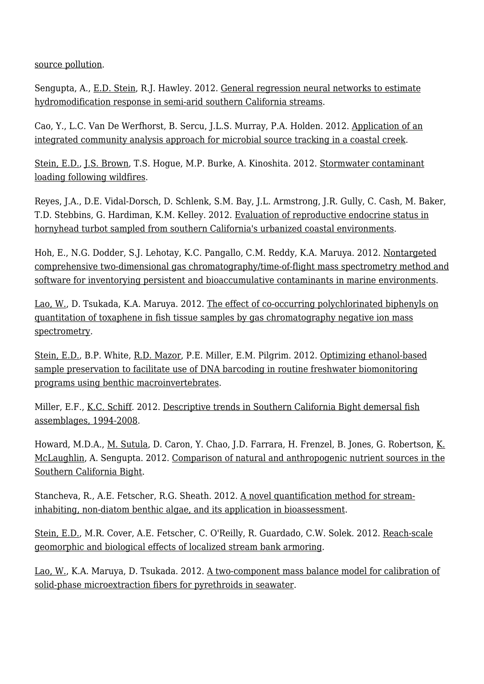[source pollution.](http://ftp.sccwrp.org/pub/download/DOCUMENTS/AnnualReports/2012AnnualReport/ar12_323_340.pdf)

Sengupta, A., [E.D. Stein,](http://www.sccwrp.org/about/staff/eric-stein/) R.J. Hawley. 2012. [General regression neural networks to estimate](http://ftp.sccwrp.org/pub/download/DOCUMENTS/AnnualReports/2012AnnualReport/ar12_099_112.pdf) [hydromodification response in semi-arid southern California streams.](http://ftp.sccwrp.org/pub/download/DOCUMENTS/AnnualReports/2012AnnualReport/ar12_099_112.pdf)

Cao, Y., L.C. Van De Werfhorst, B. Sercu, J.L.S. Murray, P.A. Holden. 2012. [Application of an](http://ftp.sccwrp.org/pub/download/DOCUMENTS/AnnualReports/2012AnnualReport/ar12_299_308.pdf) [integrated community analysis approach for microbial source tracking in a coastal creek](http://ftp.sccwrp.org/pub/download/DOCUMENTS/AnnualReports/2012AnnualReport/ar12_299_308.pdf).

[Stein, E.D.,](http://www.sccwrp.org/about/staff/eric-stein/) [J.S. Brown](http://www.sccwrp.org/about/staff/jeff-brown/), T.S. Hogue, M.P. Burke, A. Kinoshita. 2012. [Stormwater contaminant](http://ftp.sccwrp.org/pub/download/DOCUMENTS/AnnualReports/2012AnnualReport/ar12_011_028.pdf) [loading following wildfires.](http://ftp.sccwrp.org/pub/download/DOCUMENTS/AnnualReports/2012AnnualReport/ar12_011_028.pdf)

Reyes, J.A., D.E. Vidal-Dorsch, D. Schlenk, S.M. Bay, J.L. Armstrong, J.R. Gully, C. Cash, M. Baker, T.D. Stebbins, G. Hardiman, K.M. Kelley. 2012. [Evaluation of reproductive endocrine status in](http://ftp.sccwrp.org/pub/download/DOCUMENTS/AnnualReports/2012AnnualReport/ar12_227_242.pdf) [hornyhead turbot sampled from southern California's urbanized coastal environments.](http://ftp.sccwrp.org/pub/download/DOCUMENTS/AnnualReports/2012AnnualReport/ar12_227_242.pdf)

Hoh, E., N.G. Dodder, S.J. Lehotay, K.C. Pangallo, C.M. Reddy, K.A. Maruya. 2012. [Nontargeted](http://ftp.sccwrp.org/pub/download/DOCUMENTS/AnnualReports/2012AnnualReport/ar12_073_084.pdf) [comprehensive two-dimensional gas chromatography/time-of-flight mass spectrometry method and](http://ftp.sccwrp.org/pub/download/DOCUMENTS/AnnualReports/2012AnnualReport/ar12_073_084.pdf) [software for inventorying persistent and bioaccumulative contaminants in marine environments](http://ftp.sccwrp.org/pub/download/DOCUMENTS/AnnualReports/2012AnnualReport/ar12_073_084.pdf).

[Lao, W.](http://www.sccwrp.org/about/staff/dr-wenjian-lao/), D. Tsukada, K.A. Maruya. 2012. [The effect of co-occurring polychlorinated biphenyls on](http://ftp.sccwrp.org/pub/download/DOCUMENTS/AnnualReports/2012AnnualReport/ar12_061_072.pdf) [quantitation of toxaphene in fish tissue samples by gas chromatography negative ion mass](http://ftp.sccwrp.org/pub/download/DOCUMENTS/AnnualReports/2012AnnualReport/ar12_061_072.pdf) [spectrometry](http://ftp.sccwrp.org/pub/download/DOCUMENTS/AnnualReports/2012AnnualReport/ar12_061_072.pdf).

[Stein, E.D.,](http://www.sccwrp.org/about/staff/eric-stein/) B.P. White, [R.D. Mazor,](http://www.sccwrp.org/about/staff/raphael-mazor/) P.E. Miller, E.M. Pilgrim. 2012. [Optimizing ethanol-based](http://ftp.sccwrp.org/pub/download/DOCUMENTS/AnnualReports/2012AnnualReport/ar12_243_252.pdf) [sample preservation to facilitate use of DNA barcoding in routine freshwater biomonitoring](http://ftp.sccwrp.org/pub/download/DOCUMENTS/AnnualReports/2012AnnualReport/ar12_243_252.pdf) [programs using benthic macroinvertebrates](http://ftp.sccwrp.org/pub/download/DOCUMENTS/AnnualReports/2012AnnualReport/ar12_243_252.pdf).

Miller, E.F., <u>K.C. Schiff</u>. 2012. [Descriptive trends in Southern California Bight demersal fish](http://ftp.sccwrp.org/pub/download/DOCUMENTS/AnnualReports/2012AnnualReport/ar12_129_144.pdf) [assemblages, 1994-2008](http://ftp.sccwrp.org/pub/download/DOCUMENTS/AnnualReports/2012AnnualReport/ar12_129_144.pdf).

Howard, M.D.A., <u>M. Sutula</u>, D. Caron, Y. Chao, J.D. Farrara, H. Frenzel, B. Jones, G. Robertson, <u>[K.](http://www.sccwrp.org/about/staff/karen-mclaughlin/)</u> [McLaughlin,](http://www.sccwrp.org/about/staff/karen-mclaughlin/) A. Sengupta. 2012. [Comparison of natural and anthropogenic nutrient sources in the](http://ftp.sccwrp.org/pub/download/DOCUMENTS/AnnualReports/2012AnnualReport/ar12_029_048.pdf) [Southern California Bight.](http://ftp.sccwrp.org/pub/download/DOCUMENTS/AnnualReports/2012AnnualReport/ar12_029_048.pdf)

Stancheva, R., A.E. Fetscher, R.G. Sheath. 2012. [A novel quantification method for stream](http://ftp.sccwrp.org/pub/download/DOCUMENTS/AnnualReports/2012AnnualReport/ar12_211_226.pdf)[inhabiting, non-diatom benthic algae, and its application in bioassessment](http://ftp.sccwrp.org/pub/download/DOCUMENTS/AnnualReports/2012AnnualReport/ar12_211_226.pdf).

[Stein, E.D.,](http://www.sccwrp.org/about/staff/eric-stein/) M.R. Cover, A.E. Fetscher, C. O'Reilly, R. Guardado, C.W. Solek. 2012. [Reach-scale](http://ftp.sccwrp.org/pub/download/DOCUMENTS/AnnualReports/2012AnnualReport/ar12_113_128.pdf) [geomorphic and biological effects of localized stream bank armoring](http://ftp.sccwrp.org/pub/download/DOCUMENTS/AnnualReports/2012AnnualReport/ar12_113_128.pdf).

[Lao, W.](http://www.sccwrp.org/about/staff/dr-wenjian-lao/), K.A. Maruya, D. Tsukada. 2012. [A two-component mass balance model for calibration of](http://ftp.sccwrp.org/pub/download/DOCUMENTS/AnnualReports/2012AnnualReport/ar12_085_098.pdf) [solid-phase microextraction fibers for pyrethroids in seawater](http://ftp.sccwrp.org/pub/download/DOCUMENTS/AnnualReports/2012AnnualReport/ar12_085_098.pdf).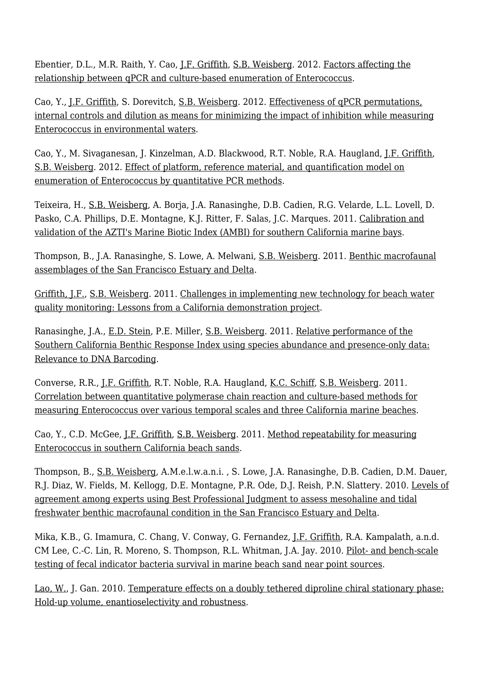Ebentier, D.L., M.R. Raith, Y. Cao, [J.F. Griffith](http://www.sccwrp.org/about/staff/john-griffith/), [S.B. Weisberg](http://www.sccwrp.org/about/staff/steve-weisberg/). 2012. [Factors affecting the](http://ftp.sccwrp.org/pub/download/DOCUMENTS/AnnualReports/2012AnnualReport/ar12_253_260.pdf) [relationship between qPCR and culture-based enumeration of Enterococcus](http://ftp.sccwrp.org/pub/download/DOCUMENTS/AnnualReports/2012AnnualReport/ar12_253_260.pdf).

Cao, Y., [J.F. Griffith](http://www.sccwrp.org/about/staff/john-griffith/), S. Dorevitch, [S.B. Weisberg](http://www.sccwrp.org/about/staff/steve-weisberg/). 2012. [Effectiveness of qPCR permutations,](http://ftp.sccwrp.org/pub/download/DOCUMENTS/AnnualReports/2012AnnualReport/ar12_287_298.pdf) [internal controls and dilution as means for minimizing the impact of inhibition while measuring](http://ftp.sccwrp.org/pub/download/DOCUMENTS/AnnualReports/2012AnnualReport/ar12_287_298.pdf) [Enterococcus in environmental waters.](http://ftp.sccwrp.org/pub/download/DOCUMENTS/AnnualReports/2012AnnualReport/ar12_287_298.pdf)

Cao, Y., M. Sivaganesan, J. Kinzelman, A.D. Blackwood, R.T. Noble, R.A. Haugland, [J.F. Griffith,](http://www.sccwrp.org/about/staff/john-griffith/) [S.B. Weisberg](http://www.sccwrp.org/about/staff/steve-weisberg/). 2012. [Effect of platform, reference material, and quantification model on](http://ftp.sccwrp.org/pub/download/DOCUMENTS/AnnualReports/2012AnnualReport/ar12_261_272.pdf) [enumeration of Enterococcus by quantitative PCR methods](http://ftp.sccwrp.org/pub/download/DOCUMENTS/AnnualReports/2012AnnualReport/ar12_261_272.pdf).

Teixeira, H., [S.B. Weisberg,](http://www.sccwrp.org/about/staff/steve-weisberg/) A. Borja, J.A. Ranasinghe, D.B. Cadien, R.G. Velarde, L.L. Lovell, D. Pasko, C.A. Phillips, D.E. Montagne, K.J. Ritter, F. Salas, J.C. Marques. 2011. [Calibration and](http://ftp.sccwrp.org/pub/download/DOCUMENTS/AnnualReports/2011AnnualReport/ar11_099_118.pdf) [validation of the AZTI's Marine Biotic Index \(AMBI\) for southern California marine bays](http://ftp.sccwrp.org/pub/download/DOCUMENTS/AnnualReports/2011AnnualReport/ar11_099_118.pdf).

Thompson, B., J.A. Ranasinghe, S. Lowe, A. Melwani, [S.B. Weisberg](http://www.sccwrp.org/about/staff/steve-weisberg/). 2011. [Benthic macrofaunal](http://ftp.sccwrp.org/pub/download/DOCUMENTS/AnnualReports/2011AnnualReport/ar11_163_176.pdf) [assemblages of the San Francisco Estuary and Delta.](http://ftp.sccwrp.org/pub/download/DOCUMENTS/AnnualReports/2011AnnualReport/ar11_163_176.pdf)

[Griffith, J.F.,](http://www.sccwrp.org/about/staff/john-griffith/) [S.B. Weisberg.](http://www.sccwrp.org/about/staff/steve-weisberg/) 2011. [Challenges in implementing new technology for beach water](http://ftp.sccwrp.org/pub/download/DOCUMENTS/AnnualReports/2011AnnualReport/ar11_177_186.pdf) [quality monitoring: Lessons from a California demonstration project](http://ftp.sccwrp.org/pub/download/DOCUMENTS/AnnualReports/2011AnnualReport/ar11_177_186.pdf).

Ranasinghe, J.A., [E.D. Stein](http://www.sccwrp.org/about/staff/eric-stein/), P.E. Miller, [S.B. Weisberg](http://www.sccwrp.org/about/staff/steve-weisberg/). 2011. [Relative performance of the](http://ftp.sccwrp.org/pub/download/DOCUMENTS/AnnualReports/2011AnnualReport/ar11_297_303.pdf) [Southern California Benthic Response Index using species abundance and presence-only data:](http://ftp.sccwrp.org/pub/download/DOCUMENTS/AnnualReports/2011AnnualReport/ar11_297_303.pdf) [Relevance to DNA Barcoding](http://ftp.sccwrp.org/pub/download/DOCUMENTS/AnnualReports/2011AnnualReport/ar11_297_303.pdf).

Converse, R.R., [J.F. Griffith](http://www.sccwrp.org/about/staff/john-griffith/), R.T. Noble, R.A. Haugland, [K.C. Schiff,](http://www.sccwrp.org/about/staff/ken-schiff/) [S.B. Weisberg.](http://www.sccwrp.org/about/staff/steve-weisberg/) 2011. [Correlation between quantitative polymerase chain reaction and culture-based methods for](http://ftp.sccwrp.org/pub/download/DOCUMENTS/AnnualReports/2011AnnualReport/ar11_187_196.pdf) [measuring Enterococcus over various temporal scales and three California marine beaches.](http://ftp.sccwrp.org/pub/download/DOCUMENTS/AnnualReports/2011AnnualReport/ar11_187_196.pdf)

Cao, Y., C.D. McGee, [J.F. Griffith](http://www.sccwrp.org/about/staff/john-griffith/), [S.B. Weisberg](http://www.sccwrp.org/about/staff/steve-weisberg/). 2011. [Method repeatability for measuring](http://ftp.sccwrp.org/pub/download/DOCUMENTS/AnnualReports/2011AnnualReport/ar11_207_211.pdf) [Enterococcus in southern California beach sands.](http://ftp.sccwrp.org/pub/download/DOCUMENTS/AnnualReports/2011AnnualReport/ar11_207_211.pdf)

Thompson, B., [S.B. Weisberg,](http://www.sccwrp.org/about/staff/steve-weisberg/) A.M.e.l.w.a.n.i. , S. Lowe, J.A. Ranasinghe, D.B. Cadien, D.M. Dauer, R.J. Diaz, W. Fields, M. Kellogg, D.E. Montagne, P.R. Ode, D.J. Reish, P.N. Slattery. 2010. [Levels of](http://ftp.sccwrp.org/pub/download/DOCUMENTS/AnnualReports/2010AnnualReport/ar10_177_185.pdf) [agreement among experts using Best Professional Judgment to assess mesohaline and tidal](http://ftp.sccwrp.org/pub/download/DOCUMENTS/AnnualReports/2010AnnualReport/ar10_177_185.pdf) [freshwater benthic macrofaunal condition in the San Francisco Estuary and Delta.](http://ftp.sccwrp.org/pub/download/DOCUMENTS/AnnualReports/2010AnnualReport/ar10_177_185.pdf)

Mika, K.B., G. Imamura, C. Chang, V. Conway, G. Fernandez, [J.F. Griffith,](http://www.sccwrp.org/about/staff/john-griffith/) R.A. Kampalath, a.n.d. CM Lee, C.-C. Lin, R. Moreno, S. Thompson, R.L. Whitman, J.A. Jay. 2010. [Pilot- and bench-scale](http://ftp.sccwrp.org/pub/download/DOCUMENTS/AnnualReports/2010AnnualReport/ar10_087_101.pdf) [testing of fecal indicator bacteria survival in marine beach sand near point sources](http://ftp.sccwrp.org/pub/download/DOCUMENTS/AnnualReports/2010AnnualReport/ar10_087_101.pdf).

[Lao, W.](http://www.sccwrp.org/about/staff/dr-wenjian-lao/), J. Gan. 2010. [Temperature effects on a doubly tethered diproline chiral stationary phase:](http://ftp.sccwrp.org/pub/download/DOCUMENTS/AnnualReports/2010AnnualReport/ar10_057_066.pdf) [Hold-up volume, enantioselectivity and robustness.](http://ftp.sccwrp.org/pub/download/DOCUMENTS/AnnualReports/2010AnnualReport/ar10_057_066.pdf)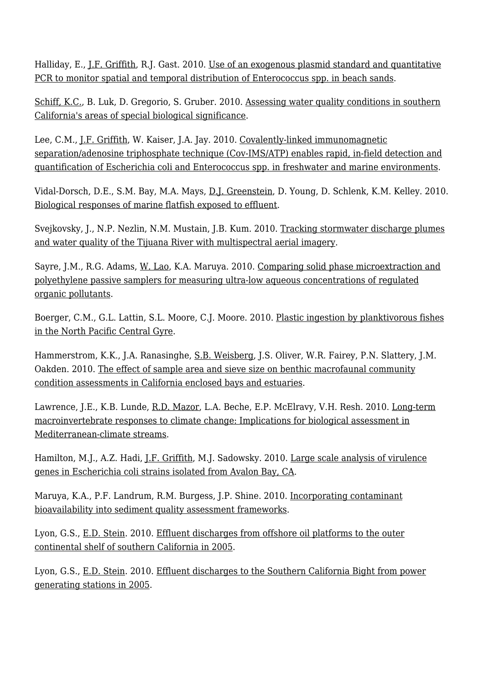Halliday, E., [J.F. Griffith](http://www.sccwrp.org/about/staff/john-griffith/), R.J. Gast. 2010. [Use of an exogenous plasmid standard and quantitative](http://ftp.sccwrp.org/pub/download/DOCUMENTS/AnnualReports/2010AnnualReport/ar10_103_112.pdf) [PCR to monitor spatial and temporal distribution of Enterococcus spp. in beach sands](http://ftp.sccwrp.org/pub/download/DOCUMENTS/AnnualReports/2010AnnualReport/ar10_103_112.pdf).

[Schiff, K.C.,](http://www.sccwrp.org/about/staff/ken-schiff/) B. Luk, D. Gregorio, S. Gruber. 2010. [Assessing water quality conditions in southern](http://ftp.sccwrp.org/pub/download/DOCUMENTS/AnnualReports/2010AnnualReport/ar10_251_260.pdf) [California's areas of special biological significance](http://ftp.sccwrp.org/pub/download/DOCUMENTS/AnnualReports/2010AnnualReport/ar10_251_260.pdf).

Lee, C.M., [J.F. Griffith,](http://www.sccwrp.org/about/staff/john-griffith/) W. Kaiser, J.A. Jay. 2010. [Covalently-linked immunomagnetic](http://ftp.sccwrp.org/pub/download/DOCUMENTS/AnnualReports/2010AnnualReport/ar10_075_085.pdf) [separation/adenosine triphosphate technique \(Cov-IMS/ATP\) enables rapid, in-field detection and](http://ftp.sccwrp.org/pub/download/DOCUMENTS/AnnualReports/2010AnnualReport/ar10_075_085.pdf) [quantification of Escherichia coli and Enterococcus spp. in freshwater and marine environments](http://ftp.sccwrp.org/pub/download/DOCUMENTS/AnnualReports/2010AnnualReport/ar10_075_085.pdf).

Vidal-Dorsch, D.E., S.M. Bay, M.A. Mays, [D.J. Greenstein](http://www.sccwrp.org/about/staff/darrin-greenstein/), D. Young, D. Schlenk, K.M. Kelley. 2010. [Biological responses of marine flatfish exposed to effluent](http://ftp.sccwrp.org/pub/download/DOCUMENTS/AnnualReports/2010AnnualReport/ar10_239_250.pdf).

Svejkovsky, J., N.P. Nezlin, N.M. Mustain, J.B. Kum. 2010. [Tracking stormwater discharge plumes](http://ftp.sccwrp.org/pub/download/DOCUMENTS/AnnualReports/2010AnnualReport/ar10_261_280.pdf) [and water quality of the Tijuana River with multispectral aerial imagery.](http://ftp.sccwrp.org/pub/download/DOCUMENTS/AnnualReports/2010AnnualReport/ar10_261_280.pdf)

Sayre, J.M., R.G. Adams, [W. Lao,](http://www.sccwrp.org/about/staff/dr-wenjian-lao/) K.A. Maruya. 2010. [Comparing solid phase microextraction and](http://ftp.sccwrp.org/pub/download/DOCUMENTS/AnnualReports/2010AnnualReport/ar10_045_056.pdf) [polyethylene passive samplers for measuring ultra-low aqueous concentrations of regulated](http://ftp.sccwrp.org/pub/download/DOCUMENTS/AnnualReports/2010AnnualReport/ar10_045_056.pdf) [organic pollutants](http://ftp.sccwrp.org/pub/download/DOCUMENTS/AnnualReports/2010AnnualReport/ar10_045_056.pdf).

Boerger, C.M., G.L. Lattin, S.L. Moore, C.J. Moore. 2010. [Plastic ingestion by planktivorous fishes](http://ftp.sccwrp.org/pub/download/DOCUMENTS/AnnualReports/2010AnnualReport/ar10_281_285.pdf) [in the North Pacific Central Gyre.](http://ftp.sccwrp.org/pub/download/DOCUMENTS/AnnualReports/2010AnnualReport/ar10_281_285.pdf)

Hammerstrom, K.K., J.A. Ranasinghe, [S.B. Weisberg,](http://www.sccwrp.org/about/staff/steve-weisberg/) J.S. Oliver, W.R. Fairey, P.N. Slattery, J.M. Oakden. 2010. [The effect of sample area and sieve size on benthic macrofaunal community](http://ftp.sccwrp.org/pub/download/DOCUMENTS/AnnualReports/2010AnnualReport/ar10_187_198.pdf) [condition assessments in California enclosed bays and estuaries](http://ftp.sccwrp.org/pub/download/DOCUMENTS/AnnualReports/2010AnnualReport/ar10_187_198.pdf).

Lawrence, J.E., K.B. Lunde, [R.D. Mazor](http://www.sccwrp.org/about/staff/raphael-mazor/), L.A. Beche, E.P. McElravy, V.H. Resh. 2010. [Long-term](http://ftp.sccwrp.org/pub/download/DOCUMENTS/AnnualReports/2010AnnualReport/ar10_199_217.pdf) [macroinvertebrate responses to climate change: Implications for biological assessment in](http://ftp.sccwrp.org/pub/download/DOCUMENTS/AnnualReports/2010AnnualReport/ar10_199_217.pdf) [Mediterranean-climate streams.](http://ftp.sccwrp.org/pub/download/DOCUMENTS/AnnualReports/2010AnnualReport/ar10_199_217.pdf)

Hamilton, M.J., A.Z. Hadi, [J.F. Griffith](http://www.sccwrp.org/about/staff/john-griffith/), M.J. Sadowsky. 2010. [Large scale analysis of virulence](http://ftp.sccwrp.org/pub/download/DOCUMENTS/AnnualReports/2010AnnualReport/ar10_113_125.pdf) [genes in Escherichia coli strains isolated from Avalon Bay, CA.](http://ftp.sccwrp.org/pub/download/DOCUMENTS/AnnualReports/2010AnnualReport/ar10_113_125.pdf)

Maruya, K.A., P.F. Landrum, R.M. Burgess, J.P. Shine. 2010. [Incorporating contaminant](http://ftp.sccwrp.org/pub/download/DOCUMENTS/AnnualReports/2010AnnualReport/ar10_153_175.pdf) [bioavailability into sediment quality assessment frameworks.](http://ftp.sccwrp.org/pub/download/DOCUMENTS/AnnualReports/2010AnnualReport/ar10_153_175.pdf)

Lyon, G.S., [E.D. Stein.](http://www.sccwrp.org/about/staff/eric-stein/) 2010. [Effluent discharges from offshore oil platforms to the outer](http://ftp.sccwrp.org/pub/download/DOCUMENTS/AnnualReports/2010AnnualReport/ar10_029_043.pdf) [continental shelf of southern California in 2005](http://ftp.sccwrp.org/pub/download/DOCUMENTS/AnnualReports/2010AnnualReport/ar10_029_043.pdf).

Lyon, G.S., [E.D. Stein.](http://www.sccwrp.org/about/staff/eric-stein/) 2010. [Effluent discharges to the Southern California Bight from power](http://ftp.sccwrp.org/pub/download/DOCUMENTS/AnnualReports/2010AnnualReport/ar10_015_028.pdf) [generating stations in 2005](http://ftp.sccwrp.org/pub/download/DOCUMENTS/AnnualReports/2010AnnualReport/ar10_015_028.pdf).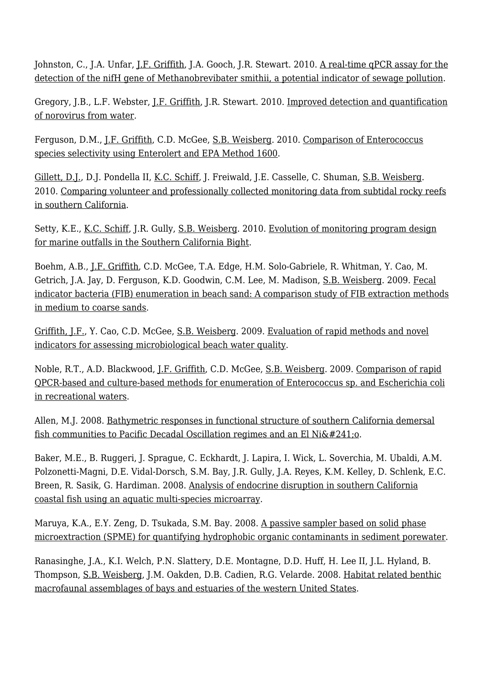Johnston, C., J.A. Unfar, <u>J.F. Griffith</u>, J.A. Gooch, J.R. Stewart. 2010. <u>[A real-time qPCR assay for the](http://ftp.sccwrp.org/pub/download/DOCUMENTS/AnnualReports/2010AnnualReport/ar10_127_138.pdf)</u> [detection of the nifH gene of Methanobrevibater smithii, a potential indicator of sewage pollution](http://ftp.sccwrp.org/pub/download/DOCUMENTS/AnnualReports/2010AnnualReport/ar10_127_138.pdf).

Gregory, J.B., L.F. Webster, [J.F. Griffith](http://www.sccwrp.org/about/staff/john-griffith/), J.R. Stewart. 2010. [Improved detection and quantification](http://ftp.sccwrp.org/pub/download/DOCUMENTS/AnnualReports/2010AnnualReport/ar10_139_152.pdf) [of norovirus from water.](http://ftp.sccwrp.org/pub/download/DOCUMENTS/AnnualReports/2010AnnualReport/ar10_139_152.pdf)

Ferguson, D.M., [J.F. Griffith](http://www.sccwrp.org/about/staff/john-griffith/), C.D. McGee, [S.B. Weisberg](http://www.sccwrp.org/about/staff/steve-weisberg/). 2010. [Comparison of Enterococcus](http://ftp.sccwrp.org/pub/download/DOCUMENTS/AnnualReports/2010AnnualReport/ar10_067_073.pdf) [species selectivity using Enterolert and EPA Method 1600.](http://ftp.sccwrp.org/pub/download/DOCUMENTS/AnnualReports/2010AnnualReport/ar10_067_073.pdf)

[Gillett, D.J.](http://www.sccwrp.org/about/staff/david-gillett/), D.J. Pondella II, [K.C. Schiff,](http://www.sccwrp.org/about/staff/ken-schiff/) J. Freiwald, J.E. Casselle, C. Shuman, [S.B. Weisberg.](http://www.sccwrp.org/about/staff/steve-weisberg/) 2010. [Comparing volunteer and professionally collected monitoring data from subtidal rocky reefs](http://ftp.sccwrp.org/pub/download/DOCUMENTS/AnnualReports/2010AnnualReport/ar10_219_237.pdf) [in southern California](http://ftp.sccwrp.org/pub/download/DOCUMENTS/AnnualReports/2010AnnualReport/ar10_219_237.pdf).

Setty, K.E., [K.C. Schiff](http://www.sccwrp.org/about/staff/ken-schiff/), J.R. Gully, [S.B. Weisberg.](http://www.sccwrp.org/about/staff/steve-weisberg/) 2010. [Evolution of monitoring program design](http://ftp.sccwrp.org/pub/download/DOCUMENTS/AnnualReports/2010AnnualReport/ar10_001_013.pdf) [for marine outfalls in the Southern California Bight](http://ftp.sccwrp.org/pub/download/DOCUMENTS/AnnualReports/2010AnnualReport/ar10_001_013.pdf).

Boehm, A.B., [J.F. Griffith](http://www.sccwrp.org/about/staff/john-griffith/), C.D. McGee, T.A. Edge, H.M. Solo-Gabriele, R. Whitman, Y. Cao, M. Getrich, J.A. Jay, D. Ferguson, K.D. Goodwin, C.M. Lee, M. Madison, [S.B. Weisberg.](http://www.sccwrp.org/about/staff/steve-weisberg/) 2009. [Fecal](http://ftp.sccwrp.org/pub/download/DOCUMENTS/AnnualReports/2009AnnualReport/AR09_249_261.pdf) [indicator bacteria \(FIB\) enumeration in beach sand: A comparison study of FIB extraction methods](http://ftp.sccwrp.org/pub/download/DOCUMENTS/AnnualReports/2009AnnualReport/AR09_249_261.pdf) [in medium to coarse sands.](http://ftp.sccwrp.org/pub/download/DOCUMENTS/AnnualReports/2009AnnualReport/AR09_249_261.pdf)

[Griffith, J.F.,](http://www.sccwrp.org/about/staff/john-griffith/) Y. Cao, C.D. McGee, [S.B. Weisberg](http://www.sccwrp.org/about/staff/steve-weisberg/). 2009. [Evaluation of rapid methods and novel](http://ftp.sccwrp.org/pub/download/DOCUMENTS/AnnualReports/2009AnnualReport/AR09_223_233.pdf) [indicators for assessing microbiological beach water quality.](http://ftp.sccwrp.org/pub/download/DOCUMENTS/AnnualReports/2009AnnualReport/AR09_223_233.pdf)

Noble, R.T., A.D. Blackwood, [J.F. Griffith](http://www.sccwrp.org/about/staff/john-griffith/), C.D. McGee, [S.B. Weisberg](http://www.sccwrp.org/about/staff/steve-weisberg/). 2009. [Comparison of rapid](http://ftp.sccwrp.org/pub/download/DOCUMENTS/AnnualReports/2009AnnualReport/AR09_211_221.pdf) [QPCR-based and culture-based methods for enumeration of Enterococcus sp. and Escherichia coli](http://ftp.sccwrp.org/pub/download/DOCUMENTS/AnnualReports/2009AnnualReport/AR09_211_221.pdf) [in recreational waters](http://ftp.sccwrp.org/pub/download/DOCUMENTS/AnnualReports/2009AnnualReport/AR09_211_221.pdf).

Allen, M.J. 2008. [Bathymetric responses in functional structure of southern California demersal](http://ftp.sccwrp.org/pub/download/DOCUMENTS/AnnualReports/2008AnnualReport/AR08_211_228.pdf) fish communities to Pacific Decadal Oscillation regimes and an El Ni $&\#241;o.$ 

Baker, M.E., B. Ruggeri, J. Sprague, C. Eckhardt, J. Lapira, I. Wick, L. Soverchia, M. Ubaldi, A.M. Polzonetti-Magni, D.E. Vidal-Dorsch, S.M. Bay, J.R. Gully, J.A. Reyes, K.M. Kelley, D. Schlenk, E.C. Breen, R. Sasik, G. Hardiman. 2008. [Analysis of endocrine disruption in southern California](http://ftp.sccwrp.org/pub/download/DOCUMENTS/AnnualReports/2008AnnualReport/AR08_065_078.pdf) [coastal fish using an aquatic multi-species microarray](http://ftp.sccwrp.org/pub/download/DOCUMENTS/AnnualReports/2008AnnualReport/AR08_065_078.pdf).

Maruya, K.A., E.Y. Zeng, D. Tsukada, S.M. Bay. 2008. [A passive sampler based on solid phase](http://ftp.sccwrp.org/pub/download/DOCUMENTS/AnnualReports/2008AnnualReport/AR08_039_049.pdf) [microextraction \(SPME\) for quantifying hydrophobic organic contaminants in sediment porewater](http://ftp.sccwrp.org/pub/download/DOCUMENTS/AnnualReports/2008AnnualReport/AR08_039_049.pdf).

Ranasinghe, J.A., K.I. Welch, P.N. Slattery, D.E. Montagne, D.D. Huff, H. Lee II, J.L. Hyland, B. Thompson, [S.B. Weisberg,](http://www.sccwrp.org/about/staff/steve-weisberg/) J.M. Oakden, D.B. Cadien, R.G. Velarde. 2008. [Habitat related benthic](http://ftp.sccwrp.org/pub/download/DOCUMENTS/AnnualReports/2008AnnualReport/AR08_199_210.pdf) [macrofaunal assemblages of bays and estuaries of the western United States](http://ftp.sccwrp.org/pub/download/DOCUMENTS/AnnualReports/2008AnnualReport/AR08_199_210.pdf).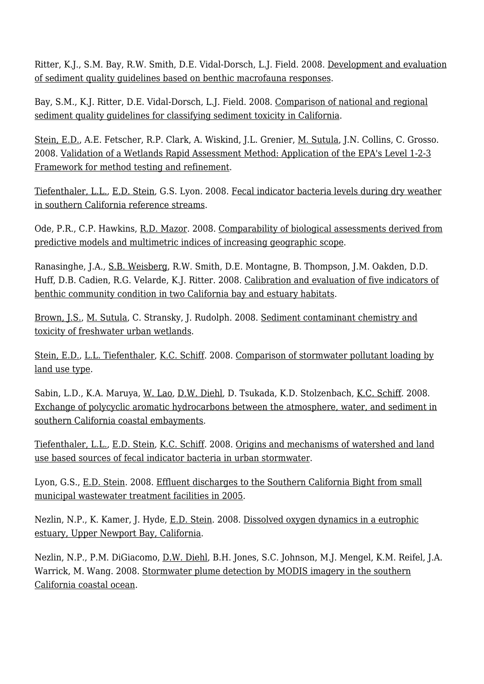Ritter, K.J., S.M. Bay, R.W. Smith, D.E. Vidal-Dorsch, L.J. Field. 2008. [Development and evaluation](http://ftp.sccwrp.org/pub/download/DOCUMENTS/AnnualReports/2008AnnualReport/AR08_091_105.pdf) [of sediment quality guidelines based on benthic macrofauna responses](http://ftp.sccwrp.org/pub/download/DOCUMENTS/AnnualReports/2008AnnualReport/AR08_091_105.pdf).

Bay, S.M., K.J. Ritter, D.E. Vidal-Dorsch, L.J. Field. 2008. [Comparison of national and regional](http://ftp.sccwrp.org/pub/download/DOCUMENTS/AnnualReports/2008AnnualReport/AR08_079_090.pdf) [sediment quality guidelines for classifying sediment toxicity in California.](http://ftp.sccwrp.org/pub/download/DOCUMENTS/AnnualReports/2008AnnualReport/AR08_079_090.pdf)

[Stein, E.D.,](http://www.sccwrp.org/about/staff/eric-stein/) A.E. Fetscher, R.P. Clark, A. Wiskind, J.L. Grenier, <u>M. Sutula</u>, J.N. Collins, C. Grosso. 2008. [Validation of a Wetlands Rapid Assessment Method: Application of the EPA's Level 1-2-3](http://ftp.sccwrp.org/pub/download/DOCUMENTS/AnnualReports/2008AnnualReport/AR08_247_269.pdf) [Framework for method testing and refinement](http://ftp.sccwrp.org/pub/download/DOCUMENTS/AnnualReports/2008AnnualReport/AR08_247_269.pdf).

[Tiefenthaler, L.L.,](http://www.sccwrp.org/about/staff/liesl-tiefenthaler/) [E.D. Stein](http://www.sccwrp.org/about/staff/eric-stein/), G.S. Lyon. 2008. [Fecal indicator bacteria levels during dry weather](http://ftp.sccwrp.org/pub/download/DOCUMENTS/AnnualReports/2008AnnualReport/AR08_163_174.pdf) [in southern California reference streams](http://ftp.sccwrp.org/pub/download/DOCUMENTS/AnnualReports/2008AnnualReport/AR08_163_174.pdf).

Ode, P.R., C.P. Hawkins, [R.D. Mazor](http://www.sccwrp.org/about/staff/raphael-mazor/). 2008. [Comparability of biological assessments derived from](http://ftp.sccwrp.org/pub/download/DOCUMENTS/AnnualReports/2008AnnualReport/AR08_123_143.pdf) [predictive models and multimetric indices of increasing geographic scope.](http://ftp.sccwrp.org/pub/download/DOCUMENTS/AnnualReports/2008AnnualReport/AR08_123_143.pdf)

Ranasinghe, J.A., [S.B. Weisberg,](http://www.sccwrp.org/about/staff/steve-weisberg/) R.W. Smith, D.E. Montagne, B. Thompson, J.M. Oakden, D.D. Huff, D.B. Cadien, R.G. Velarde, K.J. Ritter. 2008. [Calibration and evaluation of five indicators of](http://ftp.sccwrp.org/pub/download/DOCUMENTS/AnnualReports/2008AnnualReport/AR08_107_121.pdf) [benthic community condition in two California bay and estuary habitats](http://ftp.sccwrp.org/pub/download/DOCUMENTS/AnnualReports/2008AnnualReport/AR08_107_121.pdf).

[Brown, J.S.,](http://www.sccwrp.org/about/staff/jeff-brown/) [M. Sutula](http://www.sccwrp.org/about/staff/martha-sutula/), C. Stransky, J. Rudolph. 2008. [Sediment contaminant chemistry and](http://ftp.sccwrp.org/pub/download/DOCUMENTS/AnnualReports/2008AnnualReport/AR08_271_287.pdf) [toxicity of freshwater urban wetlands](http://ftp.sccwrp.org/pub/download/DOCUMENTS/AnnualReports/2008AnnualReport/AR08_271_287.pdf).

[Stein, E.D.,](http://www.sccwrp.org/about/staff/eric-stein/) [L.L. Tiefenthaler](http://www.sccwrp.org/about/staff/liesl-tiefenthaler/), [K.C. Schiff](http://www.sccwrp.org/about/staff/ken-schiff/). 2008. [Comparison of stormwater pollutant loading by](http://ftp.sccwrp.org/pub/download/DOCUMENTS/AnnualReports/2008AnnualReport/AR08_015_027.pdf) [land use type](http://ftp.sccwrp.org/pub/download/DOCUMENTS/AnnualReports/2008AnnualReport/AR08_015_027.pdf).

Sabin, L.D., K.A. Maruya, [W. Lao](http://www.sccwrp.org/about/staff/dr-wenjian-lao/), [D.W. Diehl,](http://www.sccwrp.org/about/staff/dario-diehl/) D. Tsukada, K.D. Stolzenbach, [K.C. Schiff.](http://www.sccwrp.org/about/staff/ken-schiff/) 2008. [Exchange of polycyclic aromatic hydrocarbons between the atmosphere, water, and sediment in](http://ftp.sccwrp.org/pub/download/DOCUMENTS/AnnualReports/2008AnnualReport/AR08_051_064.pdf) [southern California coastal embayments](http://ftp.sccwrp.org/pub/download/DOCUMENTS/AnnualReports/2008AnnualReport/AR08_051_064.pdf).

[Tiefenthaler, L.L.,](http://www.sccwrp.org/about/staff/liesl-tiefenthaler/) [E.D. Stein](http://www.sccwrp.org/about/staff/eric-stein/), [K.C. Schiff](http://www.sccwrp.org/about/staff/ken-schiff/). 2008. [Origins and mechanisms of watershed and land](http://ftp.sccwrp.org/pub/download/DOCUMENTS/AnnualReports/2008AnnualReport/AR08_153_161.pdf) [use based sources of fecal indicator bacteria in urban stormwater](http://ftp.sccwrp.org/pub/download/DOCUMENTS/AnnualReports/2008AnnualReport/AR08_153_161.pdf).

Lyon, G.S., [E.D. Stein.](http://www.sccwrp.org/about/staff/eric-stein/) 2008. [Effluent discharges to the Southern California Bight from small](http://ftp.sccwrp.org/pub/download/DOCUMENTS/AnnualReports/2008AnnualReport/AR08_001_014.pdf) [municipal wastewater treatment facilities in 2005.](http://ftp.sccwrp.org/pub/download/DOCUMENTS/AnnualReports/2008AnnualReport/AR08_001_014.pdf)

Nezlin, N.P., K. Kamer, J. Hyde, [E.D. Stein.](http://www.sccwrp.org/about/staff/eric-stein/) 2008. [Dissolved oxygen dynamics in a eutrophic](http://ftp.sccwrp.org/pub/download/DOCUMENTS/AnnualReports/2008AnnualReport/AR08_229_245.pdf) [estuary, Upper Newport Bay, California](http://ftp.sccwrp.org/pub/download/DOCUMENTS/AnnualReports/2008AnnualReport/AR08_229_245.pdf).

Nezlin, N.P., P.M. DiGiacomo, [D.W. Diehl](http://www.sccwrp.org/about/staff/dario-diehl/), B.H. Jones, S.C. Johnson, M.J. Mengel, K.M. Reifel, J.A. Warrick, M. Wang. 2008. [Stormwater plume detection by MODIS imagery in the southern](http://ftp.sccwrp.org/pub/download/DOCUMENTS/AnnualReports/2008AnnualReport/AR08_289_304.pdf) [California coastal ocean](http://ftp.sccwrp.org/pub/download/DOCUMENTS/AnnualReports/2008AnnualReport/AR08_289_304.pdf).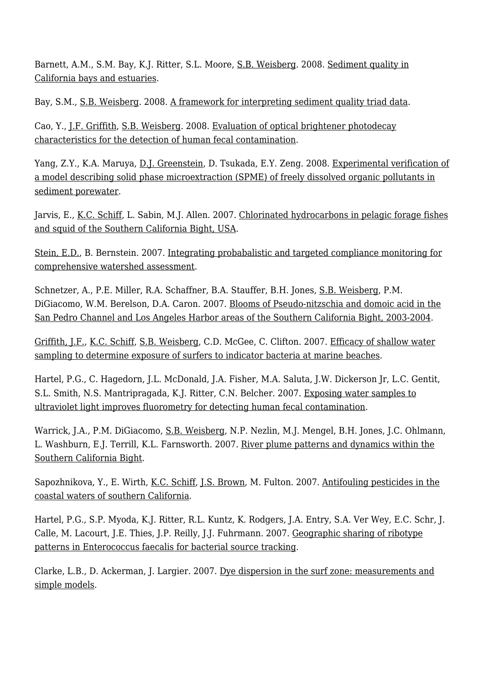Barnett, A.M., S.M. Bay, K.J. Ritter, S.L. Moore, [S.B. Weisberg](http://www.sccwrp.org/about/staff/steve-weisberg/). 2008. [Sediment quality in](http://ftp.sccwrp.org/pub/download/DOCUMENTS/AnnualReports/2008AnnualReport/AR08_187_198.pdf) [California bays and estuaries](http://ftp.sccwrp.org/pub/download/DOCUMENTS/AnnualReports/2008AnnualReport/AR08_187_198.pdf).

Bay, S.M., [S.B. Weisberg.](http://www.sccwrp.org/about/staff/steve-weisberg/) 2008. [A framework for interpreting sediment quality triad data.](http://ftp.sccwrp.org/pub/download/DOCUMENTS/AnnualReports/2008AnnualReport/AR08_175_185.pdf)

Cao, Y., [J.F. Griffith](http://www.sccwrp.org/about/staff/john-griffith/), [S.B. Weisberg](http://www.sccwrp.org/about/staff/steve-weisberg/). 2008. [Evaluation of optical brightener photodecay](http://ftp.sccwrp.org/pub/download/DOCUMENTS/AnnualReports/2008AnnualReport/AR08_145_152.pdf) [characteristics for the detection of human fecal contamination](http://ftp.sccwrp.org/pub/download/DOCUMENTS/AnnualReports/2008AnnualReport/AR08_145_152.pdf).

Yang, Z.Y., K.A. Maruya, [D.J. Greenstein,](http://www.sccwrp.org/about/staff/darrin-greenstein/) D. Tsukada, E.Y. Zeng. 2008. [Experimental verification of](http://ftp.sccwrp.org/pub/download/DOCUMENTS/AnnualReports/2008AnnualReport/AR08_029_038.pdf) [a model describing solid phase microextraction \(SPME\) of freely dissolved organic pollutants in](http://ftp.sccwrp.org/pub/download/DOCUMENTS/AnnualReports/2008AnnualReport/AR08_029_038.pdf) [sediment porewater.](http://ftp.sccwrp.org/pub/download/DOCUMENTS/AnnualReports/2008AnnualReport/AR08_029_038.pdf)

Jarvis, E., [K.C. Schiff,](http://www.sccwrp.org/about/staff/ken-schiff/) L. Sabin, M.J. Allen. 2007. [Chlorinated hydrocarbons in pelagic forage fishes](http://ftp.sccwrp.org/pub/download/DOCUMENTS/AnnualReports/2007AnnualReport/AR07_245_258.pdf) [and squid of the Southern California Bight, USA](http://ftp.sccwrp.org/pub/download/DOCUMENTS/AnnualReports/2007AnnualReport/AR07_245_258.pdf).

[Stein, E.D.,](http://www.sccwrp.org/about/staff/eric-stein/) B. Bernstein. 2007. [Integrating probabalistic and targeted compliance monitoring for](http://ftp.sccwrp.org/pub/download/DOCUMENTS/AnnualReports/2007AnnualReport/AR07_171_182.pdf) [comprehensive watershed assessment](http://ftp.sccwrp.org/pub/download/DOCUMENTS/AnnualReports/2007AnnualReport/AR07_171_182.pdf).

Schnetzer, A., P.E. Miller, R.A. Schaffner, B.A. Stauffer, B.H. Jones, [S.B. Weisberg](http://www.sccwrp.org/about/staff/steve-weisberg/), P.M. DiGiacomo, W.M. Berelson, D.A. Caron. 2007. [Blooms of Pseudo-nitzschia and domoic acid in the](http://ftp.sccwrp.org/pub/download/DOCUMENTS/AnnualReports/2007AnnualReport/AR07_197_214.pdf) [San Pedro Channel and Los Angeles Harbor areas of the Southern California Bight, 2003-2004](http://ftp.sccwrp.org/pub/download/DOCUMENTS/AnnualReports/2007AnnualReport/AR07_197_214.pdf).

[Griffith, J.F.,](http://www.sccwrp.org/about/staff/john-griffith/) [K.C. Schiff](http://www.sccwrp.org/about/staff/ken-schiff/), [S.B. Weisberg](http://www.sccwrp.org/about/staff/steve-weisberg/), C.D. McGee, C. Clifton. 2007. [Efficacy of shallow water](http://ftp.sccwrp.org/pub/download/DOCUMENTS/AnnualReports/2007AnnualReport/AR07_237_244.pdf) [sampling to determine exposure of surfers to indicator bacteria at marine beaches](http://ftp.sccwrp.org/pub/download/DOCUMENTS/AnnualReports/2007AnnualReport/AR07_237_244.pdf).

Hartel, P.G., C. Hagedorn, J.L. McDonald, J.A. Fisher, M.A. Saluta, J.W. Dickerson Jr, L.C. Gentit, S.L. Smith, N.S. Mantripragada, K.J. Ritter, C.N. Belcher. 2007. [Exposing water samples to](http://ftp.sccwrp.org/pub/download/DOCUMENTS/AnnualReports/2007AnnualReport/AR07_281_298.pdf) [ultraviolet light improves fluorometry for detecting human fecal contamination](http://ftp.sccwrp.org/pub/download/DOCUMENTS/AnnualReports/2007AnnualReport/AR07_281_298.pdf).

Warrick, J.A., P.M. DiGiacomo, [S.B. Weisberg](http://www.sccwrp.org/about/staff/steve-weisberg/), N.P. Nezlin, M.J. Mengel, B.H. Jones, J.C. Ohlmann, L. Washburn, E.J. Terrill, K.L. Farnsworth. 2007. [River plume patterns and dynamics within the](http://ftp.sccwrp.org/pub/download/DOCUMENTS/AnnualReports/2007AnnualReport/AR07_215_236.pdf) [Southern California Bight.](http://ftp.sccwrp.org/pub/download/DOCUMENTS/AnnualReports/2007AnnualReport/AR07_215_236.pdf)

Sapozhnikova, Y., E. Wirth, [K.C. Schiff,](http://www.sccwrp.org/about/staff/ken-schiff/) [J.S. Brown](http://www.sccwrp.org/about/staff/jeff-brown/), M. Fulton. 2007. [Antifouling pesticides in the](http://ftp.sccwrp.org/pub/download/DOCUMENTS/AnnualReports/2007AnnualReport/AR07_093_102.pdf) [coastal waters of southern California.](http://ftp.sccwrp.org/pub/download/DOCUMENTS/AnnualReports/2007AnnualReport/AR07_093_102.pdf)

Hartel, P.G., S.P. Myoda, K.J. Ritter, R.L. Kuntz, K. Rodgers, J.A. Entry, S.A. Ver Wey, E.C. Schr, J. Calle, M. Lacourt, J.E. Thies, J.P. Reilly, J.J. Fuhrmann. 2007. [Geographic sharing of ribotype](http://ftp.sccwrp.org/pub/download/DOCUMENTS/AnnualReports/2007AnnualReport/AR07_299_310.pdf) [patterns in Enterococcus faecalis for bacterial source tracking](http://ftp.sccwrp.org/pub/download/DOCUMENTS/AnnualReports/2007AnnualReport/AR07_299_310.pdf).

Clarke, L.B., D. Ackerman, J. Largier. 2007. [Dye dispersion in the surf zone: measurements and](http://ftp.sccwrp.org/pub/download/DOCUMENTS/AnnualReports/2007AnnualReport/AR07_073_092.pdf) [simple models](http://ftp.sccwrp.org/pub/download/DOCUMENTS/AnnualReports/2007AnnualReport/AR07_073_092.pdf).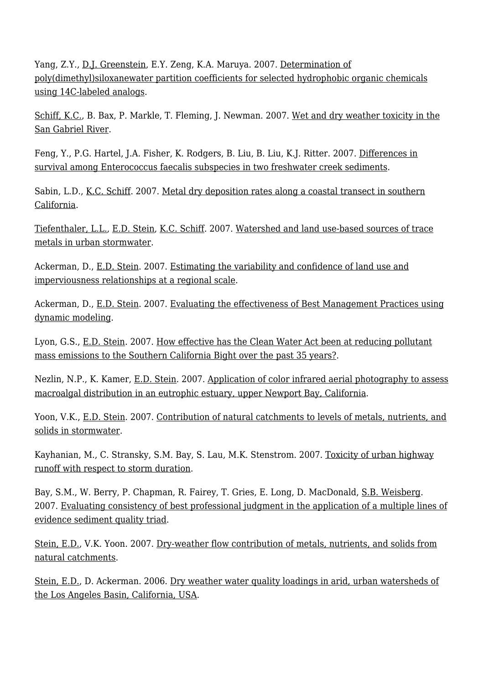Yang, Z.Y., [D.J. Greenstein](http://www.sccwrp.org/about/staff/darrin-greenstein/), E.Y. Zeng, K.A. Maruya. 2007. [Determination of](http://ftp.sccwrp.org/pub/download/DOCUMENTS/AnnualReports/2007AnnualReport/AR07_269_280.pdf) [poly\(dimethyl\)siloxanewater partition coefficients for selected hydrophobic organic chemicals](http://ftp.sccwrp.org/pub/download/DOCUMENTS/AnnualReports/2007AnnualReport/AR07_269_280.pdf) [using 14C-labeled analogs.](http://ftp.sccwrp.org/pub/download/DOCUMENTS/AnnualReports/2007AnnualReport/AR07_269_280.pdf)

[Schiff, K.C.,](http://www.sccwrp.org/about/staff/ken-schiff/) B. Bax, P. Markle, T. Fleming, J. Newman. 2007. [Wet and dry weather toxicity in the](http://ftp.sccwrp.org/pub/download/DOCUMENTS/AnnualReports/2007AnnualReport/AR07_129_138.pdf) [San Gabriel River.](http://ftp.sccwrp.org/pub/download/DOCUMENTS/AnnualReports/2007AnnualReport/AR07_129_138.pdf)

Feng, Y., P.G. Hartel, J.A. Fisher, K. Rodgers, B. Liu, B. Liu, K.J. Ritter. 2007. [Differences in](http://ftp.sccwrp.org/pub/download/DOCUMENTS/AnnualReports/2007AnnualReport/AR07_103_108.pdf) [survival among Enterococcus faecalis subspecies in two freshwater creek sediments.](http://ftp.sccwrp.org/pub/download/DOCUMENTS/AnnualReports/2007AnnualReport/AR07_103_108.pdf)

Sabin, L.D., [K.C. Schiff.](http://www.sccwrp.org/about/staff/ken-schiff/) 2007. [Metal dry deposition rates along a coastal transect in southern](http://ftp.sccwrp.org/pub/download/DOCUMENTS/AnnualReports/2007AnnualReport/AR07_061_072.pdf) [California](http://ftp.sccwrp.org/pub/download/DOCUMENTS/AnnualReports/2007AnnualReport/AR07_061_072.pdf).

[Tiefenthaler, L.L.,](http://www.sccwrp.org/about/staff/liesl-tiefenthaler/) [E.D. Stein](http://www.sccwrp.org/about/staff/eric-stein/), [K.C. Schiff](http://www.sccwrp.org/about/staff/ken-schiff/). 2007. [Watershed and land use-based sources of trace](http://ftp.sccwrp.org/pub/download/DOCUMENTS/AnnualReports/2007AnnualReport/AR07_013_030.pdf) [metals in urban stormwater.](http://ftp.sccwrp.org/pub/download/DOCUMENTS/AnnualReports/2007AnnualReport/AR07_013_030.pdf)

Ackerman, D., [E.D. Stein.](http://www.sccwrp.org/about/staff/eric-stein/) 2007. [Estimating the variability and confidence of land use and](http://ftp.sccwrp.org/pub/download/DOCUMENTS/AnnualReports/2007AnnualReport/AR07_157_170.pdf) [imperviousness relationships at a regional scale.](http://ftp.sccwrp.org/pub/download/DOCUMENTS/AnnualReports/2007AnnualReport/AR07_157_170.pdf)

Ackerman, D., [E.D. Stein.](http://www.sccwrp.org/about/staff/eric-stein/) 2007. [Evaluating the effectiveness of Best Management Practices using](http://ftp.sccwrp.org/pub/download/DOCUMENTS/AnnualReports/2007AnnualReport/AR07_183_196.pdf) [dynamic modeling.](http://ftp.sccwrp.org/pub/download/DOCUMENTS/AnnualReports/2007AnnualReport/AR07_183_196.pdf)

Lyon, G.S., [E.D. Stein.](http://www.sccwrp.org/about/staff/eric-stein/) 2007. [How effective has the Clean Water Act been at reducing pollutant](http://ftp.sccwrp.org/pub/download/DOCUMENTS/AnnualReports/2007AnnualReport/AR07_001_012.pdf) [mass emissions to the Southern California Bight over the past 35 years?.](http://ftp.sccwrp.org/pub/download/DOCUMENTS/AnnualReports/2007AnnualReport/AR07_001_012.pdf)

Nezlin, N.P., K. Kamer, [E.D. Stein.](http://www.sccwrp.org/about/staff/eric-stein/) 2007. [Application of color infrared aerial photography to assess](http://ftp.sccwrp.org/pub/download/DOCUMENTS/AnnualReports/2007AnnualReport/AR07_139_156.pdf) [macroalgal distribution in an eutrophic estuary, upper Newport Bay, California](http://ftp.sccwrp.org/pub/download/DOCUMENTS/AnnualReports/2007AnnualReport/AR07_139_156.pdf).

Yoon, V.K., [E.D. Stein.](http://www.sccwrp.org/about/staff/eric-stein/) 2007. [Contribution of natural catchments to levels of metals, nutrients, and](http://ftp.sccwrp.org/pub/download/DOCUMENTS/AnnualReports/2007AnnualReport/AR07_045_060.pdf) [solids in stormwater.](http://ftp.sccwrp.org/pub/download/DOCUMENTS/AnnualReports/2007AnnualReport/AR07_045_060.pdf)

Kayhanian, M., C. Stransky, S.M. Bay, S. Lau, M.K. Stenstrom. 2007. [Toxicity of urban highway](http://ftp.sccwrp.org/pub/download/DOCUMENTS/AnnualReports/2007AnnualReport/AR07_109_128.pdf) [runoff with respect to storm duration.](http://ftp.sccwrp.org/pub/download/DOCUMENTS/AnnualReports/2007AnnualReport/AR07_109_128.pdf)

Bay, S.M., W. Berry, P. Chapman, R. Fairey, T. Gries, E. Long, D. MacDonald, [S.B. Weisberg](http://www.sccwrp.org/about/staff/steve-weisberg/). 2007. [Evaluating consistency of best professional judgment in the application of a multiple lines of](http://ftp.sccwrp.org/pub/download/DOCUMENTS/AnnualReports/2007AnnualReport/AR07_259_268.pdf) [evidence sediment quality triad.](http://ftp.sccwrp.org/pub/download/DOCUMENTS/AnnualReports/2007AnnualReport/AR07_259_268.pdf)

[Stein, E.D.,](http://www.sccwrp.org/about/staff/eric-stein/) V.K. Yoon. 2007. [Dry-weather flow contribution of metals, nutrients, and solids from](http://ftp.sccwrp.org/pub/download/DOCUMENTS/AnnualReports/2007AnnualReport/AR07_031_044.pdf) [natural catchments](http://ftp.sccwrp.org/pub/download/DOCUMENTS/AnnualReports/2007AnnualReport/AR07_031_044.pdf).

[Stein, E.D.,](http://www.sccwrp.org/about/staff/eric-stein/) D. Ackerman. 2006. [Dry weather water quality loadings in arid, urban watersheds of](http://ftp.sccwrp.org/pub/download/DOCUMENTS/AnnualReports/2005_06AnnualReport/AR0506_017-32.pdf) [the Los Angeles Basin, California, USA](http://ftp.sccwrp.org/pub/download/DOCUMENTS/AnnualReports/2005_06AnnualReport/AR0506_017-32.pdf).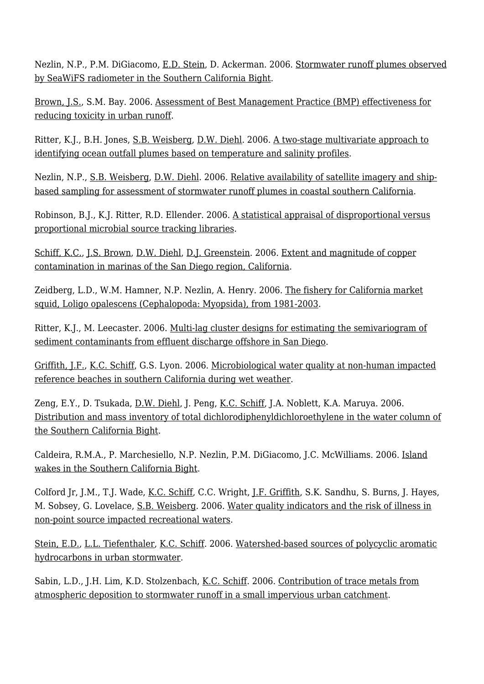Nezlin, N.P., P.M. DiGiacomo, [E.D. Stein,](http://www.sccwrp.org/about/staff/eric-stein/) D. Ackerman. 2006. [Stormwater runoff plumes observed](http://ftp.sccwrp.org/pub/download/DOCUMENTS/AnnualReports/2005_06AnnualReport/AR0506_087-106.pdf) [by SeaWiFS radiometer in the Southern California Bight](http://ftp.sccwrp.org/pub/download/DOCUMENTS/AnnualReports/2005_06AnnualReport/AR0506_087-106.pdf).

[Brown, J.S.,](http://www.sccwrp.org/about/staff/jeff-brown/) S.M. Bay. 2006. [Assessment of Best Management Practice \(BMP\) effectiveness for](http://ftp.sccwrp.org/pub/download/DOCUMENTS/AnnualReports/2005_06AnnualReport/AR0506_207-226.pdf) [reducing toxicity in urban runoff.](http://ftp.sccwrp.org/pub/download/DOCUMENTS/AnnualReports/2005_06AnnualReport/AR0506_207-226.pdf)

Ritter, K.J., B.H. Jones, [S.B. Weisberg](http://www.sccwrp.org/about/staff/steve-weisberg/), [D.W. Diehl.](http://www.sccwrp.org/about/staff/dario-diehl/) 2006. [A two-stage multivariate approach to](http://ftp.sccwrp.org/pub/download/DOCUMENTS/AnnualReports/2005_06AnnualReport/AR0506_133-140.pdf) [identifying ocean outfall plumes based on temperature and salinity profiles](http://ftp.sccwrp.org/pub/download/DOCUMENTS/AnnualReports/2005_06AnnualReport/AR0506_133-140.pdf).

Nezlin, N.P., [S.B. Weisberg](http://www.sccwrp.org/about/staff/steve-weisberg/), [D.W. Diehl.](http://www.sccwrp.org/about/staff/dario-diehl/) 2006. [Relative availability of satellite imagery and ship](http://ftp.sccwrp.org/pub/download/DOCUMENTS/AnnualReports/2005_06AnnualReport/AR0506_305-314.pdf)[based sampling for assessment of stormwater runoff plumes in coastal southern California.](http://ftp.sccwrp.org/pub/download/DOCUMENTS/AnnualReports/2005_06AnnualReport/AR0506_305-314.pdf)

Robinson, B.J., K.J. Ritter, R.D. Ellender. 2006. [A statistical appraisal of disproportional versus](http://ftp.sccwrp.org/pub/download/DOCUMENTS/AnnualReports/2005_06AnnualReport/AR0506_327-332.pdf) [proportional microbial source tracking libraries](http://ftp.sccwrp.org/pub/download/DOCUMENTS/AnnualReports/2005_06AnnualReport/AR0506_327-332.pdf).

[Schiff, K.C.,](http://www.sccwrp.org/about/staff/ken-schiff/) [J.S. Brown](http://www.sccwrp.org/about/staff/jeff-brown/), [D.W. Diehl,](http://www.sccwrp.org/about/staff/dario-diehl/) [D.J. Greenstein.](http://www.sccwrp.org/about/staff/darrin-greenstein/) 2006. [Extent and magnitude of copper](http://ftp.sccwrp.org/pub/download/DOCUMENTS/AnnualReports/2005_06AnnualReport/AR0506_155-164.pdf) [contamination in marinas of the San Diego region, California](http://ftp.sccwrp.org/pub/download/DOCUMENTS/AnnualReports/2005_06AnnualReport/AR0506_155-164.pdf).

Zeidberg, L.D., W.M. Hamner, N.P. Nezlin, A. Henry. 2006. [The fishery for California market](http://ftp.sccwrp.org/pub/download/DOCUMENTS/AnnualReports/2005_06AnnualReport/AR0506_247-262.pdf) [squid, Loligo opalescens \(Cephalopoda: Myopsida\), from 1981-2003.](http://ftp.sccwrp.org/pub/download/DOCUMENTS/AnnualReports/2005_06AnnualReport/AR0506_247-262.pdf)

Ritter, K.J., M. Leecaster. 2006. [Multi-lag cluster designs for estimating the semivariogram of](http://ftp.sccwrp.org/pub/download/DOCUMENTS/AnnualReports/2005_06AnnualReport/AR0506_315-326.pdf) [sediment contaminants from effluent discharge offshore in San Diego.](http://ftp.sccwrp.org/pub/download/DOCUMENTS/AnnualReports/2005_06AnnualReport/AR0506_315-326.pdf)

[Griffith, J.F.,](http://www.sccwrp.org/about/staff/john-griffith/) [K.C. Schiff](http://www.sccwrp.org/about/staff/ken-schiff/), G.S. Lyon. 2006. [Microbiological water quality at non-human impacted](http://ftp.sccwrp.org/pub/download/DOCUMENTS/AnnualReports/2005_06AnnualReport/AR0506_195-206.pdf) [reference beaches in southern California during wet weather.](http://ftp.sccwrp.org/pub/download/DOCUMENTS/AnnualReports/2005_06AnnualReport/AR0506_195-206.pdf)

Zeng, E.Y., D. Tsukada, [D.W. Diehl](http://www.sccwrp.org/about/staff/dario-diehl/), J. Peng, [K.C. Schiff](http://www.sccwrp.org/about/staff/ken-schiff/), J.A. Noblett, K.A. Maruya. 2006. [Distribution and mass inventory of total dichlorodiphenyldichloroethylene in the water column of](http://ftp.sccwrp.org/pub/download/DOCUMENTS/AnnualReports/2005_06AnnualReport/AR0506_107-116.pdf) [the Southern California Bight.](http://ftp.sccwrp.org/pub/download/DOCUMENTS/AnnualReports/2005_06AnnualReport/AR0506_107-116.pdf)

Caldeira, R.M.A., P. Marchesiello, N.P. Nezlin, P.M. DiGiacomo, J.C. McWilliams. 2006. [Island](http://ftp.sccwrp.org/pub/download/DOCUMENTS/AnnualReports/2005_06AnnualReport/AR0506_227-246.pdf) [wakes in the Southern California Bight.](http://ftp.sccwrp.org/pub/download/DOCUMENTS/AnnualReports/2005_06AnnualReport/AR0506_227-246.pdf)

Colford Jr, J.M., T.J. Wade, <u>K.C. Schiff</u>, C.C. Wright, <u>J.F. Griffith</u>, S.K. Sandhu, S. Burns, J. Hayes, M. Sobsey, G. Lovelace, [S.B. Weisberg](http://www.sccwrp.org/about/staff/steve-weisberg/). 2006. [Water quality indicators and the risk of illness in](http://ftp.sccwrp.org/pub/download/DOCUMENTS/AnnualReports/2005_06AnnualReport/AR0506_141-154.pdf) [non-point source impacted recreational waters.](http://ftp.sccwrp.org/pub/download/DOCUMENTS/AnnualReports/2005_06AnnualReport/AR0506_141-154.pdf)

[Stein, E.D.,](http://www.sccwrp.org/about/staff/eric-stein/) [L.L. Tiefenthaler](http://www.sccwrp.org/about/staff/liesl-tiefenthaler/), [K.C. Schiff](http://www.sccwrp.org/about/staff/ken-schiff/). 2006. [Watershed-based sources of polycyclic aromatic](http://ftp.sccwrp.org/pub/download/DOCUMENTS/AnnualReports/2005_06AnnualReport/AR0506_033-50.pdf) [hydrocarbons in urban stormwater](http://ftp.sccwrp.org/pub/download/DOCUMENTS/AnnualReports/2005_06AnnualReport/AR0506_033-50.pdf).

Sabin, L.D., J.H. Lim, K.D. Stolzenbach, [K.C. Schiff.](http://www.sccwrp.org/about/staff/ken-schiff/) 2006. [Contribution of trace metals from](http://ftp.sccwrp.org/pub/download/DOCUMENTS/AnnualReports/2005_06AnnualReport/AR0506_067-76.pdf) [atmospheric deposition to stormwater runoff in a small impervious urban catchment](http://ftp.sccwrp.org/pub/download/DOCUMENTS/AnnualReports/2005_06AnnualReport/AR0506_067-76.pdf).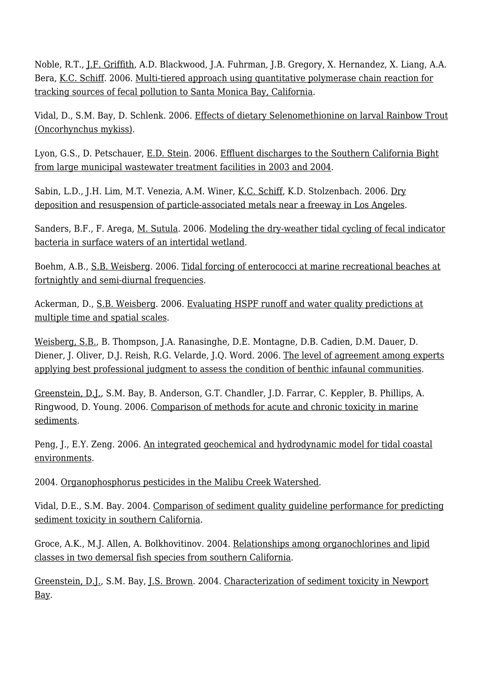Noble, R.T., [J.F. Griffith](http://www.sccwrp.org/about/staff/john-griffith/), A.D. Blackwood, J.A. Fuhrman, J.B. Gregory, X. Hernandez, X. Liang, A.A. Bera, [K.C. Schiff](http://www.sccwrp.org/about/staff/ken-schiff/). 2006. [Multi-tiered approach using quantitative polymerase chain reaction for](http://ftp.sccwrp.org/pub/download/DOCUMENTS/AnnualReports/2005_06AnnualReport/AR0506_181-194.pdf) [tracking sources of fecal pollution to Santa Monica Bay, California.](http://ftp.sccwrp.org/pub/download/DOCUMENTS/AnnualReports/2005_06AnnualReport/AR0506_181-194.pdf)

Vidal, D., S.M. Bay, D. Schlenk. 2006. [Effects of dietary Selenomethionine on larval Rainbow Trout](http://ftp.sccwrp.org/pub/download/DOCUMENTS/AnnualReports/2005_06AnnualReport/AR0506_173-180.pdf) [\(Oncorhynchus mykiss\).](http://ftp.sccwrp.org/pub/download/DOCUMENTS/AnnualReports/2005_06AnnualReport/AR0506_173-180.pdf)

Lyon, G.S., D. Petschauer, [E.D. Stein](http://www.sccwrp.org/about/staff/eric-stein/). 2006. [Effluent discharges to the Southern California Bight](http://ftp.sccwrp.org/pub/download/DOCUMENTS/AnnualReports/2005_06AnnualReport/AR0506_001-16.pdf) [from large municipal wastewater treatment facilities in 2003 and 2004](http://ftp.sccwrp.org/pub/download/DOCUMENTS/AnnualReports/2005_06AnnualReport/AR0506_001-16.pdf).

Sabin, L.D., J.H. Lim, M.T. Venezia, A.M. Winer, [K.C. Schiff,](http://www.sccwrp.org/about/staff/ken-schiff/) K.D. Stolzenbach. 2006. [Dry](http://ftp.sccwrp.org/pub/download/DOCUMENTS/AnnualReports/2005_06AnnualReport/AR0506_077-86.pdf) [deposition and resuspension of particle-associated metals near a freeway in Los Angeles.](http://ftp.sccwrp.org/pub/download/DOCUMENTS/AnnualReports/2005_06AnnualReport/AR0506_077-86.pdf)

Sanders, B.F., F. Arega, [M. Sutula.](http://www.sccwrp.org/about/staff/martha-sutula/) 2006. [Modeling the dry-weather tidal cycling of fecal indicator](http://ftp.sccwrp.org/pub/download/DOCUMENTS/AnnualReports/2005_06AnnualReport/AR0506_051-66.pdf) [bacteria in surface waters of an intertidal wetland.](http://ftp.sccwrp.org/pub/download/DOCUMENTS/AnnualReports/2005_06AnnualReport/AR0506_051-66.pdf)

Boehm, A.B., [S.B. Weisberg.](http://www.sccwrp.org/about/staff/steve-weisberg/) 2006. [Tidal forcing of enterococci at marine recreational beaches at](http://ftp.sccwrp.org/pub/download/DOCUMENTS/AnnualReports/2005_06AnnualReport/AR0506_263-276.pdf) [fortnightly and semi-diurnal frequencies](http://ftp.sccwrp.org/pub/download/DOCUMENTS/AnnualReports/2005_06AnnualReport/AR0506_263-276.pdf).

Ackerman, D., [S.B. Weisberg](http://www.sccwrp.org/about/staff/steve-weisberg/). 2006. [Evaluating HSPF runoff and water quality predictions at](http://ftp.sccwrp.org/pub/download/DOCUMENTS/AnnualReports/2005_06AnnualReport/AR0506_293-304.pdf) [multiple time and spatial scales](http://ftp.sccwrp.org/pub/download/DOCUMENTS/AnnualReports/2005_06AnnualReport/AR0506_293-304.pdf).

[Weisberg, S.B.](http://www.sccwrp.org/about/staff/steve-weisberg/), B. Thompson, J.A. Ranasinghe, D.E. Montagne, D.B. Cadien, D.M. Dauer, D. Diener, J. Oliver, D.J. Reish, R.G. Velarde, J.Q. Word. 2006. [The level of agreement among experts](http://ftp.sccwrp.org/pub/download/DOCUMENTS/AnnualReports/2005_06AnnualReport/AR0506_165-172.pdf) [applying best professional judgment to assess the condition of benthic infaunal communities.](http://ftp.sccwrp.org/pub/download/DOCUMENTS/AnnualReports/2005_06AnnualReport/AR0506_165-172.pdf)

[Greenstein, D.J.,](http://www.sccwrp.org/about/staff/darrin-greenstein/) S.M. Bay, B. Anderson, G.T. Chandler, J.D. Farrar, C. Keppler, B. Phillips, A. Ringwood, D. Young. 2006. [Comparison of methods for acute and chronic toxicity in marine](http://ftp.sccwrp.org/pub/download/DOCUMENTS/AnnualReports/2005_06AnnualReport/AR0506_277-292.pdf) [sediments.](http://ftp.sccwrp.org/pub/download/DOCUMENTS/AnnualReports/2005_06AnnualReport/AR0506_277-292.pdf)

Peng, J., E.Y. Zeng. 2006. [An integrated geochemical and hydrodynamic model for tidal coastal](http://ftp.sccwrp.org/pub/download/DOCUMENTS/AnnualReports/2005_06AnnualReport/AR0506_117-132.pdf) [environments.](http://ftp.sccwrp.org/pub/download/DOCUMENTS/AnnualReports/2005_06AnnualReport/AR0506_117-132.pdf)

2004. [Organophosphorus pesticides in the Malibu Creek Watershed](http://ftp.sccwrp.org/pub/download/DOCUMENTS/AnnualReports/2003_04AnnualReport/ar09-brown_pg94-102.pdf).

Vidal, D.E., S.M. Bay. 2004. [Comparison of sediment quality guideline performance for predicting](http://ftp.sccwrp.org/pub/download/DOCUMENTS/AnnualReports/2003_04AnnualReport/ar12-vidal_pg125-138.pdf) [sediment toxicity in southern California](http://ftp.sccwrp.org/pub/download/DOCUMENTS/AnnualReports/2003_04AnnualReport/ar12-vidal_pg125-138.pdf).

Groce, A.K., M.J. Allen, A. Bolkhovitinov. 2004. [Relationships among organochlorines and lipid](http://ftp.sccwrp.org/pub/download/DOCUMENTS/AnnualReports/2003_04AnnualReport/ar15-allen_pg172-178.pdf) [classes in two demersal fish species from southern California.](http://ftp.sccwrp.org/pub/download/DOCUMENTS/AnnualReports/2003_04AnnualReport/ar15-allen_pg172-178.pdf)

[Greenstein, D.J.,](http://www.sccwrp.org/about/staff/darrin-greenstein/) S.M. Bay, [J.S. Brown](http://www.sccwrp.org/about/staff/jeff-brown/). 2004. [Characterization of sediment toxicity in Newport](http://ftp.sccwrp.org/pub/download/DOCUMENTS/AnnualReports/2003_04AnnualReport/ar13-greenstein_139-148.pdf) [Bay.](http://ftp.sccwrp.org/pub/download/DOCUMENTS/AnnualReports/2003_04AnnualReport/ar13-greenstein_139-148.pdf)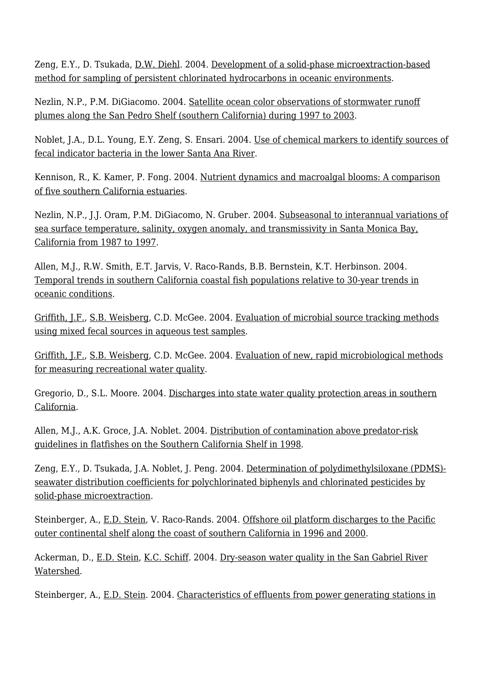Zeng, E.Y., D. Tsukada, <u>D.W. Diehl</u>. 2004. [Development of a solid-phase microextraction-based](http://ftp.sccwrp.org/pub/download/DOCUMENTS/AnnualReports/2003_04AnnualReport/ar08-zeng_pg84-93.pdf) [method for sampling of persistent chlorinated hydrocarbons in oceanic environments.](http://ftp.sccwrp.org/pub/download/DOCUMENTS/AnnualReports/2003_04AnnualReport/ar08-zeng_pg84-93.pdf)

Nezlin, N.P., P.M. DiGiacomo. 2004. [Satellite ocean color observations of stormwater runoff](http://ftp.sccwrp.org/pub/download/DOCUMENTS/AnnualReports/2003_04AnnualReport/ar11-nezlin_pg107-124.pdf) [plumes along the San Pedro Shelf \(southern California\) during 1997 to 2003](http://ftp.sccwrp.org/pub/download/DOCUMENTS/AnnualReports/2003_04AnnualReport/ar11-nezlin_pg107-124.pdf).

Noblet, J.A., D.L. Young, E.Y. Zeng, S. Ensari. 2004. [Use of chemical markers to identify sources of](http://ftp.sccwrp.org/pub/download/DOCUMENTS/AnnualReports/2003_04AnnualReport/ar25-zeng_304-315.pdf) [fecal indicator bacteria in the lower Santa Ana River](http://ftp.sccwrp.org/pub/download/DOCUMENTS/AnnualReports/2003_04AnnualReport/ar25-zeng_304-315.pdf).

Kennison, R., K. Kamer, P. Fong. 2004. [Nutrient dynamics and macroalgal blooms: A comparison](http://ftp.sccwrp.org/pub/download/DOCUMENTS/AnnualReports/2003_04AnnualReport/ar18-kamer_pg206-219.pdf) [of five southern California estuaries](http://ftp.sccwrp.org/pub/download/DOCUMENTS/AnnualReports/2003_04AnnualReport/ar18-kamer_pg206-219.pdf).

Nezlin, N.P., J.J. Oram, P.M. DiGiacomo, N. Gruber. 2004. [Subseasonal to interannual variations of](http://ftp.sccwrp.org/pub/download/DOCUMENTS/AnnualReports/2003_04AnnualReport/ar20-nezlin_pg237-263.pdf) [sea surface temperature, salinity, oxygen anomaly, and transmissivity in Santa Monica Bay,](http://ftp.sccwrp.org/pub/download/DOCUMENTS/AnnualReports/2003_04AnnualReport/ar20-nezlin_pg237-263.pdf) [California from 1987 to 1997](http://ftp.sccwrp.org/pub/download/DOCUMENTS/AnnualReports/2003_04AnnualReport/ar20-nezlin_pg237-263.pdf).

Allen, M.J., R.W. Smith, E.T. Jarvis, V. Raco-Rands, B.B. Bernstein, K.T. Herbinson. 2004. [Temporal trends in southern California coastal fish populations relative to 30-year trends in](http://ftp.sccwrp.org/pub/download/DOCUMENTS/AnnualReports/2003_04AnnualReport/ar22-allen_pg264-285.pdf) [oceanic conditions](http://ftp.sccwrp.org/pub/download/DOCUMENTS/AnnualReports/2003_04AnnualReport/ar22-allen_pg264-285.pdf).

[Griffith, J.F.,](http://www.sccwrp.org/about/staff/john-griffith/) [S.B. Weisberg,](http://www.sccwrp.org/about/staff/steve-weisberg/) C.D. McGee. 2004. [Evaluation of microbial source tracking methods](http://ftp.sccwrp.org/pub/download/DOCUMENTS/AnnualReports/2003_04AnnualReport/ar27-griffith_328-337.pdf) [using mixed fecal sources in aqueous test samples.](http://ftp.sccwrp.org/pub/download/DOCUMENTS/AnnualReports/2003_04AnnualReport/ar27-griffith_328-337.pdf)

[Griffith, J.F.,](http://www.sccwrp.org/about/staff/john-griffith/) [S.B. Weisberg,](http://www.sccwrp.org/about/staff/steve-weisberg/) C.D. McGee. 2004. [Evaluation of new, rapid microbiological methods](http://ftp.sccwrp.org/pub/download/DOCUMENTS/AnnualReports/2003_04AnnualReport/ar30-griffith_357-366.pdf) [for measuring recreational water quality.](http://ftp.sccwrp.org/pub/download/DOCUMENTS/AnnualReports/2003_04AnnualReport/ar30-griffith_357-366.pdf)

Gregorio, D., S.L. Moore. 2004. [Discharges into state water quality protection areas in southern](http://ftp.sccwrp.org/pub/download/DOCUMENTS/AnnualReports/2003_04AnnualReport/ar23-moore_286-290.pdf) [California](http://ftp.sccwrp.org/pub/download/DOCUMENTS/AnnualReports/2003_04AnnualReport/ar23-moore_286-290.pdf).

Allen, M.J., A.K. Groce, J.A. Noblet. 2004. [Distribution of contamination above predator-risk](http://ftp.sccwrp.org/pub/download/DOCUMENTS/AnnualReports/2003_04AnnualReport/ar14-allen_pg149-171.pdf) [guidelines in flatfishes on the Southern California Shelf in 1998](http://ftp.sccwrp.org/pub/download/DOCUMENTS/AnnualReports/2003_04AnnualReport/ar14-allen_pg149-171.pdf).

Zeng, E.Y., D. Tsukada, J.A. Noblet, J. Peng. 2004. [Determination of polydimethylsiloxane \(PDMS\)](http://ftp.sccwrp.org/pub/download/DOCUMENTS/AnnualReports/2003_04AnnualReport/ar24-zeng_291-303.pdf) [seawater distribution coefficients for polychlorinated biphenyls and chlorinated pesticides by](http://ftp.sccwrp.org/pub/download/DOCUMENTS/AnnualReports/2003_04AnnualReport/ar24-zeng_291-303.pdf) [solid-phase microextraction](http://ftp.sccwrp.org/pub/download/DOCUMENTS/AnnualReports/2003_04AnnualReport/ar24-zeng_291-303.pdf).

Steinberger, A., [E.D. Stein](http://www.sccwrp.org/about/staff/eric-stein/), V. Raco-Rands. 2004. [Offshore oil platform discharges to the Pacific](http://ftp.sccwrp.org/pub/download/DOCUMENTS/AnnualReports/2003_04AnnualReport/ar02-stein_pg16-30.pdf) [outer continental shelf along the coast of southern California in 1996 and 2000.](http://ftp.sccwrp.org/pub/download/DOCUMENTS/AnnualReports/2003_04AnnualReport/ar02-stein_pg16-30.pdf)

Ackerman, D., [E.D. Stein,](http://www.sccwrp.org/about/staff/eric-stein/) [K.C. Schiff.](http://www.sccwrp.org/about/staff/ken-schiff/) 2004. [Dry-season water quality in the San Gabriel River](http://ftp.sccwrp.org/pub/download/DOCUMENTS/AnnualReports/2003_04AnnualReport/ar17-stein_pg192-205.pdf) [Watershed](http://ftp.sccwrp.org/pub/download/DOCUMENTS/AnnualReports/2003_04AnnualReport/ar17-stein_pg192-205.pdf).

Steinberger, A., [E.D. Stein](http://www.sccwrp.org/about/staff/eric-stein/). 2004. [Characteristics of effluents from power generating stations in](http://ftp.sccwrp.org/pub/download/DOCUMENTS/AnnualReports/2003_04AnnualReport/ar03-stein_pg31-40.pdf)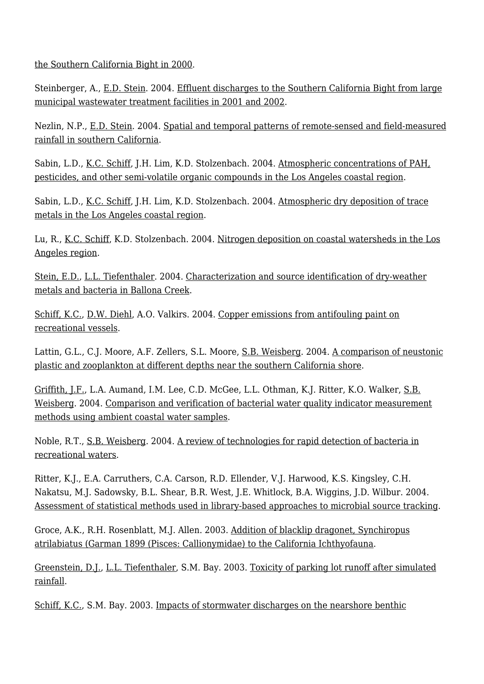[the Southern California Bight in 2000.](http://ftp.sccwrp.org/pub/download/DOCUMENTS/AnnualReports/2003_04AnnualReport/ar03-stein_pg31-40.pdf)

Steinberger, A., [E.D. Stein](http://www.sccwrp.org/about/staff/eric-stein/). 2004. [Effluent discharges to the Southern California Bight from large](http://ftp.sccwrp.org/pub/download/DOCUMENTS/AnnualReports/2003_04AnnualReport/ar01-stein_pg1-15.pdf) [municipal wastewater treatment facilities in 2001 and 2002](http://ftp.sccwrp.org/pub/download/DOCUMENTS/AnnualReports/2003_04AnnualReport/ar01-stein_pg1-15.pdf).

Nezlin, N.P., [E.D. Stein.](http://www.sccwrp.org/about/staff/eric-stein/) 2004. [Spatial and temporal patterns of remote-sensed and field-measured](http://ftp.sccwrp.org/pub/download/DOCUMENTS/AnnualReports/2003_04AnnualReport/ar19-nezlin_pg220-236.pdf) [rainfall in southern California](http://ftp.sccwrp.org/pub/download/DOCUMENTS/AnnualReports/2003_04AnnualReport/ar19-nezlin_pg220-236.pdf).

Sabin, L.D., <u>K.C. Schiff</u>, J.H. Lim, K.D. Stolzenbach. 2004. [Atmospheric concentrations of PAH,](http://ftp.sccwrp.org/pub/download/DOCUMENTS/AnnualReports/2003_04AnnualReport/ar06-sabin_pg61-72.pdf) [pesticides, and other semi-volatile organic compounds in the Los Angeles coastal region](http://ftp.sccwrp.org/pub/download/DOCUMENTS/AnnualReports/2003_04AnnualReport/ar06-sabin_pg61-72.pdf).

Sabin, L.D., [K.C. Schiff,](http://www.sccwrp.org/about/staff/ken-schiff/) J.H. Lim, K.D. Stolzenbach. 2004. [Atmospheric dry deposition of trace](http://ftp.sccwrp.org/pub/download/DOCUMENTS/AnnualReports/2003_04AnnualReport/ar05-sabin_pg50-60.pdf) [metals in the Los Angeles coastal region](http://ftp.sccwrp.org/pub/download/DOCUMENTS/AnnualReports/2003_04AnnualReport/ar05-sabin_pg50-60.pdf).

Lu, R., [K.C. Schiff](http://www.sccwrp.org/about/staff/ken-schiff/), K.D. Stolzenbach. 2004. [Nitrogen deposition on coastal watersheds in the Los](http://ftp.sccwrp.org/pub/download/DOCUMENTS/AnnualReports/2003_04AnnualReport/ar07-schiff_pg73-81.pdf) [Angeles region.](http://ftp.sccwrp.org/pub/download/DOCUMENTS/AnnualReports/2003_04AnnualReport/ar07-schiff_pg73-81.pdf)

[Stein, E.D.,](http://www.sccwrp.org/about/staff/eric-stein/) [L.L. Tiefenthaler](http://www.sccwrp.org/about/staff/liesl-tiefenthaler/). 2004. [Characterization and source identification of dry-weather](http://ftp.sccwrp.org/pub/download/DOCUMENTS/AnnualReports/2003_04AnnualReport/ar16-stein_pg179-191.pdf) [metals and bacteria in Ballona Creek](http://ftp.sccwrp.org/pub/download/DOCUMENTS/AnnualReports/2003_04AnnualReport/ar16-stein_pg179-191.pdf).

[Schiff, K.C.,](http://www.sccwrp.org/about/staff/ken-schiff/) [D.W. Diehl](http://www.sccwrp.org/about/staff/dario-diehl/), A.O. Valkirs. 2004. [Copper emissions from antifouling paint on](http://ftp.sccwrp.org/pub/download/DOCUMENTS/AnnualReports/2003_04AnnualReport/ar04-schiff_pg41-49.pdf) [recreational vessels.](http://ftp.sccwrp.org/pub/download/DOCUMENTS/AnnualReports/2003_04AnnualReport/ar04-schiff_pg41-49.pdf)

Lattin, G.L., C.J. Moore, A.F. Zellers, S.L. Moore, [S.B. Weisberg](http://www.sccwrp.org/about/staff/steve-weisberg/). 2004. [A comparison of neustonic](http://ftp.sccwrp.org/pub/download/DOCUMENTS/AnnualReports/2003_04AnnualReport/ar10-moore_pg103-106.pdf) [plastic and zooplankton at different depths near the southern California shore.](http://ftp.sccwrp.org/pub/download/DOCUMENTS/AnnualReports/2003_04AnnualReport/ar10-moore_pg103-106.pdf)

[Griffith, J.F.,](http://www.sccwrp.org/about/staff/john-griffith/) L.A. Aumand, I.M. Lee, C.D. McGee, L.L. Othman, K.J. Ritter, K.O. Walker, [S.B.](http://www.sccwrp.org/about/staff/steve-weisberg/) [Weisberg](http://www.sccwrp.org/about/staff/steve-weisberg/). 2004. [Comparison and verification of bacterial water quality indicator measurement](http://ftp.sccwrp.org/pub/download/DOCUMENTS/AnnualReports/2003_04AnnualReport/ar29-griffith_pg350-356.pdf) [methods using ambient coastal water samples](http://ftp.sccwrp.org/pub/download/DOCUMENTS/AnnualReports/2003_04AnnualReport/ar29-griffith_pg350-356.pdf).

Noble, R.T., [S.B. Weisberg](http://www.sccwrp.org/about/staff/steve-weisberg/). 2004. [A review of technologies for rapid detection of bacteria in](http://ftp.sccwrp.org/pub/download/DOCUMENTS/AnnualReports/2003_04AnnualReport/ar26-noble_pg328-337.pdf) [recreational waters](http://ftp.sccwrp.org/pub/download/DOCUMENTS/AnnualReports/2003_04AnnualReport/ar26-noble_pg328-337.pdf).

Ritter, K.J., E.A. Carruthers, C.A. Carson, R.D. Ellender, V.J. Harwood, K.S. Kingsley, C.H. Nakatsu, M.J. Sadowsky, B.L. Shear, B.R. West, J.E. Whitlock, B.A. Wiggins, J.D. Wilbur. 2004. [Assessment of statistical methods used in library-based approaches to microbial source tracking.](http://ftp.sccwrp.org/pub/download/DOCUMENTS/AnnualReports/2003_04AnnualReport/ar28-ritter_338-349.pdf)

Groce, A.K., R.H. Rosenblatt, M.J. Allen. 2003. [Addition of blacklip dragonet, Synchiropus](http://ftp.sccwrp.org/pub/download/DOCUMENTS/AnnualReports/2001_02AnnualReport/34_ar28-allen.pdf) [atrilabiatus \(Garman 1899 \(Pisces: Callionymidae\) to the California Ichthyofauna](http://ftp.sccwrp.org/pub/download/DOCUMENTS/AnnualReports/2001_02AnnualReport/34_ar28-allen.pdf).

[Greenstein, D.J.,](http://www.sccwrp.org/about/staff/darrin-greenstein/) [L.L. Tiefenthaler](http://www.sccwrp.org/about/staff/liesl-tiefenthaler/), S.M. Bay. 2003. [Toxicity of parking lot runoff after simulated](http://ftp.sccwrp.org/pub/download/DOCUMENTS/AnnualReports/2001_02AnnualReport/20_ar36-darrin.pdf) [rainfall](http://ftp.sccwrp.org/pub/download/DOCUMENTS/AnnualReports/2001_02AnnualReport/20_ar36-darrin.pdf).

[Schiff, K.C.,](http://www.sccwrp.org/about/staff/ken-schiff/) S.M. Bay. 2003. [Impacts of stormwater discharges on the nearshore benthic](http://ftp.sccwrp.org/pub/download/DOCUMENTS/AnnualReports/2001_02AnnualReport/24_ar16-ken.pdf)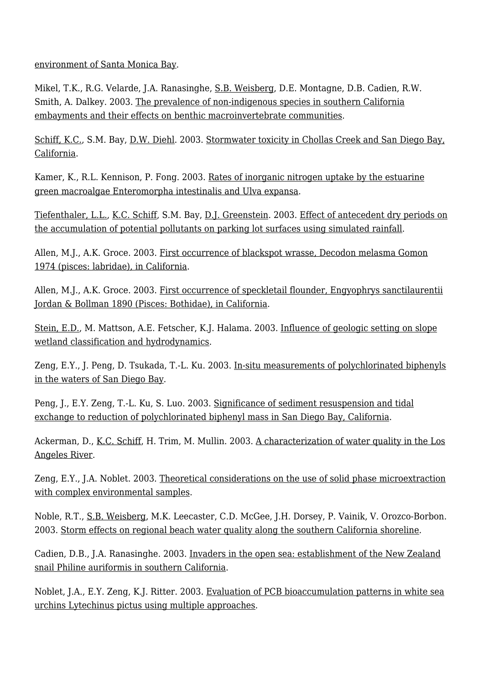[environment of Santa Monica Bay](http://ftp.sccwrp.org/pub/download/DOCUMENTS/AnnualReports/2001_02AnnualReport/24_ar16-ken.pdf).

Mikel, T.K., R.G. Velarde, J.A. Ranasinghe, [S.B. Weisberg,](http://www.sccwrp.org/about/staff/steve-weisberg/) D.E. Montagne, D.B. Cadien, R.W. Smith, A. Dalkey. 2003. [The prevalence of non-indigenous species in southern California](http://ftp.sccwrp.org/pub/download/DOCUMENTS/AnnualReports/2001_02AnnualReport/25_ar19-ana.pdf) [embayments and their effects on benthic macroinvertebrate communities](http://ftp.sccwrp.org/pub/download/DOCUMENTS/AnnualReports/2001_02AnnualReport/25_ar19-ana.pdf).

[Schiff, K.C.,](http://www.sccwrp.org/about/staff/ken-schiff/) S.M. Bay, [D.W. Diehl.](http://www.sccwrp.org/about/staff/dario-diehl/) 2003. [Stormwater toxicity in Chollas Creek and San Diego Bay,](http://ftp.sccwrp.org/pub/download/DOCUMENTS/AnnualReports/2001_02AnnualReport/23_ar15-ken.pdf) [California](http://ftp.sccwrp.org/pub/download/DOCUMENTS/AnnualReports/2001_02AnnualReport/23_ar15-ken.pdf).

Kamer, K., R.L. Kennison, P. Fong. 2003. [Rates of inorganic nitrogen uptake by the estuarine](http://ftp.sccwrp.org/pub/download/DOCUMENTS/AnnualReports/2001_02AnnualReport/13_ar23-krista.pdf) [green macroalgae Enteromorpha intestinalis and Ulva expansa](http://ftp.sccwrp.org/pub/download/DOCUMENTS/AnnualReports/2001_02AnnualReport/13_ar23-krista.pdf).

[Tiefenthaler, L.L.,](http://www.sccwrp.org/about/staff/liesl-tiefenthaler/) [K.C. Schiff](http://www.sccwrp.org/about/staff/ken-schiff/), S.M. Bay, [D.J. Greenstein](http://www.sccwrp.org/about/staff/darrin-greenstein/). 2003. [Effect of antecedent dry periods on](http://ftp.sccwrp.org/pub/download/DOCUMENTS/AnnualReports/2001_02AnnualReport/22_ar38-liesl.pdf) [the accumulation of potential pollutants on parking lot surfaces using simulated rainfall.](http://ftp.sccwrp.org/pub/download/DOCUMENTS/AnnualReports/2001_02AnnualReport/22_ar38-liesl.pdf)

Allen, M.J., A.K. Groce. 2003. [First occurrence of blackspot wrasse, Decodon melasma Gomon](http://ftp.sccwrp.org/pub/download/DOCUMENTS/AnnualReports/2001_02AnnualReport/32_ar26-allen.pdf) [1974 \(pisces: labridae\), in California](http://ftp.sccwrp.org/pub/download/DOCUMENTS/AnnualReports/2001_02AnnualReport/32_ar26-allen.pdf).

Allen, M.J., A.K. Groce. 2003. [First occurrence of speckletail flounder, Engyophrys sanctilaurentii](http://ftp.sccwrp.org/pub/download/DOCUMENTS/AnnualReports/2001_02AnnualReport/33_ar27-allen.pdf) [Jordan & Bollman 1890 \(Pisces: Bothidae\), in California.](http://ftp.sccwrp.org/pub/download/DOCUMENTS/AnnualReports/2001_02AnnualReport/33_ar27-allen.pdf)

[Stein, E.D.,](http://www.sccwrp.org/about/staff/eric-stein/) M. Mattson, A.E. Fetscher, K.J. Halama. 2003. [Influence of geologic setting on slope](http://ftp.sccwrp.org/pub/download/DOCUMENTS/AnnualReports/2001_02AnnualReport/35_ar30-eric.pdf) [wetland classification and hydrodynamics](http://ftp.sccwrp.org/pub/download/DOCUMENTS/AnnualReports/2001_02AnnualReport/35_ar30-eric.pdf).

Zeng, E.Y., J. Peng, D. Tsukada, T.-L. Ku. 2003. [In-situ measurements of polychlorinated biphenyls](http://ftp.sccwrp.org/pub/download/DOCUMENTS/AnnualReports/2001_02AnnualReport/11_ar13-eddy.pdf) [in the waters of San Diego Bay](http://ftp.sccwrp.org/pub/download/DOCUMENTS/AnnualReports/2001_02AnnualReport/11_ar13-eddy.pdf).

Peng, J., E.Y. Zeng, T.-L. Ku, S. Luo. 2003. [Significance of sediment resuspension and tidal](http://ftp.sccwrp.org/pub/download/DOCUMENTS/AnnualReports/2001_02AnnualReport/10_ar12-eddy.pdf) [exchange to reduction of polychlorinated biphenyl mass in San Diego Bay, California.](http://ftp.sccwrp.org/pub/download/DOCUMENTS/AnnualReports/2001_02AnnualReport/10_ar12-eddy.pdf)

Ackerman, D., [K.C. Schiff,](http://www.sccwrp.org/about/staff/ken-schiff/) H. Trim, M. Mullin. 2003. [A characterization of water quality in the Los](http://ftp.sccwrp.org/pub/download/DOCUMENTS/AnnualReports/2001_02AnnualReport/08_ar08-drew.pdf) [Angeles River.](http://ftp.sccwrp.org/pub/download/DOCUMENTS/AnnualReports/2001_02AnnualReport/08_ar08-drew.pdf)

Zeng, E.Y., J.A. Noblet. 2003. [Theoretical considerations on the use of solid phase microextraction](http://ftp.sccwrp.org/pub/download/DOCUMENTS/AnnualReports/2001_02AnnualReport/36_ar01-eddy.pdf) [with complex environmental samples.](http://ftp.sccwrp.org/pub/download/DOCUMENTS/AnnualReports/2001_02AnnualReport/36_ar01-eddy.pdf)

Noble, R.T., [S.B. Weisberg](http://www.sccwrp.org/about/staff/steve-weisberg/), M.K. Leecaster, C.D. McGee, J.H. Dorsey, P. Vainik, V. Orozco-Borbon. 2003. [Storm effects on regional beach water quality along the southern California shoreline.](http://ftp.sccwrp.org/pub/download/DOCUMENTS/AnnualReports/2001_02AnnualReport/28_ar18-rachel.pdf)

Cadien, D.B., J.A. Ranasinghe. 2003. [Invaders in the open sea: establishment of the New Zealand](http://ftp.sccwrp.org/pub/download/DOCUMENTS/AnnualReports/2001_02AnnualReport/26_ar31-ana.pdf) [snail Philine auriformis in southern California.](http://ftp.sccwrp.org/pub/download/DOCUMENTS/AnnualReports/2001_02AnnualReport/26_ar31-ana.pdf)

Noblet, J.A., E.Y. Zeng, K.J. Ritter. 2003. [Evaluation of PCB bioaccumulation patterns in white sea](http://ftp.sccwrp.org/pub/download/DOCUMENTS/AnnualReports/2001_02AnnualReport/17_ar34-noblet.pdf) [urchins Lytechinus pictus using multiple approaches](http://ftp.sccwrp.org/pub/download/DOCUMENTS/AnnualReports/2001_02AnnualReport/17_ar34-noblet.pdf).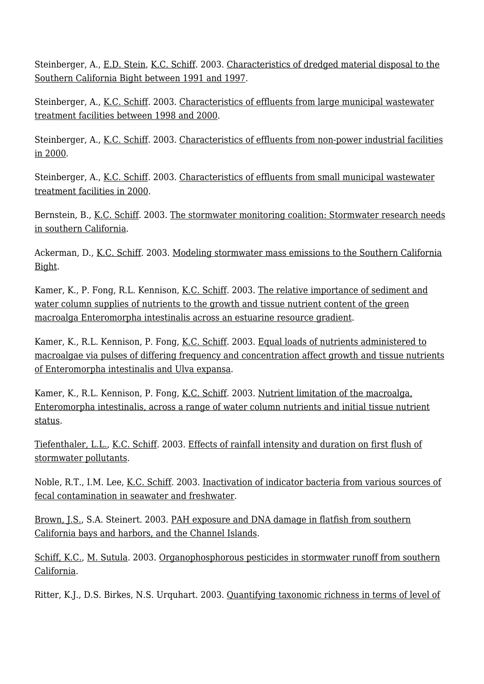Steinberger, A., [E.D. Stein](http://www.sccwrp.org/about/staff/eric-stein/), [K.C. Schiff](http://www.sccwrp.org/about/staff/ken-schiff/). 2003. [Characteristics of dredged material disposal to the](http://ftp.sccwrp.org/pub/download/DOCUMENTS/AnnualReports/2001_02AnnualReport/04_ar21-andrea.pdf) [Southern California Bight between 1991 and 1997.](http://ftp.sccwrp.org/pub/download/DOCUMENTS/AnnualReports/2001_02AnnualReport/04_ar21-andrea.pdf)

Steinberger, A., [K.C. Schiff](http://www.sccwrp.org/about/staff/ken-schiff/). 2003. [Characteristics of effluents from large municipal wastewater](http://ftp.sccwrp.org/pub/download/DOCUMENTS/AnnualReports/2001_02AnnualReport/01_ar22-andrea.pdf) [treatment facilities between 1998 and 2000.](http://ftp.sccwrp.org/pub/download/DOCUMENTS/AnnualReports/2001_02AnnualReport/01_ar22-andrea.pdf)

Steinberger, A., <u>K.C. Schiff</u>. 2003. [Characteristics of effluents from non-power industrial facilities](http://ftp.sccwrp.org/pub/download/DOCUMENTS/AnnualReports/2001_02AnnualReport/03_ar25-andrea.pdf) [in 2000](http://ftp.sccwrp.org/pub/download/DOCUMENTS/AnnualReports/2001_02AnnualReport/03_ar25-andrea.pdf).

Steinberger, A., [K.C. Schiff](http://www.sccwrp.org/about/staff/ken-schiff/). 2003. [Characteristics of effluents from small municipal wastewater](http://ftp.sccwrp.org/pub/download/DOCUMENTS/AnnualReports/2001_02AnnualReport/02_ar20-andrea.pdf) [treatment facilities in 2000](http://ftp.sccwrp.org/pub/download/DOCUMENTS/AnnualReports/2001_02AnnualReport/02_ar20-andrea.pdf).

Bernstein, B., [K.C. Schiff.](http://www.sccwrp.org/about/staff/ken-schiff/) 2003. [The stormwater monitoring coalition: Stormwater research needs](http://ftp.sccwrp.org/pub/download/DOCUMENTS/AnnualReports/2001_02AnnualReport/31_ar17-ken.pdf) [in southern California](http://ftp.sccwrp.org/pub/download/DOCUMENTS/AnnualReports/2001_02AnnualReport/31_ar17-ken.pdf).

Ackerman, D., [K.C. Schiff.](http://www.sccwrp.org/about/staff/ken-schiff/) 2003. [Modeling stormwater mass emissions to the Southern California](http://ftp.sccwrp.org/pub/download/DOCUMENTS/AnnualReports/2001_02AnnualReport/05_ar09-drew.pdf) [Bight](http://ftp.sccwrp.org/pub/download/DOCUMENTS/AnnualReports/2001_02AnnualReport/05_ar09-drew.pdf).

Kamer, K., P. Fong, R.L. Kennison, [K.C. Schiff.](http://www.sccwrp.org/about/staff/ken-schiff/) 2003. [The relative importance of sediment and](http://ftp.sccwrp.org/pub/download/DOCUMENTS/AnnualReports/2001_02AnnualReport/12_ar04-krista.pdf) [water column supplies of nutrients to the growth and tissue nutrient content of the green](http://ftp.sccwrp.org/pub/download/DOCUMENTS/AnnualReports/2001_02AnnualReport/12_ar04-krista.pdf) [macroalga Enteromorpha intestinalis across an estuarine resource gradient.](http://ftp.sccwrp.org/pub/download/DOCUMENTS/AnnualReports/2001_02AnnualReport/12_ar04-krista.pdf)

Kamer, K., R.L. Kennison, P. Fong, <u>K.C. Schiff</u>. 2003. [Equal loads of nutrients administered to](http://ftp.sccwrp.org/pub/download/DOCUMENTS/AnnualReports/2001_02AnnualReport/15_ar07-krista.pdf) [macroalgae via pulses of differing frequency and concentration affect growth and tissue nutrients](http://ftp.sccwrp.org/pub/download/DOCUMENTS/AnnualReports/2001_02AnnualReport/15_ar07-krista.pdf) [of Enteromorpha intestinalis and Ulva expansa.](http://ftp.sccwrp.org/pub/download/DOCUMENTS/AnnualReports/2001_02AnnualReport/15_ar07-krista.pdf)

Kamer, K., R.L. Kennison, P. Fong, [K.C. Schiff.](http://www.sccwrp.org/about/staff/ken-schiff/) 2003. [Nutrient limitation of the macroalga,](http://ftp.sccwrp.org/pub/download/DOCUMENTS/AnnualReports/2001_02AnnualReport/14_ar06-krista.pdf) [Enteromorpha intestinalis, across a range of water column nutrients and initial tissue nutrient](http://ftp.sccwrp.org/pub/download/DOCUMENTS/AnnualReports/2001_02AnnualReport/14_ar06-krista.pdf) [status.](http://ftp.sccwrp.org/pub/download/DOCUMENTS/AnnualReports/2001_02AnnualReport/14_ar06-krista.pdf)

[Tiefenthaler, L.L.,](http://www.sccwrp.org/about/staff/liesl-tiefenthaler/) [K.C. Schiff](http://www.sccwrp.org/about/staff/ken-schiff/). 2003. [Effects of rainfall intensity and duration on first flush of](http://ftp.sccwrp.org/pub/download/DOCUMENTS/AnnualReports/2001_02AnnualReport/21_ar40-liesl.pdf) [stormwater pollutants.](http://ftp.sccwrp.org/pub/download/DOCUMENTS/AnnualReports/2001_02AnnualReport/21_ar40-liesl.pdf)

Noble, R.T., I.M. Lee, [K.C. Schiff.](http://www.sccwrp.org/about/staff/ken-schiff/) 2003. [Inactivation of indicator bacteria from various sources of](http://ftp.sccwrp.org/pub/download/DOCUMENTS/AnnualReports/2001_02AnnualReport/16_ar39-rachel.pdf) [fecal contamination in seawater and freshwater](http://ftp.sccwrp.org/pub/download/DOCUMENTS/AnnualReports/2001_02AnnualReport/16_ar39-rachel.pdf).

[Brown, J.S.,](http://www.sccwrp.org/about/staff/jeff-brown/) S.A. Steinert. 2003. [PAH exposure and DNA damage in flatfish from southern](http://ftp.sccwrp.org/pub/download/DOCUMENTS/AnnualReports/2001_02AnnualReport/41_ar10-jeff.pdf) [California bays and harbors, and the Channel Islands](http://ftp.sccwrp.org/pub/download/DOCUMENTS/AnnualReports/2001_02AnnualReport/41_ar10-jeff.pdf).

[Schiff, K.C.,](http://www.sccwrp.org/about/staff/ken-schiff/) [M. Sutula](http://www.sccwrp.org/about/staff/martha-sutula/). 2003. [Organophosphorous pesticides in stormwater runoff from southern](http://ftp.sccwrp.org/pub/download/DOCUMENTS/AnnualReports/2001_02AnnualReport/09_ar14-ken.pdf) [California](http://ftp.sccwrp.org/pub/download/DOCUMENTS/AnnualReports/2001_02AnnualReport/09_ar14-ken.pdf).

Ritter, K.J., D.S. Birkes, N.S. Urquhart. 2003. [Quantifying taxonomic richness in terms of level of](http://ftp.sccwrp.org/pub/download/DOCUMENTS/AnnualReports/2001_02AnnualReport/40_ar11-kerry.pdf)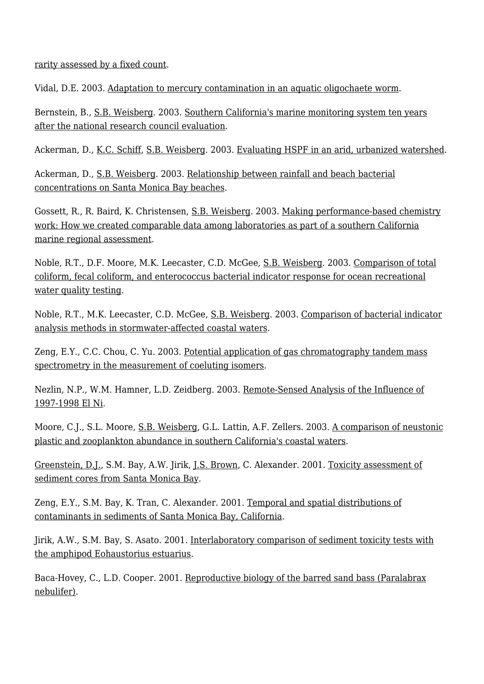[rarity assessed by a fixed count.](http://ftp.sccwrp.org/pub/download/DOCUMENTS/AnnualReports/2001_02AnnualReport/40_ar11-kerry.pdf)

Vidal, D.E. 2003. [Adaptation to mercury contamination in an aquatic oligochaete worm.](http://ftp.sccwrp.org/pub/download/DOCUMENTS/AnnualReports/2001_02AnnualReport/19_ar32-doris.pdf)

Bernstein, B., [S.B. Weisberg](http://www.sccwrp.org/about/staff/steve-weisberg/). 2003. [Southern California's marine monitoring system ten years](http://ftp.sccwrp.org/pub/download/DOCUMENTS/AnnualReports/2001_02AnnualReport/27_ar24-weisberg.pdf) [after the national research council evaluation](http://ftp.sccwrp.org/pub/download/DOCUMENTS/AnnualReports/2001_02AnnualReport/27_ar24-weisberg.pdf).

Ackerman, D., [K.C. Schiff,](http://www.sccwrp.org/about/staff/ken-schiff/) [S.B. Weisberg.](http://www.sccwrp.org/about/staff/steve-weisberg/) 2003. [Evaluating HSPF in an arid, urbanized watershed.](http://ftp.sccwrp.org/pub/download/DOCUMENTS/AnnualReports/2001_02AnnualReport/07_ar33-drew.pdf)

Ackerman, D., [S.B. Weisberg](http://www.sccwrp.org/about/staff/steve-weisberg/). 2003. [Relationship between rainfall and beach bacterial](http://ftp.sccwrp.org/pub/download/DOCUMENTS/AnnualReports/2001_02AnnualReport/18_ar37-drew.pdf) [concentrations on Santa Monica Bay beaches](http://ftp.sccwrp.org/pub/download/DOCUMENTS/AnnualReports/2001_02AnnualReport/18_ar37-drew.pdf).

Gossett, R., R. Baird, K. Christensen, [S.B. Weisberg](http://www.sccwrp.org/about/staff/steve-weisberg/). 2003. [Making performance-based chemistry](http://ftp.sccwrp.org/pub/download/DOCUMENTS/AnnualReports/2001_02AnnualReport/38_ar41-weisberg.pdf) [work: How we created comparable data among laboratories as part of a southern California](http://ftp.sccwrp.org/pub/download/DOCUMENTS/AnnualReports/2001_02AnnualReport/38_ar41-weisberg.pdf) [marine regional assessment.](http://ftp.sccwrp.org/pub/download/DOCUMENTS/AnnualReports/2001_02AnnualReport/38_ar41-weisberg.pdf)

Noble, R.T., D.F. Moore, M.K. Leecaster, C.D. McGee, [S.B. Weisberg.](http://www.sccwrp.org/about/staff/steve-weisberg/) 2003. [Comparison of total](http://ftp.sccwrp.org/pub/download/DOCUMENTS/AnnualReports/2001_02AnnualReport/30_ar05-rachel.pdf) [coliform, fecal coliform, and enterococcus bacterial indicator response for ocean recreational](http://ftp.sccwrp.org/pub/download/DOCUMENTS/AnnualReports/2001_02AnnualReport/30_ar05-rachel.pdf) [water quality testing](http://ftp.sccwrp.org/pub/download/DOCUMENTS/AnnualReports/2001_02AnnualReport/30_ar05-rachel.pdf).

Noble, R.T., M.K. Leecaster, C.D. McGee, [S.B. Weisberg.](http://www.sccwrp.org/about/staff/steve-weisberg/) 2003. [Comparison of bacterial indicator](http://ftp.sccwrp.org/pub/download/DOCUMENTS/AnnualReports/2001_02AnnualReport/37_ar29-rachel.pdf) [analysis methods in stormwater-affected coastal waters](http://ftp.sccwrp.org/pub/download/DOCUMENTS/AnnualReports/2001_02AnnualReport/37_ar29-rachel.pdf).

Zeng, E.Y., C.C. Chou, C. Yu. 2003. [Potential application of gas chromatography tandem mass](http://ftp.sccwrp.org/pub/download/DOCUMENTS/AnnualReports/2001_02AnnualReport/39_ar03-eddy.pdf) [spectrometry in the measurement of coeluting isomers.](http://ftp.sccwrp.org/pub/download/DOCUMENTS/AnnualReports/2001_02AnnualReport/39_ar03-eddy.pdf)

Nezlin, N.P., W.M. Hamner, L.D. Zeidberg. 2003. [Remote-Sensed Analysis of the Influence of](http://ftp.sccwrp.org/pub/download/DOCUMENTS/AnnualReports/2001_02AnnualReport/29_ar35-nick.pdf) [1997-1998 El Ni.](http://ftp.sccwrp.org/pub/download/DOCUMENTS/AnnualReports/2001_02AnnualReport/29_ar35-nick.pdf)

Moore, C.J., S.L. Moore, [S.B. Weisberg,](http://www.sccwrp.org/about/staff/steve-weisberg/) G.L. Lattin, A.F. Zellers. 2003. [A comparison of neustonic](http://ftp.sccwrp.org/pub/download/DOCUMENTS/AnnualReports/2001_02AnnualReport/06_ar02-shelly.pdf) [plastic and zooplankton abundance in southern California's coastal waters](http://ftp.sccwrp.org/pub/download/DOCUMENTS/AnnualReports/2001_02AnnualReport/06_ar02-shelly.pdf).

[Greenstein, D.J.,](http://www.sccwrp.org/about/staff/darrin-greenstein/) S.M. Bay, A.W. Jirik, [J.S. Brown](http://www.sccwrp.org/about/staff/jeff-brown/), C. Alexander. 2001. [Toxicity assessment of](http://ftp.sccwrp.org/pub/download/DOCUMENTS/AnnualReports/1999AnnualReport/13_ar13.pdf) [sediment cores from Santa Monica Bay](http://ftp.sccwrp.org/pub/download/DOCUMENTS/AnnualReports/1999AnnualReport/13_ar13.pdf).

Zeng, E.Y., S.M. Bay, K. Tran, C. Alexander. 2001. [Temporal and spatial distributions of](http://ftp.sccwrp.org/pub/download/DOCUMENTS/AnnualReports/1999AnnualReport/08_ar07.pdf) [contaminants in sediments of Santa Monica Bay, California](http://ftp.sccwrp.org/pub/download/DOCUMENTS/AnnualReports/1999AnnualReport/08_ar07.pdf).

Jirik, A.W., S.M. Bay, S. Asato. 2001. [Interlaboratory comparison of sediment toxicity tests with](http://ftp.sccwrp.org/pub/download/DOCUMENTS/AnnualReports/1999AnnualReport/29_ar29.pdf) [the amphipod Eohaustorius estuarius.](http://ftp.sccwrp.org/pub/download/DOCUMENTS/AnnualReports/1999AnnualReport/29_ar29.pdf)

Baca-Hovey, C., L.D. Cooper. 2001. [Reproductive biology of the barred sand bass \(Paralabrax](http://ftp.sccwrp.org/pub/download/DOCUMENTS/AnnualReports/1999AnnualReport/15_ar16.pdf) [nebulifer\)](http://ftp.sccwrp.org/pub/download/DOCUMENTS/AnnualReports/1999AnnualReport/15_ar16.pdf).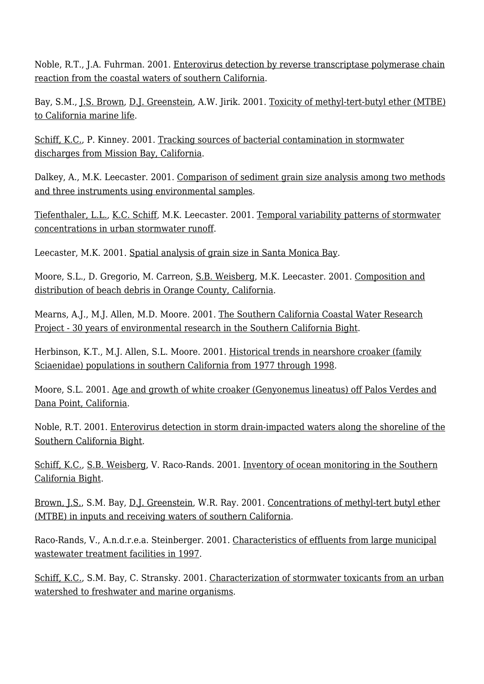Noble, R.T., J.A. Fuhrman. 2001. [Enterovirus detection by reverse transcriptase polymerase chain](http://ftp.sccwrp.org/pub/download/DOCUMENTS/AnnualReports/1999AnnualReport/20_ar31.pdf) [reaction from the coastal waters of southern California.](http://ftp.sccwrp.org/pub/download/DOCUMENTS/AnnualReports/1999AnnualReport/20_ar31.pdf)

Bay, S.M., [J.S. Brown](http://www.sccwrp.org/about/staff/jeff-brown/), [D.J. Greenstein](http://www.sccwrp.org/about/staff/darrin-greenstein/), A.W. Jirik. 2001. [Toxicity of methyl-tert-butyl ether \(MTBE\)](http://ftp.sccwrp.org/pub/download/DOCUMENTS/AnnualReports/1999AnnualReport/12_ar12.pdf) [to California marine life](http://ftp.sccwrp.org/pub/download/DOCUMENTS/AnnualReports/1999AnnualReport/12_ar12.pdf).

[Schiff, K.C.,](http://www.sccwrp.org/about/staff/ken-schiff/) P. Kinney. 2001. [Tracking sources of bacterial contamination in stormwater](http://ftp.sccwrp.org/pub/download/DOCUMENTS/AnnualReports/1999AnnualReport/07_ar06.pdf) [discharges from Mission Bay, California](http://ftp.sccwrp.org/pub/download/DOCUMENTS/AnnualReports/1999AnnualReport/07_ar06.pdf).

Dalkey, A., M.K. Leecaster. 2001. [Comparison of sediment grain size analysis among two methods](http://ftp.sccwrp.org/pub/download/DOCUMENTS/AnnualReports/1999AnnualReport/28_ar26.pdf) [and three instruments using environmental samples.](http://ftp.sccwrp.org/pub/download/DOCUMENTS/AnnualReports/1999AnnualReport/28_ar26.pdf)

[Tiefenthaler, L.L.,](http://www.sccwrp.org/about/staff/liesl-tiefenthaler/) [K.C. Schiff](http://www.sccwrp.org/about/staff/ken-schiff/), M.K. Leecaster. 2001. [Temporal variability patterns of stormwater](http://ftp.sccwrp.org/pub/download/DOCUMENTS/AnnualReports/1999AnnualReport/04_ar04.pdf) [concentrations in urban stormwater runoff.](http://ftp.sccwrp.org/pub/download/DOCUMENTS/AnnualReports/1999AnnualReport/04_ar04.pdf)

Leecaster, M.K. 2001. [Spatial analysis of grain size in Santa Monica Bay](http://ftp.sccwrp.org/pub/download/DOCUMENTS/AnnualReports/1999AnnualReport/25_ar23.pdf).

Moore, S.L., D. Gregorio, M. Carreon, [S.B. Weisberg](http://www.sccwrp.org/about/staff/steve-weisberg/), M.K. Leecaster. 2001. [Composition and](http://ftp.sccwrp.org/pub/download/DOCUMENTS/AnnualReports/1999AnnualReport/09_ar10.pdf) [distribution of beach debris in Orange County, California](http://ftp.sccwrp.org/pub/download/DOCUMENTS/AnnualReports/1999AnnualReport/09_ar10.pdf).

Mearns, A.J., M.J. Allen, M.D. Moore. 2001. [The Southern California Coastal Water Research](http://ftp.sccwrp.org/pub/download/DOCUMENTS/AnnualReports/1999AnnualReport/01_ar01.pdf) [Project - 30 years of environmental research in the Southern California Bight](http://ftp.sccwrp.org/pub/download/DOCUMENTS/AnnualReports/1999AnnualReport/01_ar01.pdf).

Herbinson, K.T., M.J. Allen, S.L. Moore. 2001. [Historical trends in nearshore croaker \(family](http://ftp.sccwrp.org/pub/download/DOCUMENTS/AnnualReports/1999AnnualReport/24_ar19.pdf) [Sciaenidae\) populations in southern California from 1977 through 1998](http://ftp.sccwrp.org/pub/download/DOCUMENTS/AnnualReports/1999AnnualReport/24_ar19.pdf).

Moore, S.L. 2001. [Age and growth of white croaker \(Genyonemus lineatus\) off Palos Verdes and](http://ftp.sccwrp.org/pub/download/DOCUMENTS/AnnualReports/1999AnnualReport/14_ar15.pdf) [Dana Point, California](http://ftp.sccwrp.org/pub/download/DOCUMENTS/AnnualReports/1999AnnualReport/14_ar15.pdf).

Noble, R.T. 2001. [Enterovirus detection in storm drain-impacted waters along the shoreline of the](http://ftp.sccwrp.org/pub/download/DOCUMENTS/AnnualReports/1999AnnualReport/21_ar21.pdf) [Southern California Bight.](http://ftp.sccwrp.org/pub/download/DOCUMENTS/AnnualReports/1999AnnualReport/21_ar21.pdf)

[Schiff, K.C.,](http://www.sccwrp.org/about/staff/ken-schiff/) [S.B. Weisberg,](http://www.sccwrp.org/about/staff/steve-weisberg/) V. Raco-Rands. 2001. [Inventory of ocean monitoring in the Southern](http://ftp.sccwrp.org/pub/download/DOCUMENTS/AnnualReports/1999AnnualReport/18_ar22.pdf) [California Bight](http://ftp.sccwrp.org/pub/download/DOCUMENTS/AnnualReports/1999AnnualReport/18_ar22.pdf).

[Brown, J.S.,](http://www.sccwrp.org/about/staff/jeff-brown/) S.M. Bay, [D.J. Greenstein](http://www.sccwrp.org/about/staff/darrin-greenstein/), W.R. Ray. 2001. [Concentrations of methyl-tert butyl ether](http://ftp.sccwrp.org/pub/download/DOCUMENTS/AnnualReports/1999AnnualReport/011_ar34.pdf) [\(MTBE\) in inputs and receiving waters of southern California.](http://ftp.sccwrp.org/pub/download/DOCUMENTS/AnnualReports/1999AnnualReport/011_ar34.pdf)

Raco-Rands, V., A.n.d.r.e.a. Steinberger. 2001. [Characteristics of effluents from large municipal](http://ftp.sccwrp.org/pub/download/DOCUMENTS/AnnualReports/1999AnnualReport/02_ar03.pdf) [wastewater treatment facilities in 1997](http://ftp.sccwrp.org/pub/download/DOCUMENTS/AnnualReports/1999AnnualReport/02_ar03.pdf).

[Schiff, K.C.,](http://www.sccwrp.org/about/staff/ken-schiff/) S.M. Bay, C. Stransky. 2001. [Characterization of stormwater toxicants from an urban](http://ftp.sccwrp.org/pub/download/DOCUMENTS/AnnualReports/1999AnnualReport/06_ar05.pdf) [watershed to freshwater and marine organisms.](http://ftp.sccwrp.org/pub/download/DOCUMENTS/AnnualReports/1999AnnualReport/06_ar05.pdf)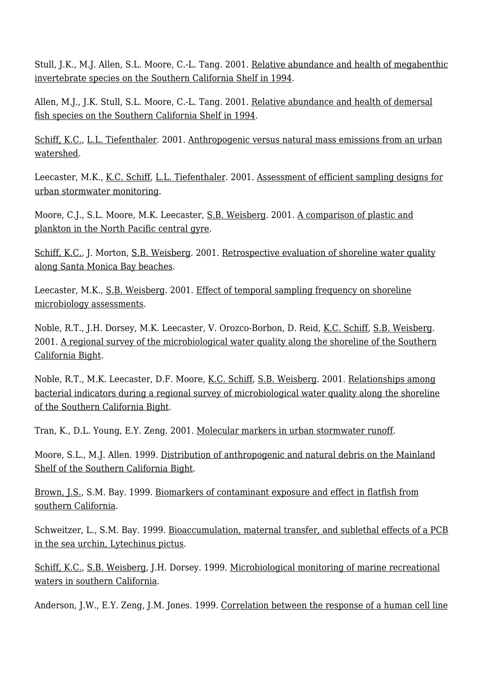Stull, J.K., M.J. Allen, S.L. Moore, C.-L. Tang. 2001. [Relative abundance and health of megabenthic](http://ftp.sccwrp.org/pub/download/DOCUMENTS/AnnualReports/1999AnnualReport/17_ar18.pdf) [invertebrate species on the Southern California Shelf in 1994](http://ftp.sccwrp.org/pub/download/DOCUMENTS/AnnualReports/1999AnnualReport/17_ar18.pdf).

Allen, M.J., J.K. Stull, S.L. Moore, C.-L. Tang. 2001. [Relative abundance and health of demersal](http://ftp.sccwrp.org/pub/download/DOCUMENTS/AnnualReports/1999AnnualReport/16_ar17.pdf) [fish species on the Southern California Shelf in 1994](http://ftp.sccwrp.org/pub/download/DOCUMENTS/AnnualReports/1999AnnualReport/16_ar17.pdf).

[Schiff, K.C.,](http://www.sccwrp.org/about/staff/ken-schiff/) [L.L. Tiefenthaler](http://www.sccwrp.org/about/staff/liesl-tiefenthaler/). 2001. [Anthropogenic versus natural mass emissions from an urban](http://ftp.sccwrp.org/pub/download/DOCUMENTS/AnnualReports/1999AnnualReport/05_ar35.pdf) [watershed](http://ftp.sccwrp.org/pub/download/DOCUMENTS/AnnualReports/1999AnnualReport/05_ar35.pdf).

Leecaster, M.K., [K.C. Schiff](http://www.sccwrp.org/about/staff/ken-schiff/), [L.L. Tiefenthaler](http://www.sccwrp.org/about/staff/liesl-tiefenthaler/). 2001. [Assessment of efficient sampling designs for](http://ftp.sccwrp.org/pub/download/DOCUMENTS/AnnualReports/1999AnnualReport/03_ar02.pdf) [urban stormwater monitoring](http://ftp.sccwrp.org/pub/download/DOCUMENTS/AnnualReports/1999AnnualReport/03_ar02.pdf).

Moore, C.J., S.L. Moore, M.K. Leecaster, [S.B. Weisberg](http://www.sccwrp.org/about/staff/steve-weisberg/). 2001. [A comparison of plastic and](http://ftp.sccwrp.org/pub/download/DOCUMENTS/AnnualReports/1999AnnualReport/10_ar11.pdf) [plankton in the North Pacific central gyre](http://ftp.sccwrp.org/pub/download/DOCUMENTS/AnnualReports/1999AnnualReport/10_ar11.pdf).

[Schiff, K.C.,](http://www.sccwrp.org/about/staff/ken-schiff/) J. Morton, [S.B. Weisberg.](http://www.sccwrp.org/about/staff/steve-weisberg/) 2001. [Retrospective evaluation of shoreline water quality](http://ftp.sccwrp.org/pub/download/DOCUMENTS/AnnualReports/1999AnnualReport/23_ar36.pdf) [along Santa Monica Bay beaches](http://ftp.sccwrp.org/pub/download/DOCUMENTS/AnnualReports/1999AnnualReport/23_ar36.pdf).

Leecaster, M.K., [S.B. Weisberg.](http://www.sccwrp.org/about/staff/steve-weisberg/) 2001. [Effect of temporal sampling frequency on shoreline](http://ftp.sccwrp.org/pub/download/DOCUMENTS/AnnualReports/1999AnnualReport/26_ar37.pdf) [microbiology assessments.](http://ftp.sccwrp.org/pub/download/DOCUMENTS/AnnualReports/1999AnnualReport/26_ar37.pdf)

Noble, R.T., J.H. Dorsey, M.K. Leecaster, V. Orozco-Borbon, D. Reid, [K.C. Schiff,](http://www.sccwrp.org/about/staff/ken-schiff/) [S.B. Weisberg.](http://www.sccwrp.org/about/staff/steve-weisberg/) 2001. [A regional survey of the microbiological water quality along the shoreline of the Southern](http://ftp.sccwrp.org/pub/download/DOCUMENTS/AnnualReports/1999AnnualReport/19_ar20.pdf) [California Bight](http://ftp.sccwrp.org/pub/download/DOCUMENTS/AnnualReports/1999AnnualReport/19_ar20.pdf).

Noble, R.T., M.K. Leecaster, D.F. Moore, [K.C. Schiff,](http://www.sccwrp.org/about/staff/ken-schiff/) [S.B. Weisberg.](http://www.sccwrp.org/about/staff/steve-weisberg/) 2001. [Relationships among](http://ftp.sccwrp.org/pub/download/DOCUMENTS/AnnualReports/1999AnnualReport/22_ar32.pdf) [bacterial indicators during a regional survey of microbiological water quality along the shoreline](http://ftp.sccwrp.org/pub/download/DOCUMENTS/AnnualReports/1999AnnualReport/22_ar32.pdf) [of the Southern California Bight.](http://ftp.sccwrp.org/pub/download/DOCUMENTS/AnnualReports/1999AnnualReport/22_ar32.pdf)

Tran, K., D.L. Young, E.Y. Zeng. 2001. [Molecular markers in urban stormwater runoff.](http://ftp.sccwrp.org/pub/download/DOCUMENTS/AnnualReports/1999AnnualReport/27_ar25.pdf)

Moore, S.L., M.J. Allen. 1999. [Distribution of anthropogenic and natural debris on the Mainland](http://ftp.sccwrp.org/pub/download/DOCUMENTS/AnnualReports/1997AnnualReport/ar13.pdf) [Shelf of the Southern California Bight](http://ftp.sccwrp.org/pub/download/DOCUMENTS/AnnualReports/1997AnnualReport/ar13.pdf).

[Brown, J.S.,](http://www.sccwrp.org/about/staff/jeff-brown/) S.M. Bay. 1999. [Biomarkers of contaminant exposure and effect in flatfish from](http://ftp.sccwrp.org/pub/download/DOCUMENTS/AnnualReports/1997AnnualReport/ar06.pdf) [southern California](http://ftp.sccwrp.org/pub/download/DOCUMENTS/AnnualReports/1997AnnualReport/ar06.pdf).

Schweitzer, L., S.M. Bay. 1999. [Bioaccumulation, maternal transfer, and sublethal effects of a PCB](http://ftp.sccwrp.org/pub/download/DOCUMENTS/AnnualReports/1997AnnualReport/ar07.pdf) [in the sea urchin, Lytechinus pictus](http://ftp.sccwrp.org/pub/download/DOCUMENTS/AnnualReports/1997AnnualReport/ar07.pdf).

[Schiff, K.C.,](http://www.sccwrp.org/about/staff/ken-schiff/) [S.B. Weisberg,](http://www.sccwrp.org/about/staff/steve-weisberg/) J.H. Dorsey. 1999. [Microbiological monitoring of marine recreational](http://ftp.sccwrp.org/pub/download/DOCUMENTS/AnnualReports/1997AnnualReport/ar16.pdf) [waters in southern California](http://ftp.sccwrp.org/pub/download/DOCUMENTS/AnnualReports/1997AnnualReport/ar16.pdf).

Anderson, J.W., E.Y. Zeng, J.M. Jones. 1999. [Correlation between the response of a human cell line](http://ftp.sccwrp.org/pub/download/DOCUMENTS/AnnualReports/1997AnnualReport/ar05.pdf)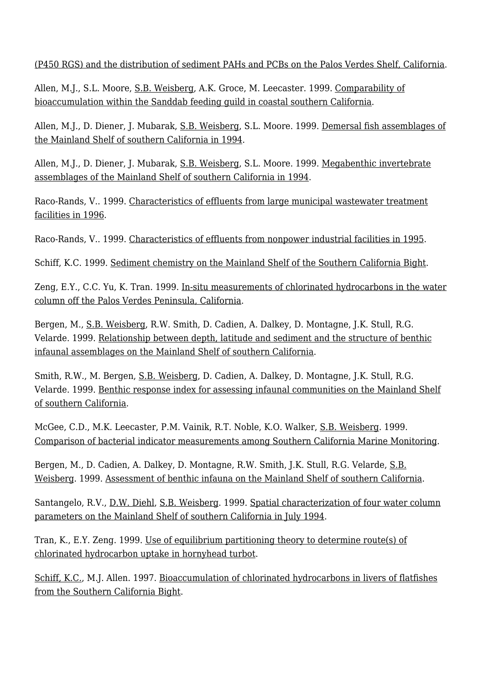[\(P450 RGS\) and the distribution of sediment PAHs and PCBs on the Palos Verdes Shelf, California.](http://ftp.sccwrp.org/pub/download/DOCUMENTS/AnnualReports/1997AnnualReport/ar05.pdf)

Allen, M.J., S.L. Moore, [S.B. Weisberg](http://www.sccwrp.org/about/staff/steve-weisberg/), A.K. Groce, M. Leecaster. 1999. [Comparability of](http://ftp.sccwrp.org/pub/download/DOCUMENTS/AnnualReports/1997AnnualReport/ar18.pdf) [bioaccumulation within the Sanddab feeding guild in coastal southern California](http://ftp.sccwrp.org/pub/download/DOCUMENTS/AnnualReports/1997AnnualReport/ar18.pdf).

Allen, M.J., D. Diener, J. Mubarak, [S.B. Weisberg](http://www.sccwrp.org/about/staff/steve-weisberg/), S.L. Moore. 1999. [Demersal fish assemblages of](http://ftp.sccwrp.org/pub/download/DOCUMENTS/AnnualReports/1997AnnualReport/ar10.pdf) [the Mainland Shelf of southern California in 1994](http://ftp.sccwrp.org/pub/download/DOCUMENTS/AnnualReports/1997AnnualReport/ar10.pdf).

Allen, M.J., D. Diener, J. Mubarak, [S.B. Weisberg](http://www.sccwrp.org/about/staff/steve-weisberg/), S.L. Moore. 1999. [Megabenthic invertebrate](http://ftp.sccwrp.org/pub/download/DOCUMENTS/AnnualReports/1997AnnualReport/ar11.pdf) [assemblages of the Mainland Shelf of southern California in 1994.](http://ftp.sccwrp.org/pub/download/DOCUMENTS/AnnualReports/1997AnnualReport/ar11.pdf)

Raco-Rands, V.. 1999. [Characteristics of effluents from large municipal wastewater treatment](http://ftp.sccwrp.org/pub/download/DOCUMENTS/AnnualReports/1997AnnualReport/ar01.pdf) [facilities in 1996](http://ftp.sccwrp.org/pub/download/DOCUMENTS/AnnualReports/1997AnnualReport/ar01.pdf).

Raco-Rands, V.. 1999. [Characteristics of effluents from nonpower industrial facilities in 1995.](http://ftp.sccwrp.org/pub/download/DOCUMENTS/AnnualReports/1997AnnualReport/ar02.pdf)

Schiff, K.C. 1999. [Sediment chemistry on the Mainland Shelf of the Southern California Bight](http://ftp.sccwrp.org/pub/download/DOCUMENTS/AnnualReports/1997AnnualReport/ar08.pdf).

Zeng, E.Y., C.C. Yu, K. Tran. 1999. [In-situ measurements of chlorinated hydrocarbons in the water](http://ftp.sccwrp.org/pub/download/DOCUMENTS/AnnualReports/1997AnnualReport/ar04.pdf) [column off the Palos Verdes Peninsula, California.](http://ftp.sccwrp.org/pub/download/DOCUMENTS/AnnualReports/1997AnnualReport/ar04.pdf)

Bergen, M., [S.B. Weisberg,](http://www.sccwrp.org/about/staff/steve-weisberg/) R.W. Smith, D. Cadien, A. Dalkey, D. Montagne, J.K. Stull, R.G. Velarde. 1999. [Relationship between depth, latitude and sediment and the structure of benthic](http://ftp.sccwrp.org/pub/download/DOCUMENTS/AnnualReports/1997AnnualReport/ar12.pdf) [infaunal assemblages on the Mainland Shelf of southern California.](http://ftp.sccwrp.org/pub/download/DOCUMENTS/AnnualReports/1997AnnualReport/ar12.pdf)

Smith, R.W., M. Bergen, [S.B. Weisberg](http://www.sccwrp.org/about/staff/steve-weisberg/), D. Cadien, A. Dalkey, D. Montagne, J.K. Stull, R.G. Velarde. 1999. [Benthic response index for assessing infaunal communities on the Mainland Shelf](http://ftp.sccwrp.org/pub/download/DOCUMENTS/AnnualReports/1997AnnualReport/ar15.pdf) [of southern California](http://ftp.sccwrp.org/pub/download/DOCUMENTS/AnnualReports/1997AnnualReport/ar15.pdf).

McGee, C.D., M.K. Leecaster, P.M. Vainik, R.T. Noble, K.O. Walker, [S.B. Weisberg](http://www.sccwrp.org/about/staff/steve-weisberg/). 1999. [Comparison of bacterial indicator measurements among Southern California Marine Monitoring.](http://ftp.sccwrp.org/pub/download/DOCUMENTS/AnnualReports/1997AnnualReport/ar17.pdf)

Bergen, M., D. Cadien, A. Dalkey, D. Montagne, R.W. Smith, J.K. Stull, R.G. Velarde, [S.B.](http://www.sccwrp.org/about/staff/steve-weisberg/) [Weisberg](http://www.sccwrp.org/about/staff/steve-weisberg/). 1999. [Assessment of benthic infauna on the Mainland Shelf of southern California](http://ftp.sccwrp.org/pub/download/DOCUMENTS/AnnualReports/1997AnnualReport/ar14.pdf).

Santangelo, R.V., [D.W. Diehl,](http://www.sccwrp.org/about/staff/dario-diehl/) [S.B. Weisberg.](http://www.sccwrp.org/about/staff/steve-weisberg/) 1999. [Spatial characterization of four water column](http://ftp.sccwrp.org/pub/download/DOCUMENTS/AnnualReports/1997AnnualReport/ar09.pdf) [parameters on the Mainland Shelf of southern California in July 1994](http://ftp.sccwrp.org/pub/download/DOCUMENTS/AnnualReports/1997AnnualReport/ar09.pdf).

Tran, K., E.Y. Zeng. 1999. [Use of equilibrium partitioning theory to determine route\(s\) of](http://ftp.sccwrp.org/pub/download/DOCUMENTS/AnnualReports/1997AnnualReport/ar03.pdf) [chlorinated hydrocarbon uptake in hornyhead turbot](http://ftp.sccwrp.org/pub/download/DOCUMENTS/AnnualReports/1997AnnualReport/ar03.pdf).

[Schiff, K.C.,](http://www.sccwrp.org/about/staff/ken-schiff/) M.J. Allen. 1997. [Bioaccumulation of chlorinated hydrocarbons in livers of flatfishes](http://ftp.sccwrp.org/pub/download/DOCUMENTS/AnnualReports/1996AnnualReport/ar05.pdf) [from the Southern California Bight](http://ftp.sccwrp.org/pub/download/DOCUMENTS/AnnualReports/1996AnnualReport/ar05.pdf).